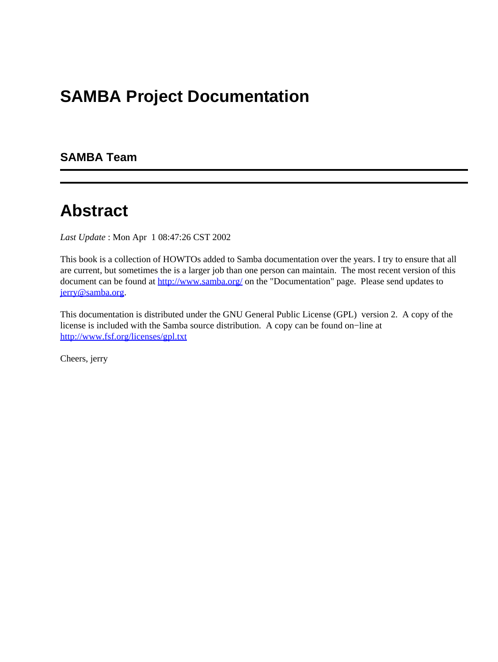# **SAMBA Project Documentation**

## **SAMBA Team**

# **Abstract**

*Last Update* : Mon Apr 1 08:47:26 CST 2002

This book is a collection of HOWTOs added to Samba documentation over the years. I try to ensure that all are current, but sometimes the is a larger job than one person can maintain. The most recent version of this document can be found at<http://www.samba.org/>on the "Documentation" page. Please send updates to [jerry@samba.org](mailto:jerry@samba.org).

This documentation is distributed under the GNU General Public License (GPL) version 2. A copy of the license is included with the Samba source distribution. A copy can be found on−line at <http://www.fsf.org/licenses/gpl.txt>

Cheers, jerry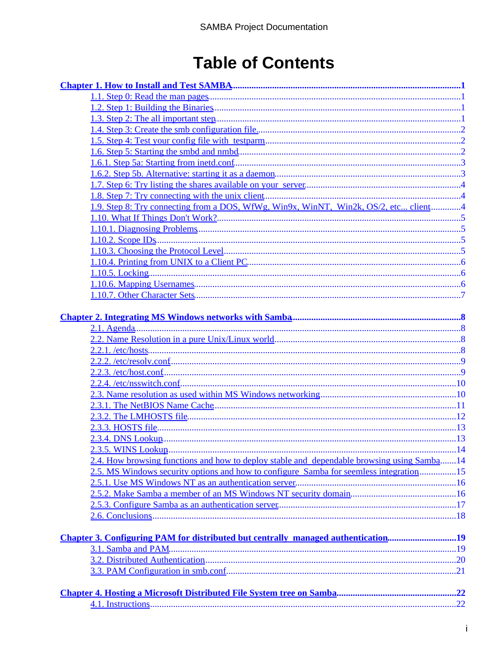| 1.9. Step 8: Try connecting from a DOS, WfWg, Win9x, WinNT, Win2k, OS/2, etc client4       |  |
|--------------------------------------------------------------------------------------------|--|
|                                                                                            |  |
|                                                                                            |  |
|                                                                                            |  |
|                                                                                            |  |
|                                                                                            |  |
|                                                                                            |  |
|                                                                                            |  |
|                                                                                            |  |
|                                                                                            |  |
|                                                                                            |  |
|                                                                                            |  |
|                                                                                            |  |
|                                                                                            |  |
|                                                                                            |  |
|                                                                                            |  |
|                                                                                            |  |
|                                                                                            |  |
|                                                                                            |  |
|                                                                                            |  |
|                                                                                            |  |
|                                                                                            |  |
|                                                                                            |  |
| 2.4. How browsing functions and how to deploy stable and dependable browsing using Samba14 |  |
| 2.5. MS Windows security options and how to configure Samba for seemless integration15     |  |
|                                                                                            |  |
|                                                                                            |  |
|                                                                                            |  |
|                                                                                            |  |
|                                                                                            |  |
| Chapter 3. Configuring PAM for distributed but centrally managed authentication19          |  |
|                                                                                            |  |
|                                                                                            |  |
|                                                                                            |  |
|                                                                                            |  |
|                                                                                            |  |
|                                                                                            |  |
|                                                                                            |  |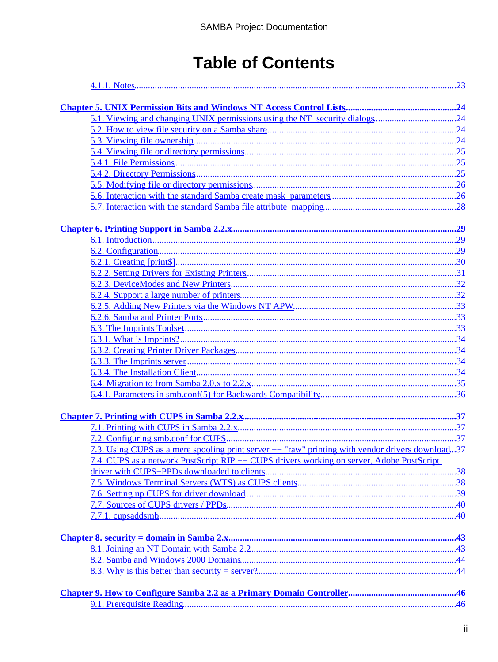| 7.3. Using CUPS as a mere spooling print server -- "raw" printing with vendor drivers download37 |  |
|--------------------------------------------------------------------------------------------------|--|
| 7.4. CUPS as a network PostScript RIP -- CUPS drivers working on server, Adobe PostScript        |  |
|                                                                                                  |  |
|                                                                                                  |  |
|                                                                                                  |  |
|                                                                                                  |  |
|                                                                                                  |  |
|                                                                                                  |  |
|                                                                                                  |  |
|                                                                                                  |  |
|                                                                                                  |  |
|                                                                                                  |  |
|                                                                                                  |  |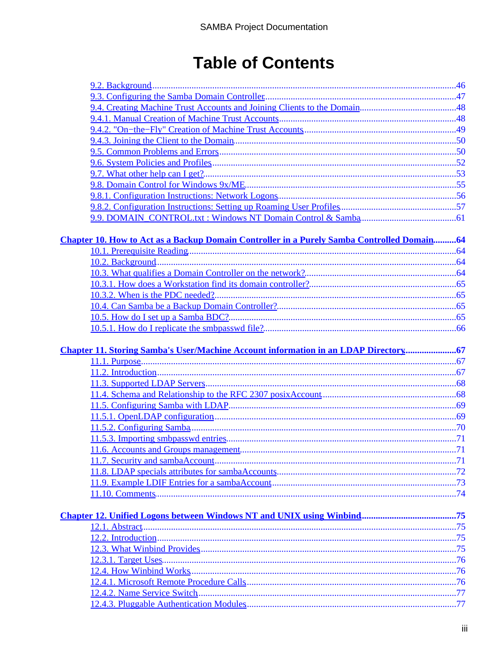| <u>Chapter 10. How to Act as a Backup Domain Controller in a Purely Samba Controlled Domain64</u> |  |
|---------------------------------------------------------------------------------------------------|--|
|                                                                                                   |  |
|                                                                                                   |  |
|                                                                                                   |  |
|                                                                                                   |  |
|                                                                                                   |  |
|                                                                                                   |  |
|                                                                                                   |  |
|                                                                                                   |  |
|                                                                                                   |  |
| Chapter 11. Storing Samba's User/Machine Account information in an LDAP Directory                 |  |
|                                                                                                   |  |
|                                                                                                   |  |
|                                                                                                   |  |
|                                                                                                   |  |
|                                                                                                   |  |
|                                                                                                   |  |
|                                                                                                   |  |
|                                                                                                   |  |
|                                                                                                   |  |
|                                                                                                   |  |
|                                                                                                   |  |
|                                                                                                   |  |
|                                                                                                   |  |
|                                                                                                   |  |
|                                                                                                   |  |
|                                                                                                   |  |
|                                                                                                   |  |
|                                                                                                   |  |
|                                                                                                   |  |
|                                                                                                   |  |
|                                                                                                   |  |
|                                                                                                   |  |
|                                                                                                   |  |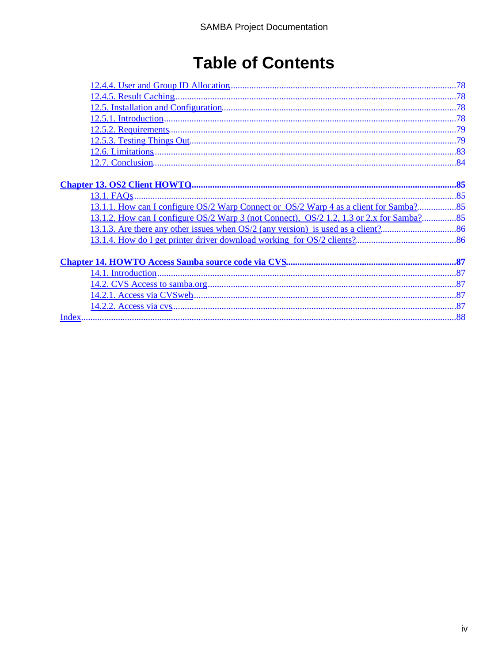| 13.1.1. How can I configure OS/2 Warp Connect or OS/2 Warp 4 as a client for Samba?      |  |
|------------------------------------------------------------------------------------------|--|
| 13.1.2. How can I configure OS/2 Warp 3 (not Connect), OS/2 1.2, 1.3 or 2.x for Samba?85 |  |
|                                                                                          |  |
|                                                                                          |  |
|                                                                                          |  |
|                                                                                          |  |
|                                                                                          |  |
|                                                                                          |  |
|                                                                                          |  |
|                                                                                          |  |
|                                                                                          |  |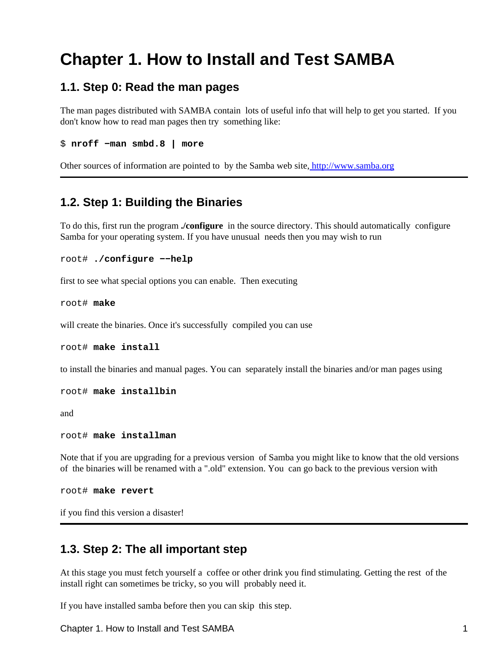# <span id="page-5-0"></span>**Chapter 1. How to Install and Test SAMBA**

#### **1.1. Step 0: Read the man pages**

The man pages distributed with SAMBA contain lots of useful info that will help to get you started. If you don't know how to read man pages then try something like:

```
$ nroff −man smbd.8 | more
```
Other sources of information are pointed to by the Samba web site, [http://www.samba.org](http://www.samba.org/)

#### **1.2. Step 1: Building the Binaries**

To do this, first run the program **./configure** in the source directory. This should automatically configure Samba for your operating system. If you have unusual needs then you may wish to run

```
root# ./configure −−help
```
first to see what special options you can enable. Then executing

root# **make**

will create the binaries. Once it's successfully compiled you can use

root# **make install**

to install the binaries and manual pages. You can separately install the binaries and/or man pages using

root# **make installbin** 

and

```
root# make installman
```
Note that if you are upgrading for a previous version of Samba you might like to know that the old versions of the binaries will be renamed with a ".old" extension. You can go back to the previous version with

```
root# make revert
```
if you find this version a disaster!

## **1.3. Step 2: The all important step**

At this stage you must fetch yourself a coffee or other drink you find stimulating. Getting the rest of the install right can sometimes be tricky, so you will probably need it.

If you have installed samba before then you can skip this step.

Chapter 1. How to Install and Test SAMBA 1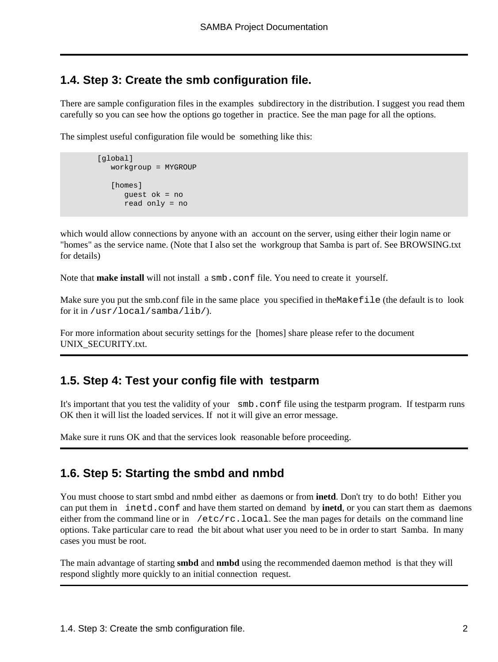# <span id="page-6-0"></span>**1.4. Step 3: Create the smb configuration file.**

There are sample configuration files in the examples subdirectory in the distribution. I suggest you read them carefully so you can see how the options go together in practice. See the man page for all the options.

The simplest useful configuration file would be something like this:

```
 [global]
   workgroup = MYGROUP
   [homes]
       guest ok = no
       read only = no
```
which would allow connections by anyone with an account on the server, using either their login name or "homes" as the service name. (Note that I also set the workgroup that Samba is part of. See BROWSING.txt for details)

Note that **make install** will not install a smb.conf file. You need to create it yourself.

Make sure you put the smb.conf file in the same place you specified in theMakefile (the default is to look for it in /usr/local/samba/lib/).

For more information about security settings for the [homes] share please refer to the document UNIX\_SECURITY.txt.

# **1.5. Step 4: Test your config file with testparm**

It's important that you test the validity of your smb.conf file using the testparm program. If testparm runs OK then it will list the loaded services. If not it will give an error message.

Make sure it runs OK and that the services look reasonable before proceeding.

### **1.6. Step 5: Starting the smbd and nmbd**

You must choose to start smbd and nmbd either as daemons or from **inetd**. Don't try to do both! Either you can put them in inetd.conf and have them started on demand by **inetd**, or you can start them as daemons either from the command line or in /etc/rc.local. See the man pages for details on the command line options. Take particular care to read the bit about what user you need to be in order to start Samba. In many cases you must be root.

The main advantage of starting **smbd** and **nmbd** using the recommended daemon method is that they will respond slightly more quickly to an initial connection request.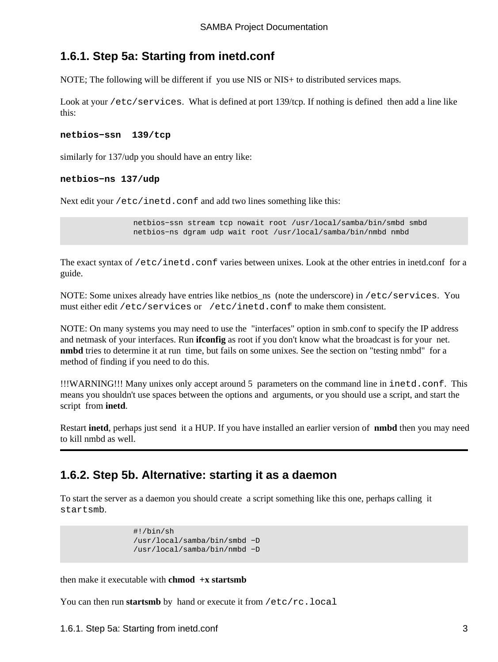# <span id="page-7-0"></span>**1.6.1. Step 5a: Starting from inetd.conf**

NOTE; The following will be different if you use NIS or NIS+ to distributed services maps.

Look at your /etc/services. What is defined at port 139/tcp. If nothing is defined then add a line like this:

```
netbios−ssn 139/tcp
```
similarly for 137/udp you should have an entry like:

#### **netbios−ns 137/udp**

Next edit your /etc/inetd.conf and add two lines something like this:

 netbios−ssn stream tcp nowait root /usr/local/samba/bin/smbd smbd netbios−ns dgram udp wait root /usr/local/samba/bin/nmbd nmbd

The exact syntax of /etc/inetd.conf varies between unixes. Look at the other entries in inetd.conf for a guide.

NOTE: Some unixes already have entries like netbios ns (note the underscore) in /etc/services. You must either edit /etc/services or /etc/inetd.conf to make them consistent.

NOTE: On many systems you may need to use the "interfaces" option in smb.conf to specify the IP address and netmask of your interfaces. Run **ifconfig** as root if you don't know what the broadcast is for your net. **nmbd** tries to determine it at run time, but fails on some unixes. See the section on "testing nmbd" for a method of finding if you need to do this.

!!!WARNING!!! Many unixes only accept around 5 parameters on the command line in inetd.conf. This means you shouldn't use spaces between the options and arguments, or you should use a script, and start the script from **inetd**.

Restart **inetd**, perhaps just send it a HUP. If you have installed an earlier version of **nmbd** then you may need to kill nmbd as well.

#### **1.6.2. Step 5b. Alternative: starting it as a daemon**

To start the server as a daemon you should create a script something like this one, perhaps calling it startsmb.

```
 #!/bin/sh
 /usr/local/samba/bin/smbd −D 
 /usr/local/samba/bin/nmbd −D
```
then make it executable with **chmod +x startsmb**

You can then run **startsmb** by hand or execute it from /etc/rc.local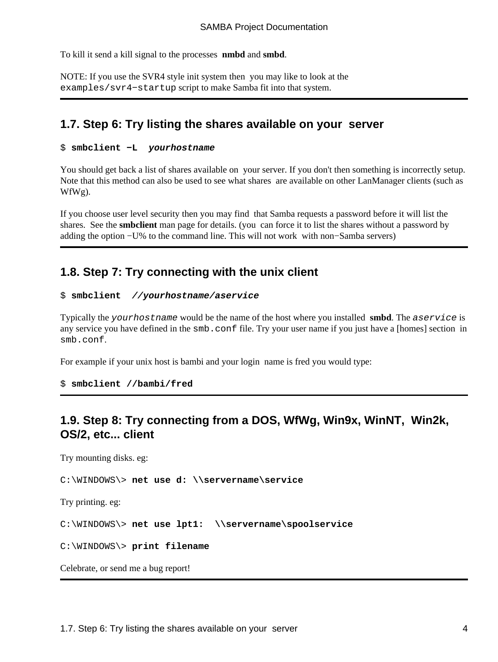<span id="page-8-0"></span>To kill it send a kill signal to the processes **nmbd** and **smbd**.

NOTE: If you use the SVR4 style init system then you may like to look at the examples/svr4−startup script to make Samba fit into that system.

#### **1.7. Step 6: Try listing the shares available on your server**

#### \$ **smbclient −L yourhostname**

You should get back a list of shares available on your server. If you don't then something is incorrectly setup. Note that this method can also be used to see what shares are available on other LanManager clients (such as WfWg).

If you choose user level security then you may find that Samba requests a password before it will list the shares. See the **smbclient** man page for details. (you can force it to list the shares without a password by adding the option −U% to the command line. This will not work with non−Samba servers)

#### **1.8. Step 7: Try connecting with the unix client**

#### \$ **smbclient //yourhostname/aservice**

Typically the yourhostname would be the name of the host where you installed **smbd**. The aservice is any service you have defined in the smb.conf file. Try your user name if you just have a [homes] section in smb.conf.

For example if your unix host is bambi and your login name is fred you would type:

\$ **smbclient //bambi/fred** 

#### **1.9. Step 8: Try connecting from a DOS, WfWg, Win9x, WinNT, Win2k, OS/2, etc... client**

Try mounting disks. eg:

C:\WINDOWS\> **net use d: \\servername\service** 

Try printing. eg:

C:\WINDOWS\> **net use lpt1: \\servername\spoolservice**

C:\WINDOWS\> **print filename** 

Celebrate, or send me a bug report!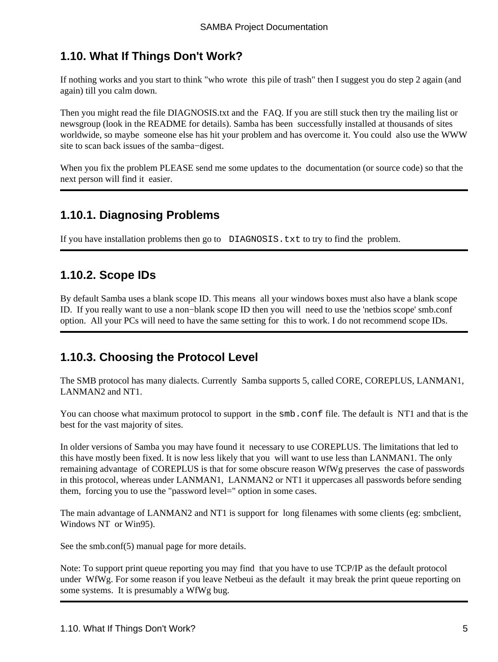# <span id="page-9-0"></span>**1.10. What If Things Don't Work?**

If nothing works and you start to think "who wrote this pile of trash" then I suggest you do step 2 again (and again) till you calm down.

Then you might read the file DIAGNOSIS.txt and the FAQ. If you are still stuck then try the mailing list or newsgroup (look in the README for details). Samba has been successfully installed at thousands of sites worldwide, so maybe someone else has hit your problem and has overcome it. You could also use the WWW site to scan back issues of the samba−digest.

When you fix the problem PLEASE send me some updates to the documentation (or source code) so that the next person will find it easier.

# **1.10.1. Diagnosing Problems**

If you have installation problems then go to DIAGNOSIS.txt to try to find the problem.

# **1.10.2. Scope IDs**

By default Samba uses a blank scope ID. This means all your windows boxes must also have a blank scope ID. If you really want to use a non−blank scope ID then you will need to use the 'netbios scope' smb.conf option. All your PCs will need to have the same setting for this to work. I do not recommend scope IDs.

# **1.10.3. Choosing the Protocol Level**

The SMB protocol has many dialects. Currently Samba supports 5, called CORE, COREPLUS, LANMAN1, LANMAN2 and NT1.

You can choose what maximum protocol to support in the smb.conf file. The default is NT1 and that is the best for the vast majority of sites.

In older versions of Samba you may have found it necessary to use COREPLUS. The limitations that led to this have mostly been fixed. It is now less likely that you will want to use less than LANMAN1. The only remaining advantage of COREPLUS is that for some obscure reason WfWg preserves the case of passwords in this protocol, whereas under LANMAN1, LANMAN2 or NT1 it uppercases all passwords before sending them, forcing you to use the "password level=" option in some cases.

The main advantage of LANMAN2 and NT1 is support for long filenames with some clients (eg: smbclient, Windows NT or Win95).

See the smb.conf(5) manual page for more details.

Note: To support print queue reporting you may find that you have to use TCP/IP as the default protocol under WfWg. For some reason if you leave Netbeui as the default it may break the print queue reporting on some systems. It is presumably a WfWg bug.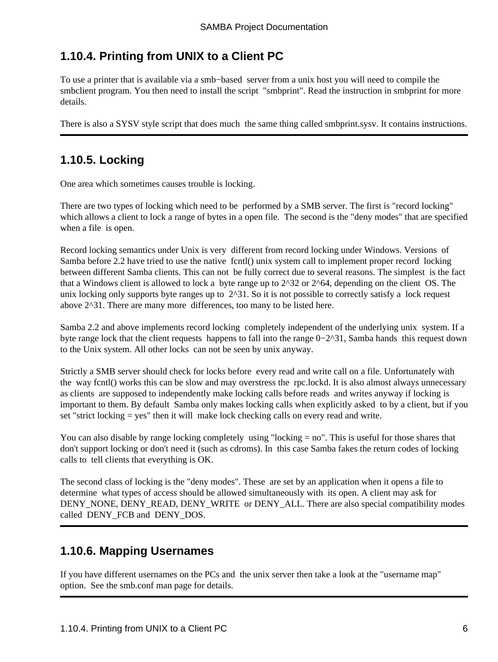# <span id="page-10-0"></span>**1.10.4. Printing from UNIX to a Client PC**

To use a printer that is available via a smb−based server from a unix host you will need to compile the smbclient program. You then need to install the script "smbprint". Read the instruction in smbprint for more details.

There is also a SYSV style script that does much the same thing called smbprint.sysv. It contains instructions.

## **1.10.5. Locking**

One area which sometimes causes trouble is locking.

There are two types of locking which need to be performed by a SMB server. The first is "record locking" which allows a client to lock a range of bytes in a open file. The second is the "deny modes" that are specified when a file is open.

Record locking semantics under Unix is very different from record locking under Windows. Versions of Samba before 2.2 have tried to use the native fcntl() unix system call to implement proper record locking between different Samba clients. This can not be fully correct due to several reasons. The simplest is the fact that a Windows client is allowed to lock a byte range up to  $2^{\wedge}32$  or  $2^{\wedge}64$ , depending on the client OS. The unix locking only supports byte ranges up to  $2^{\wedge}31$ . So it is not possible to correctly satisfy a lock request above 2^31. There are many more differences, too many to be listed here.

Samba 2.2 and above implements record locking completely independent of the underlying unix system. If a byte range lock that the client requests happens to fall into the range 0−2^31, Samba hands this request down to the Unix system. All other locks can not be seen by unix anyway.

Strictly a SMB server should check for locks before every read and write call on a file. Unfortunately with the way fcntl() works this can be slow and may overstress the rpc.lockd. It is also almost always unnecessary as clients are supposed to independently make locking calls before reads and writes anyway if locking is important to them. By default Samba only makes locking calls when explicitly asked to by a client, but if you set "strict locking  $=$  yes" then it will make lock checking calls on every read and write.

You can also disable by range locking completely using "locking = no". This is useful for those shares that don't support locking or don't need it (such as cdroms). In this case Samba fakes the return codes of locking calls to tell clients that everything is OK.

The second class of locking is the "deny modes". These are set by an application when it opens a file to determine what types of access should be allowed simultaneously with its open. A client may ask for DENY\_NONE, DENY\_READ, DENY\_WRITE or DENY\_ALL. There are also special compatibility modes called DENY\_FCB and DENY\_DOS.

### **1.10.6. Mapping Usernames**

If you have different usernames on the PCs and the unix server then take a look at the "username map" option. See the smb.conf man page for details.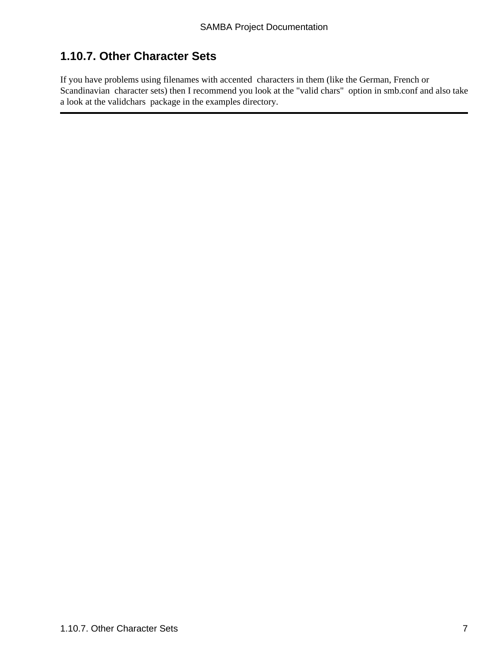# <span id="page-11-0"></span>**1.10.7. Other Character Sets**

If you have problems using filenames with accented characters in them (like the German, French or Scandinavian character sets) then I recommend you look at the "valid chars" option in smb.conf and also take a look at the validchars package in the examples directory.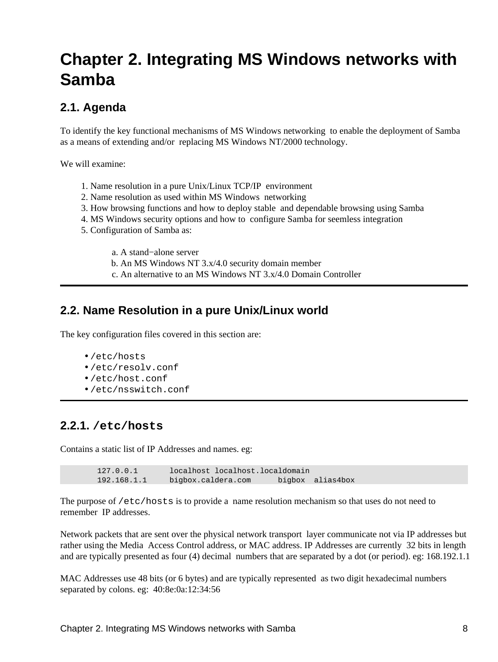# <span id="page-12-0"></span>**Chapter 2. Integrating MS Windows networks with Samba**

# **2.1. Agenda**

To identify the key functional mechanisms of MS Windows networking to enable the deployment of Samba as a means of extending and/or replacing MS Windows NT/2000 technology.

We will examine:

- 1. Name resolution in a pure Unix/Linux TCP/IP environment
- 2. Name resolution as used within MS Windows networking
- 3. How browsing functions and how to deploy stable and dependable browsing using Samba
- 4. MS Windows security options and how to configure Samba for seemless integration
- 5. Configuration of Samba as:
	- a. A stand−alone server
	- b. An MS Windows NT 3.x/4.0 security domain member
	- c. An alternative to an MS Windows NT 3.x/4.0 Domain Controller

#### **2.2. Name Resolution in a pure Unix/Linux world**

The key configuration files covered in this section are:

- /etc/hosts
- /etc/resolv.conf
- /etc/host.conf
- /etc/nsswitch.conf

#### **2.2.1. /etc/hosts**

Contains a static list of IP Addresses and names. eg:

 127.0.0.1 localhost localhost.localdomain 192.168.1.1 bigbox.caldera.com bigbox alias4box

The purpose of /etc/hosts is to provide a name resolution mechanism so that uses do not need to remember IP addresses.

Network packets that are sent over the physical network transport layer communicate not via IP addresses but rather using the Media Access Control address, or MAC address. IP Addresses are currently 32 bits in length and are typically presented as four (4) decimal numbers that are separated by a dot (or period). eg: 168.192.1.1

MAC Addresses use 48 bits (or 6 bytes) and are typically represented as two digit hexadecimal numbers separated by colons. eg: 40:8e:0a:12:34:56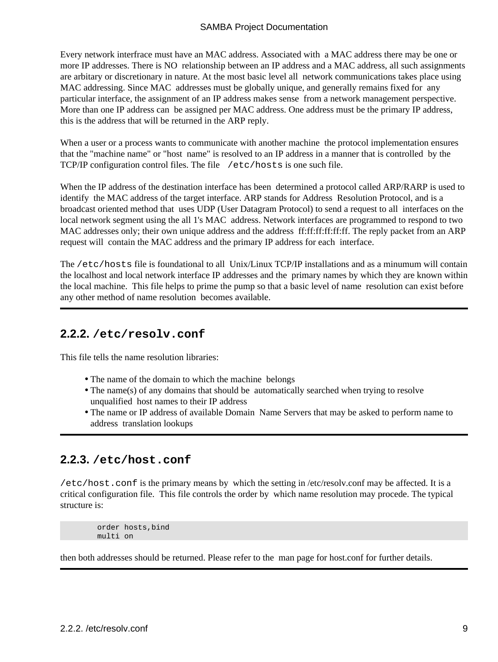<span id="page-13-0"></span>Every network interfrace must have an MAC address. Associated with a MAC address there may be one or more IP addresses. There is NO relationship between an IP address and a MAC address, all such assignments are arbitary or discretionary in nature. At the most basic level all network communications takes place using MAC addressing. Since MAC addresses must be globally unique, and generally remains fixed for any particular interface, the assignment of an IP address makes sense from a network management perspective. More than one IP address can be assigned per MAC address. One address must be the primary IP address, this is the address that will be returned in the ARP reply.

When a user or a process wants to communicate with another machine the protocol implementation ensures that the "machine name" or "host name" is resolved to an IP address in a manner that is controlled by the TCP/IP configuration control files. The file /etc/hosts is one such file.

When the IP address of the destination interface has been determined a protocol called ARP/RARP is used to identify the MAC address of the target interface. ARP stands for Address Resolution Protocol, and is a broadcast oriented method that uses UDP (User Datagram Protocol) to send a request to all interfaces on the local network segment using the all 1's MAC address. Network interfaces are programmed to respond to two MAC addresses only; their own unique address and the address ff:ff:ff:ff:ff:ff:ff:ff The reply packet from an ARP request will contain the MAC address and the primary IP address for each interface.

The /etc/hosts file is foundational to all Unix/Linux TCP/IP installations and as a minumum will contain the localhost and local network interface IP addresses and the primary names by which they are known within the local machine. This file helps to prime the pump so that a basic level of name resolution can exist before any other method of name resolution becomes available.

### **2.2.2. /etc/resolv.conf**

This file tells the name resolution libraries:

- The name of the domain to which the machine belongs
- The name(s) of any domains that should be automatically searched when trying to resolve unqualified host names to their IP address
- The name or IP address of available Domain Name Servers that may be asked to perform name to address translation lookups

#### **2.2.3. /etc/host.conf**

/etc/host.conf is the primary means by which the setting in /etc/resolv.conf may be affected. It is a critical configuration file. This file controls the order by which name resolution may procede. The typical structure is:

```
 order hosts,bind
 multi on
```
then both addresses should be returned. Please refer to the man page for host.conf for further details.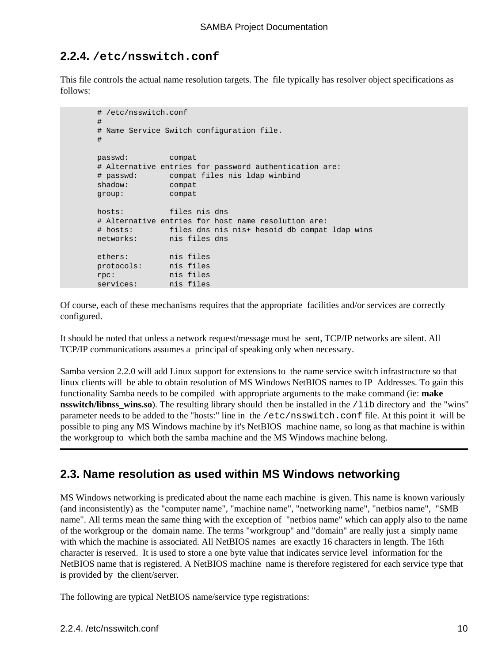#### <span id="page-14-0"></span>**2.2.4. /etc/nsswitch.conf**

This file controls the actual name resolution targets. The file typically has resolver object specifications as follows:

```
 # /etc/nsswitch.conf
 #
        # Name Service Switch configuration file.
        #
        passwd: compat
        # Alternative entries for password authentication are:
        # passwd: compat files nis ldap winbind
       shadow:
        group: compat
        hosts: files nis dns
        # Alternative entries for host name resolution are:
        # hosts: files dns nis nis+ hesoid db compat ldap wins
        networks: nis files dns
       ethers: nis files<br>protocols: nis files<br>rnc:
      protocols:
        rpc: nis files
        services: nis files
```
Of course, each of these mechanisms requires that the appropriate facilities and/or services are correctly configured.

It should be noted that unless a network request/message must be sent, TCP/IP networks are silent. All TCP/IP communications assumes a principal of speaking only when necessary.

Samba version 2.2.0 will add Linux support for extensions to the name service switch infrastructure so that linux clients will be able to obtain resolution of MS Windows NetBIOS names to IP Addresses. To gain this functionality Samba needs to be compiled with appropriate arguments to the make command (ie: **make nsswitch/libnss\_wins.so**). The resulting library should then be installed in the /lib directory and the "wins" parameter needs to be added to the "hosts:" line in the /etc/nsswitch.conf file. At this point it will be possible to ping any MS Windows machine by it's NetBIOS machine name, so long as that machine is within the workgroup to which both the samba machine and the MS Windows machine belong.

#### **2.3. Name resolution as used within MS Windows networking**

MS Windows networking is predicated about the name each machine is given. This name is known variously (and inconsistently) as the "computer name", "machine name", "networking name", "netbios name", "SMB name". All terms mean the same thing with the exception of "netbios name" which can apply also to the name of the workgroup or the domain name. The terms "workgroup" and "domain" are really just a simply name with which the machine is associated. All NetBIOS names are exactly 16 characters in length. The 16th character is reserved. It is used to store a one byte value that indicates service level information for the NetBIOS name that is registered. A NetBIOS machine name is therefore registered for each service type that is provided by the client/server.

The following are typical NetBIOS name/service type registrations: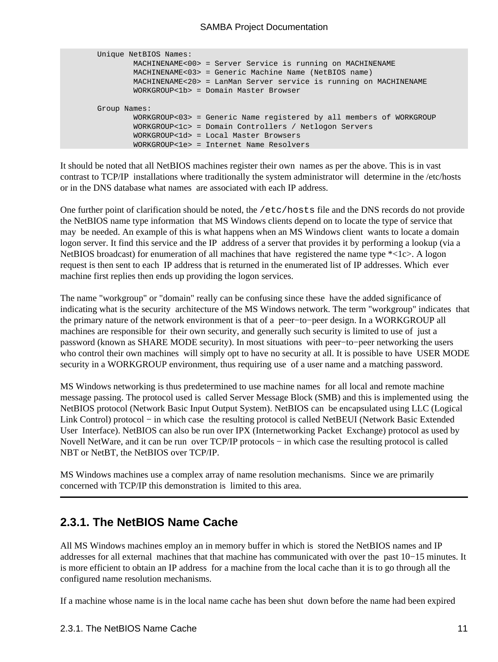<span id="page-15-0"></span>

| Unique NetBIOS Names:                                               |  |  |  |
|---------------------------------------------------------------------|--|--|--|
| MACHINENAME<00> = Server Service is running on MACHINENAME          |  |  |  |
| MACHINENAME<03> = Generic Machine Name (NetBIOS name)               |  |  |  |
| MACHINENAME<20> = LanMan Server service is running on MACHINENAME   |  |  |  |
| WORKGROUP<1b> = Domain Master Browser                               |  |  |  |
|                                                                     |  |  |  |
| Group Names:                                                        |  |  |  |
| WORKGROUP<03> = Generic Name registered by all members of WORKGROUP |  |  |  |
| WORKGROUP<1c> = Domain Controllers / Netlogon Servers               |  |  |  |
| WORKGROUP<1d> = Local Master Browsers                               |  |  |  |
| WORKGROUP<1e> = Internet Name Resolvers                             |  |  |  |

It should be noted that all NetBIOS machines register their own names as per the above. This is in vast contrast to TCP/IP installations where traditionally the system administrator will determine in the /etc/hosts or in the DNS database what names are associated with each IP address.

One further point of clarification should be noted, the /etc/hosts file and the DNS records do not provide the NetBIOS name type information that MS Windows clients depend on to locate the type of service that may be needed. An example of this is what happens when an MS Windows client wants to locate a domain logon server. It find this service and the IP address of a server that provides it by performing a lookup (via a NetBIOS broadcast) for enumeration of all machines that have registered the name type  $\ast$ <1c>. A logon request is then sent to each IP address that is returned in the enumerated list of IP addresses. Which ever machine first replies then ends up providing the logon services.

The name "workgroup" or "domain" really can be confusing since these have the added significance of indicating what is the security architecture of the MS Windows network. The term "workgroup" indicates that the primary nature of the network environment is that of a peer−to−peer design. In a WORKGROUP all machines are responsible for their own security, and generally such security is limited to use of just a password (known as SHARE MODE security). In most situations with peer−to−peer networking the users who control their own machines will simply opt to have no security at all. It is possible to have USER MODE security in a WORKGROUP environment, thus requiring use of a user name and a matching password.

MS Windows networking is thus predetermined to use machine names for all local and remote machine message passing. The protocol used is called Server Message Block (SMB) and this is implemented using the NetBIOS protocol (Network Basic Input Output System). NetBIOS can be encapsulated using LLC (Logical Link Control) protocol − in which case the resulting protocol is called NetBEUI (Network Basic Extended User Interface). NetBIOS can also be run over IPX (Internetworking Packet Exchange) protocol as used by Novell NetWare, and it can be run over TCP/IP protocols − in which case the resulting protocol is called NBT or NetBT, the NetBIOS over TCP/IP.

MS Windows machines use a complex array of name resolution mechanisms. Since we are primarily concerned with TCP/IP this demonstration is limited to this area.

# **2.3.1. The NetBIOS Name Cache**

All MS Windows machines employ an in memory buffer in which is stored the NetBIOS names and IP addresses for all external machines that that machine has communicated with over the past 10−15 minutes. It is more efficient to obtain an IP address for a machine from the local cache than it is to go through all the configured name resolution mechanisms.

If a machine whose name is in the local name cache has been shut down before the name had been expired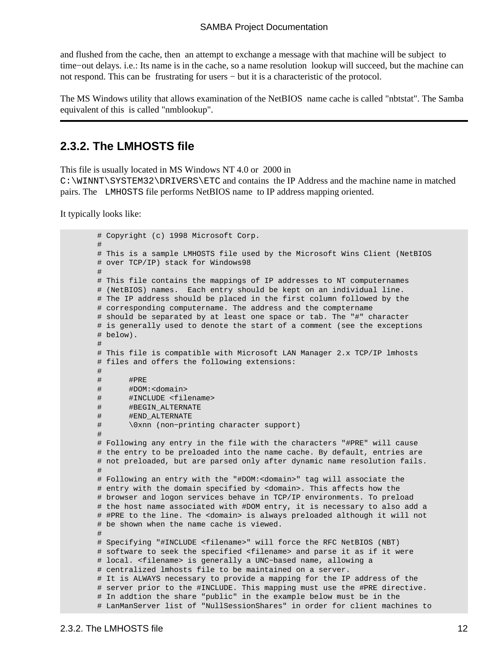<span id="page-16-0"></span>and flushed from the cache, then an attempt to exchange a message with that machine will be subject to time−out delays. i.e.: Its name is in the cache, so a name resolution lookup will succeed, but the machine can not respond. This can be frustrating for users − but it is a characteristic of the protocol.

The MS Windows utility that allows examination of the NetBIOS name cache is called "nbtstat". The Samba equivalent of this is called "nmblookup".

#### **2.3.2. The LMHOSTS file**

This file is usually located in MS Windows NT 4.0 or 2000 in

C:\WINNT\SYSTEM32\DRIVERS\ETC and contains the IP Address and the machine name in matched pairs. The LMHOSTS file performs NetBIOS name to IP address mapping oriented.

It typically looks like:

```
 # Copyright (c) 1998 Microsoft Corp.
        #
        # This is a sample LMHOSTS file used by the Microsoft Wins Client (NetBIOS
        # over TCP/IP) stack for Windows98
 #
        # This file contains the mappings of IP addresses to NT computernames
        # (NetBIOS) names. Each entry should be kept on an individual line.
        # The IP address should be placed in the first column followed by the
        # corresponding computername. The address and the comptername
        # should be separated by at least one space or tab. The "#" character
        # is generally used to denote the start of a comment (see the exceptions
        # below).
        #
        # This file is compatible with Microsoft LAN Manager 2.x TCP/IP lmhosts
        # files and offers the following extensions:
        #
        # #PRE
        # #DOM:<domain>
        # #INCLUDE <filename>
        # #BEGIN_ALTERNATE
        # #END_ALTERNATE
        # \0xnn (non−printing character support)
 #
        # Following any entry in the file with the characters "#PRE" will cause
        # the entry to be preloaded into the name cache. By default, entries are
        # not preloaded, but are parsed only after dynamic name resolution fails.
 #
        # Following an entry with the "#DOM:<domain>" tag will associate the
        # entry with the domain specified by <domain>. This affects how the
        # browser and logon services behave in TCP/IP environments. To preload
        # the host name associated with #DOM entry, it is necessary to also add a
        # #PRE to the line. The <domain> is always preloaded although it will not
        # be shown when the name cache is viewed.
 #
        # Specifying "#INCLUDE <filename>" will force the RFC NetBIOS (NBT)
       # software to seek the specified <filename> and parse it as if it were
        # local. <filename> is generally a UNC−based name, allowing a
        # centralized lmhosts file to be maintained on a server.
        # It is ALWAYS necessary to provide a mapping for the IP address of the
        # server prior to the #INCLUDE. This mapping must use the #PRE directive.
        # In addtion the share "public" in the example below must be in the
        # LanManServer list of "NullSessionShares" in order for client machines to
```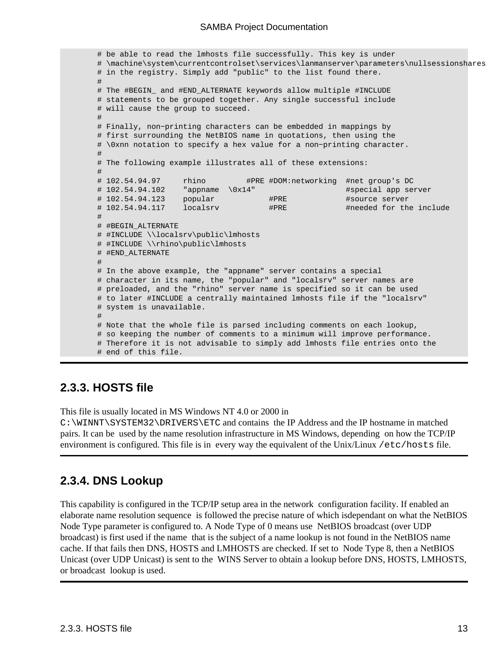<span id="page-17-0"></span> # be able to read the lmhosts file successfully. This key is under # \machine\system\currentcontrolset\services\lanmanserver\parameters\nullsessionshares # in the registry. Simply add "public" to the list found there. # # The #BEGIN\_ and #END\_ALTERNATE keywords allow multiple #INCLUDE # statements to be grouped together. Any single successful include # will cause the group to succeed. # # Finally, non−printing characters can be embedded in mappings by # first surrounding the NetBIOS name in quotations, then using the # \0xnn notation to specify a hex value for a non−printing character. # # The following example illustrates all of these extensions: # # 102.54.94.97 rhino #PRE #DOM:networking #net group's DC # 102.54.94.102 "appname \0x14" #special app server # 102.54.94.123 popular #PRE #source server # 102.54.94.117 localsrv #PRE #needed for the include # # #BEGIN\_ALTERNATE # #INCLUDE \\localsrv\public\lmhosts # #INCLUDE \\rhino\public\lmhosts # #END\_ALTERNATE # # In the above example, the "appname" server contains a special # character in its name, the "popular" and "localsrv" server names are # preloaded, and the "rhino" server name is specified so it can be used # to later #INCLUDE a centrally maintained lmhosts file if the "localsrv" # system is unavailable. # # Note that the whole file is parsed including comments on each lookup, # so keeping the number of comments to a minimum will improve performance. # Therefore it is not advisable to simply add lmhosts file entries onto the # end of this file.

# **2.3.3. HOSTS file**

This file is usually located in MS Windows NT 4.0 or 2000 in

C:\WINNT\SYSTEM32\DRIVERS\ETC and contains the IP Address and the IP hostname in matched pairs. It can be used by the name resolution infrastructure in MS Windows, depending on how the TCP/IP environment is configured. This file is in every way the equivalent of the Unix/Linux /etc/hosts file.

### **2.3.4. DNS Lookup**

This capability is configured in the TCP/IP setup area in the network configuration facility. If enabled an elaborate name resolution sequence is followed the precise nature of which isdependant on what the NetBIOS Node Type parameter is configured to. A Node Type of 0 means use NetBIOS broadcast (over UDP broadcast) is first used if the name that is the subject of a name lookup is not found in the NetBIOS name cache. If that fails then DNS, HOSTS and LMHOSTS are checked. If set to Node Type 8, then a NetBIOS Unicast (over UDP Unicast) is sent to the WINS Server to obtain a lookup before DNS, HOSTS, LMHOSTS, or broadcast lookup is used.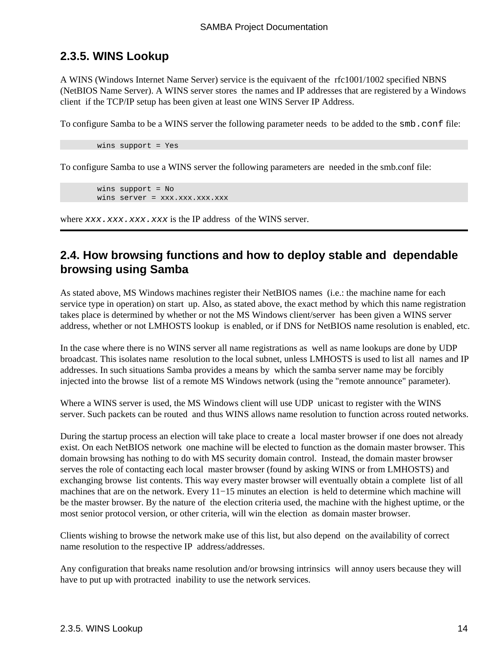# <span id="page-18-0"></span>**2.3.5. WINS Lookup**

A WINS (Windows Internet Name Server) service is the equivaent of the rfc1001/1002 specified NBNS (NetBIOS Name Server). A WINS server stores the names and IP addresses that are registered by a Windows client if the TCP/IP setup has been given at least one WINS Server IP Address.

To configure Samba to be a WINS server the following parameter needs to be added to the smb.conf file:

```
 wins support = Yes
```
To configure Samba to use a WINS server the following parameters are needed in the smb.conf file:

```
 wins support = No
wins server = xxx.xxx.xxx.xxx
```
where xxx.xxx.xxx.xxx is the IP address of the WINS server.

## **2.4. How browsing functions and how to deploy stable and dependable browsing using Samba**

As stated above, MS Windows machines register their NetBIOS names (i.e.: the machine name for each service type in operation) on start up. Also, as stated above, the exact method by which this name registration takes place is determined by whether or not the MS Windows client/server has been given a WINS server address, whether or not LMHOSTS lookup is enabled, or if DNS for NetBIOS name resolution is enabled, etc.

In the case where there is no WINS server all name registrations as well as name lookups are done by UDP broadcast. This isolates name resolution to the local subnet, unless LMHOSTS is used to list all names and IP addresses. In such situations Samba provides a means by which the samba server name may be forcibly injected into the browse list of a remote MS Windows network (using the "remote announce" parameter).

Where a WINS server is used, the MS Windows client will use UDP unicast to register with the WINS server. Such packets can be routed and thus WINS allows name resolution to function across routed networks.

During the startup process an election will take place to create a local master browser if one does not already exist. On each NetBIOS network one machine will be elected to function as the domain master browser. This domain browsing has nothing to do with MS security domain control. Instead, the domain master browser serves the role of contacting each local master browser (found by asking WINS or from LMHOSTS) and exchanging browse list contents. This way every master browser will eventually obtain a complete list of all machines that are on the network. Every 11−15 minutes an election is held to determine which machine will be the master browser. By the nature of the election criteria used, the machine with the highest uptime, or the most senior protocol version, or other criteria, will win the election as domain master browser.

Clients wishing to browse the network make use of this list, but also depend on the availability of correct name resolution to the respective IP address/addresses.

Any configuration that breaks name resolution and/or browsing intrinsics will annoy users because they will have to put up with protracted inability to use the network services.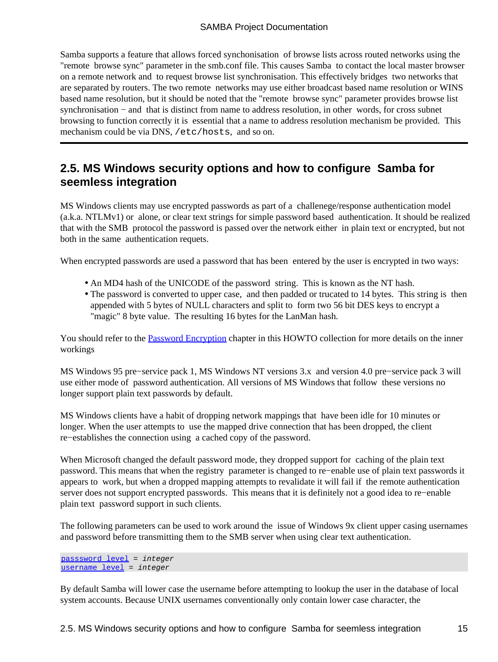#### SAMBA Project Documentation

<span id="page-19-0"></span>Samba supports a feature that allows forced synchonisation of browse lists across routed networks using the "remote browse sync" parameter in the smb.conf file. This causes Samba to contact the local master browser on a remote network and to request browse list synchronisation. This effectively bridges two networks that are separated by routers. The two remote networks may use either broadcast based name resolution or WINS based name resolution, but it should be noted that the "remote browse sync" parameter provides browse list synchronisation – and that is distinct from name to address resolution, in other words, for cross subnet browsing to function correctly it is essential that a name to address resolution mechanism be provided. This mechanism could be via DNS, /etc/hosts, and so on.

### **2.5. MS Windows security options and how to configure Samba for seemless integration**

MS Windows clients may use encrypted passwords as part of a challenege/response authentication model (a.k.a. NTLMv1) or alone, or clear text strings for simple password based authentication. It should be realized that with the SMB protocol the password is passed over the network either in plain text or encrypted, but not both in the same authentication requets.

When encrypted passwords are used a password that has been entered by the user is encrypted in two ways:

- An MD4 hash of the UNICODE of the password string. This is known as the NT hash.
- The password is converted to upper case, and then padded or trucated to 14 bytes. This string is then appended with 5 bytes of NULL characters and split to form two 56 bit DES keys to encrypt a "magic" 8 byte value. The resulting 16 bytes for the LanMan hash.

You should refer to the [Password Encryption](ENCRYPTION.html) chapter in this HOWTO collection for more details on the inner workings

MS Windows 95 pre−service pack 1, MS Windows NT versions 3.x and version 4.0 pre−service pack 3 will use either mode of password authentication. All versions of MS Windows that follow these versions no longer support plain text passwords by default.

MS Windows clients have a habit of dropping network mappings that have been idle for 10 minutes or longer. When the user attempts to use the mapped drive connection that has been dropped, the client re−establishes the connection using a cached copy of the password.

When Microsoft changed the default password mode, they dropped support for caching of the plain text password. This means that when the registry parameter is changed to re−enable use of plain text passwords it appears to work, but when a dropped mapping attempts to revalidate it will fail if the remote authentication server does not support encrypted passwords. This means that it is definitely not a good idea to re−enable plain text password support in such clients.

The following parameters can be used to work around the issue of Windows 9x client upper casing usernames and password before transmitting them to the SMB server when using clear text authentication.

```
passsword level = integer
username level = inter{inter}
```
By default Samba will lower case the username before attempting to lookup the user in the database of local system accounts. Because UNIX usernames conventionally only contain lower case character, the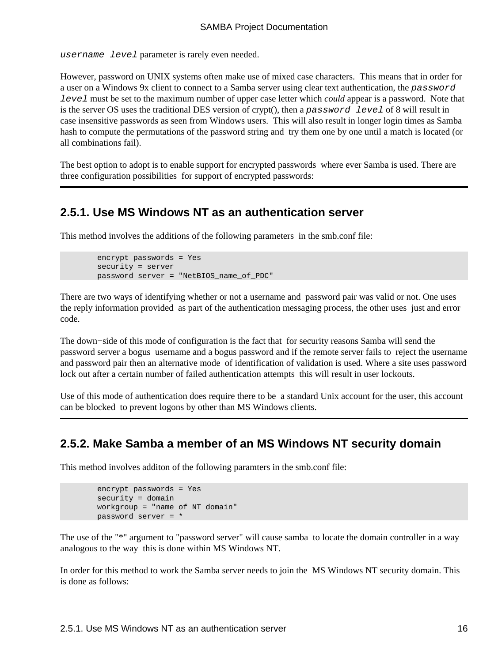<span id="page-20-0"></span>username level parameter is rarely even needed.

However, password on UNIX systems often make use of mixed case characters. This means that in order for a user on a Windows 9x client to connect to a Samba server using clear text authentication, the password level must be set to the maximum number of upper case letter which *could* appear is a password. Note that is the server OS uses the traditional DES version of crypt(), then a password level of 8 will result in case insensitive passwords as seen from Windows users. This will also result in longer login times as Samba hash to compute the permutations of the password string and try them one by one until a match is located (or all combinations fail).

The best option to adopt is to enable support for encrypted passwords where ever Samba is used. There are three configuration possibilities for support of encrypted passwords:

#### **2.5.1. Use MS Windows NT as an authentication server**

This method involves the additions of the following parameters in the smb.conf file:

```
 encrypt passwords = Yes
 security = server
 password server = "NetBIOS_name_of_PDC"
```
There are two ways of identifying whether or not a username and password pair was valid or not. One uses the reply information provided as part of the authentication messaging process, the other uses just and error code.

The down−side of this mode of configuration is the fact that for security reasons Samba will send the password server a bogus username and a bogus password and if the remote server fails to reject the username and password pair then an alternative mode of identification of validation is used. Where a site uses password lock out after a certain number of failed authentication attempts this will result in user lockouts.

Use of this mode of authentication does require there to be a standard Unix account for the user, this account can be blocked to prevent logons by other than MS Windows clients.

#### **2.5.2. Make Samba a member of an MS Windows NT security domain**

This method involves additon of the following paramters in the smb.conf file:

```
 encrypt passwords = Yes
 security = domain
 workgroup = "name of NT domain"
 password server = *
```
The use of the "\*" argument to "password server" will cause samba to locate the domain controller in a way analogous to the way this is done within MS Windows NT.

In order for this method to work the Samba server needs to join the MS Windows NT security domain. This is done as follows: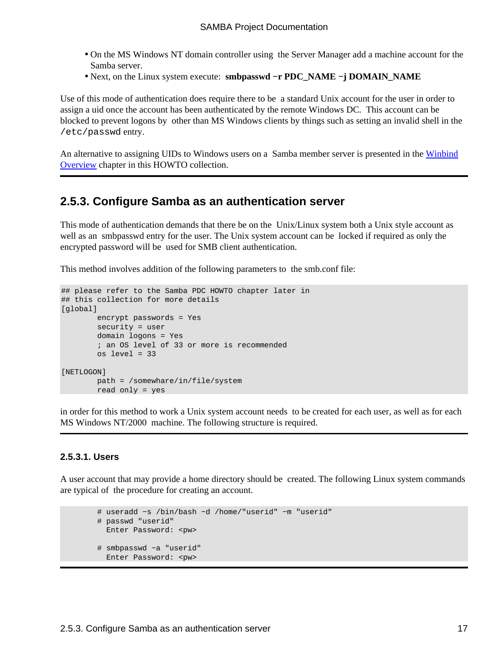- <span id="page-21-0"></span>• On the MS Windows NT domain controller using the Server Manager add a machine account for the Samba server.
- Next, on the Linux system execute: **smbpasswd −r PDC\_NAME −j DOMAIN\_NAME**

Use of this mode of authentication does require there to be a standard Unix account for the user in order to assign a uid once the account has been authenticated by the remote Windows DC. This account can be blocked to prevent logons by other than MS Windows clients by things such as setting an invalid shell in the /etc/passwd entry.

An alternative to assigning UIDs to Windows users on a Samba member server is presented in the [Winbind](winbind.html) [Overview](winbind.html) chapter in this HOWTO collection.

#### **2.5.3. Configure Samba as an authentication server**

This mode of authentication demands that there be on the Unix/Linux system both a Unix style account as well as an smbpasswd entry for the user. The Unix system account can be locked if required as only the encrypted password will be used for SMB client authentication.

This method involves addition of the following parameters to the smb.conf file:

```
## please refer to the Samba PDC HOWTO chapter later in 
## this collection for more details
[global]
        encrypt passwords = Yes
        security = user
        domain logons = Yes
         ; an OS level of 33 or more is recommended
        os level = 33
[NETLOGON]
        path = /somewhare/in/file/system
        read only = yes
```
in order for this method to work a Unix system account needs to be created for each user, as well as for each MS Windows NT/2000 machine. The following structure is required.

#### **2.5.3.1. Users**

A user account that may provide a home directory should be created. The following Linux system commands are typical of the procedure for creating an account.

```
 # useradd −s /bin/bash −d /home/"userid" −m "userid"
 # passwd "userid"
  Enter Password: <pw>
 # smbpasswd −a "userid"
  Enter Password: <pw>
```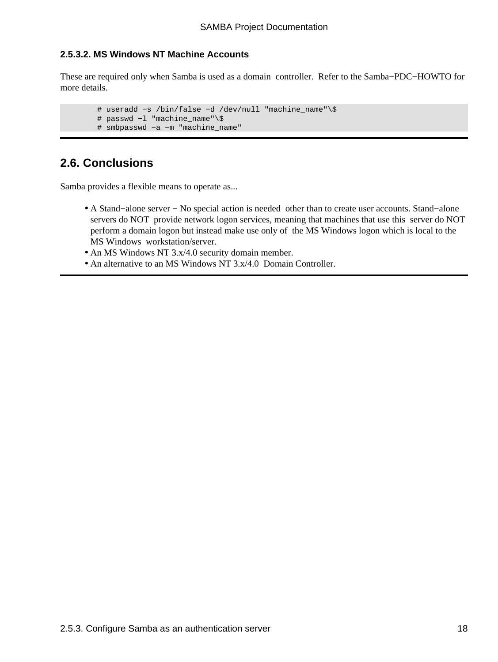#### <span id="page-22-0"></span>**2.5.3.2. MS Windows NT Machine Accounts**

These are required only when Samba is used as a domain controller. Refer to the Samba−PDC−HOWTO for more details.

```
 # useradd −s /bin/false −d /dev/null "machine_name"\$
 # passwd −l "machine_name"\$
 # smbpasswd −a −m "machine_name"
```
### **2.6. Conclusions**

Samba provides a flexible means to operate as...

- A Stand−alone server − No special action is needed other than to create user accounts. Stand−alone servers do NOT provide network logon services, meaning that machines that use this server do NOT perform a domain logon but instead make use only of the MS Windows logon which is local to the MS Windows workstation/server.
- An MS Windows NT 3.x/4.0 security domain member.
- An alternative to an MS Windows NT 3.x/4.0 Domain Controller.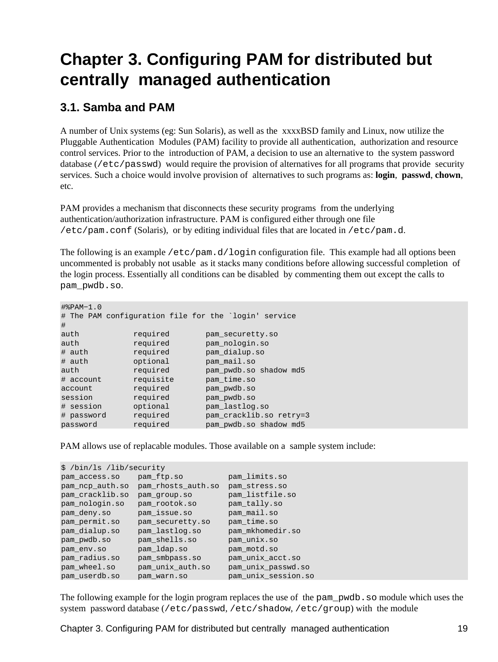# <span id="page-23-0"></span>**Chapter 3. Configuring PAM for distributed but centrally managed authentication**

# **3.1. Samba and PAM**

\$ /bin/ls /lib/security

A number of Unix systems (eg: Sun Solaris), as well as the xxxxBSD family and Linux, now utilize the Pluggable Authentication Modules (PAM) facility to provide all authentication, authorization and resource control services. Prior to the introduction of PAM, a decision to use an alternative to the system password database (/etc/passwd) would require the provision of alternatives for all programs that provide security services. Such a choice would involve provision of alternatives to such programs as: **login**, **passwd**, **chown**, etc.

PAM provides a mechanism that disconnects these security programs from the underlying authentication/authorization infrastructure. PAM is configured either through one file /etc/pam.conf (Solaris), or by editing individual files that are located in /etc/pam.d.

The following is an example /etc/pam.d/login configuration file. This example had all options been uncommented is probably not usable as it stacks many conditions before allowing successful completion of the login process. Essentially all conditions can be disabled by commenting them out except the calls to pam\_pwdb.so.

```
#%PAM−1.0
# The PAM configuration file for the `login' service
#
auth required pam_securetty.so
auth required pam_nologin.so
# auth required pam_dialup.so
# auth optional pam_mail.so
auth required pam_pwdb.so shadow md5
# account requisite pam_time.so
account required pam_pwdb.so<br>session required pam_pwdb.so
session required pam_pwdb.so<br># session optional pam_lastlog<br># password required pam_crackli
# session optional pam_lastlog.so
# password required pam_cracklib.so retry=3
password required pam_pwdb.so shadow md5
```
PAM allows use of replacable modules. Those available on a sample system include:

| \$ /bin/ls /lib/security |                    |                     |  |  |
|--------------------------|--------------------|---------------------|--|--|
| pam_access.so            | pam_ftp.so         | pam_limits.so       |  |  |
| pam_ncp_auth.so          | pam_rhosts_auth.so | pam_stress.so       |  |  |
| pam_cracklib.so          | pam_group.so       | pam_listfile.so     |  |  |
| pam_nologin.so           | pam rootok.so      | pam_tally.so        |  |  |
| pam_deny.so              | pam issue.so       | pam mail.so         |  |  |
| pam permit.so            | pam_securetty.so   | pam_time.so         |  |  |
| pam_dialup.so            | pam_lastlog.so     | pam_mkhomedir.so    |  |  |
| pam_pwdb.so              | pam_shells.so      | pam unix.so         |  |  |
| pam_env.so               | pam ldap.so        | pam motd.so         |  |  |
| pam radius.so            | pam smbpass.so     | pam unix acct.so    |  |  |
| pam_wheel.so             | pam unix auth.so   | pam_unix_passwd.so  |  |  |
| pam_userdb.so            | pam_warn.so        | pam unix session.so |  |  |

The following example for the login program replaces the use of the pam\_pwdb.so module which uses the system password database (/etc/passwd, /etc/shadow, /etc/group) with the module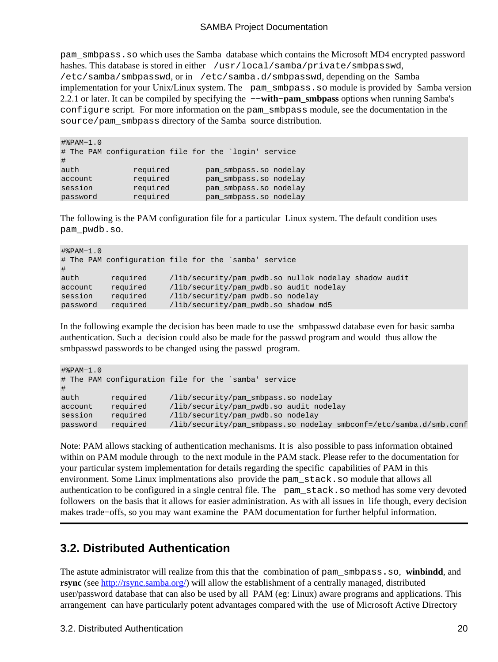#### SAMBA Project Documentation

<span id="page-24-0"></span>pam\_smbpass.so which uses the Samba database which contains the Microsoft MD4 encrypted password hashes. This database is stored in either /usr/local/samba/private/smbpasswd, /etc/samba/smbpasswd, or in /etc/samba.d/smbpasswd, depending on the Samba implementation for your Unix/Linux system. The pam\_smbpass.so module is provided by Samba version 2.2.1 or later. It can be compiled by specifying the **−−with−pam\_smbpass** options when running Samba's configure script. For more information on the pam\_smbpass module, see the documentation in the source/pam\_smbpass directory of the Samba source distribution.

```
#%PAM−1.0
# The PAM configuration file for the `login' service
#
auth required pam_smbpass.so nodelay
account required pam_smbpass.so nodelay
session required pam_smbpass.so nodelay
password required pam_smbpass.so nodelay
```
The following is the PAM configuration file for a particular Linux system. The default condition uses pam\_pwdb.so.

```
#%PAM−1.0
# The PAM configuration file for the `samba' service
#
auth required /lib/security/pam_pwdb.so nullok nodelay shadow audit
account required /lib/security/pam_pwdb.so audit nodelay
session required /lib/security/pam_pwdb.so nodelay
password required /lib/security/pam_pwdb.so shadow md5
```
In the following example the decision has been made to use the smbpasswd database even for basic samba authentication. Such a decision could also be made for the passwd program and would thus allow the smbpasswd passwords to be changed using the passwd program.

```
#%PAM−1.0
# The PAM configuration file for the `samba' service
#
auth required /lib/security/pam_smbpass.so nodelay
account required /lib/security/pam_pwdb.so audit nodelay
session required /lib/security/pam_pwdb.so nodelay
password required /lib/security/pam_smbpass.so nodelay smbconf=/etc/samba.d/smb.conf
```
Note: PAM allows stacking of authentication mechanisms. It is also possible to pass information obtained within on PAM module through to the next module in the PAM stack. Please refer to the documentation for your particular system implementation for details regarding the specific capabilities of PAM in this environment. Some Linux implmentations also provide the pam\_stack.so module that allows all authentication to be configured in a single central file. The pam\_stack.so method has some very devoted followers on the basis that it allows for easier administration. As with all issues in life though, every decision makes trade−offs, so you may want examine the PAM documentation for further helpful information.

#### **3.2. Distributed Authentication**

The astute administrator will realize from this that the combination of pam\_smbpass.so, **winbindd**, and **rsync** (see <http://rsync.samba.org/>) will allow the establishment of a centrally managed, distributed user/password database that can also be used by all PAM (eg: Linux) aware programs and applications. This arrangement can have particularly potent advantages compared with the use of Microsoft Active Directory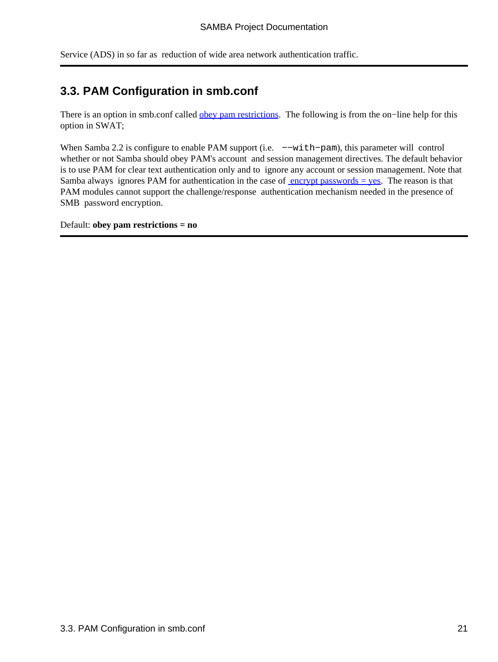<span id="page-25-0"></span>Service (ADS) in so far as reduction of wide area network authentication traffic.

## **3.3. PAM Configuration in smb.conf**

There is an option in smb.conf called <u>obey pam restrictions</u>. The following is from the on−line help for this option in SWAT;

When Samba 2.2 is configure to enable PAM support (i.e. --with-pam), this parameter will control whether or not Samba should obey PAM's account and session management directives. The default behavior is to use PAM for clear text authentication only and to ignore any account or session management. Note that Samba always ignores PAM for authentication in the case of encrypt passwords  $=$  yes. The reason is that PAM modules cannot support the challenge/response authentication mechanism needed in the presence of SMB password encryption.

Default: **obey pam restrictions = no**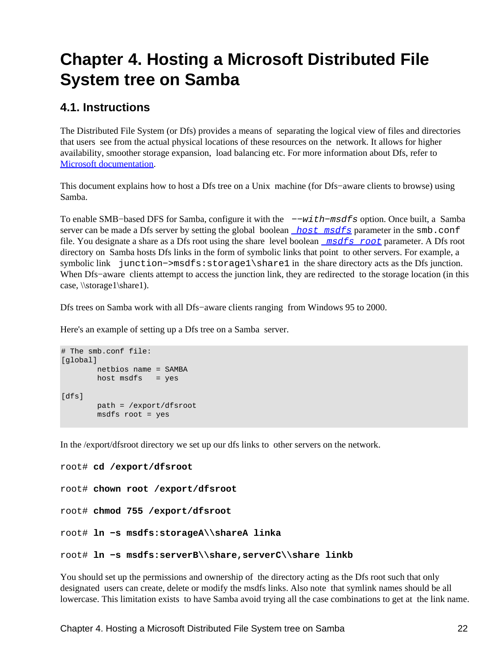# <span id="page-26-0"></span>**Chapter 4. Hosting a Microsoft Distributed File System tree on Samba**

# **4.1. Instructions**

The Distributed File System (or Dfs) provides a means of separating the logical view of files and directories that users see from the actual physical locations of these resources on the network. It allows for higher availability, smoother storage expansion, load balancing etc. For more information about Dfs, refer to [Microsoft documentation.](http://www.microsoft.com/NTServer/nts/downloads/winfeatures/NTSDistrFile/AdminGuide.asp)

This document explains how to host a Dfs tree on a Unix machine (for Dfs−aware clients to browse) using Samba.

To enable SMB–based DFS for Samba, configure it with the  $-$ with–msdfs option. Once built, a Samba server can be made a Dfs server by setting the global boolean [host msdfs](#HOSTMSDFS) parameter in the smb.conf file. You designate a share as a Dfs root using the share level boolean  $msdfs$  root parameter. A Dfs root directory on Samba hosts Dfs links in the form of symbolic links that point to other servers. For example, a symbolic link junction−>msdfs:storage1\share1 in the share directory acts as the Dfs junction. When Dfs−aware clients attempt to access the junction link, they are redirected to the storage location (in this case, \\storage1\share1).

Dfs trees on Samba work with all Dfs−aware clients ranging from Windows 95 to 2000.

Here's an example of setting up a Dfs tree on a Samba server.

```
# The smb.conf file:
[global]
        netbios name = SAMBA
       host msdfs = yes[dfs]
        path = /export/dfsroot
        msdfs root = yes
```
In the /export/dfsroot directory we set up our dfs links to other servers on the network.

```
root# cd /export/dfsroot
root# chown root /export/dfsroot
root# chmod 755 /export/dfsroot
root# ln −s msdfs:storageA\\shareA linka
root# ln −s msdfs:serverB\\share,serverC\\share linkb
```
You should set up the permissions and ownership of the directory acting as the Dfs root such that only designated users can create, delete or modify the msdfs links. Also note that symlink names should be all lowercase. This limitation exists to have Samba avoid trying all the case combinations to get at the link name.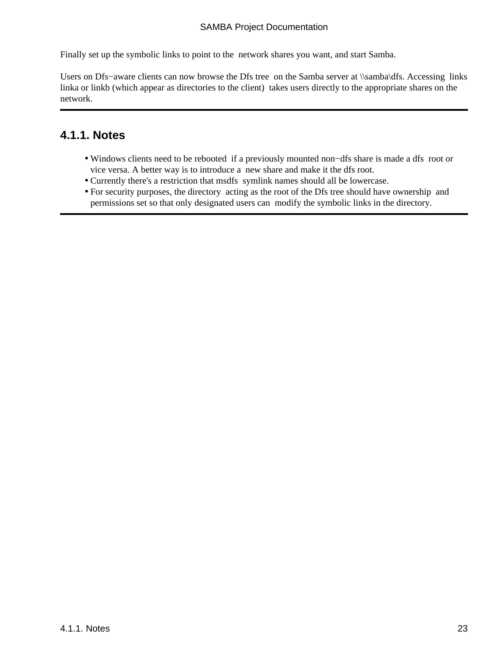#### SAMBA Project Documentation

<span id="page-27-0"></span>Finally set up the symbolic links to point to the network shares you want, and start Samba.

Users on Dfs−aware clients can now browse the Dfs tree on the Samba server at \\samba\dfs. Accessing links linka or linkb (which appear as directories to the client) takes users directly to the appropriate shares on the network.

## **4.1.1. Notes**

- Windows clients need to be rebooted if a previously mounted non−dfs share is made a dfs root or vice versa. A better way is to introduce a new share and make it the dfs root.
- Currently there's a restriction that msdfs symlink names should all be lowercase.
- For security purposes, the directory acting as the root of the Dfs tree should have ownership and permissions set so that only designated users can modify the symbolic links in the directory.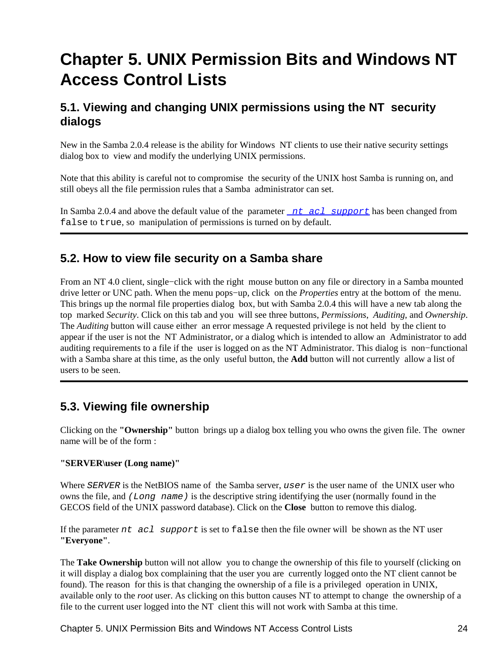# <span id="page-28-0"></span>**Chapter 5. UNIX Permission Bits and Windows NT Access Control Lists**

## **5.1. Viewing and changing UNIX permissions using the NT security dialogs**

New in the Samba 2.0.4 release is the ability for Windows NT clients to use their native security settings dialog box to view and modify the underlying UNIX permissions.

Note that this ability is careful not to compromise the security of the UNIX host Samba is running on, and still obeys all the file permission rules that a Samba administrator can set.

In Samba 2.0.4 and above the default value of the parameter  $nt$  acl support has been changed from false to true, so manipulation of permissions is turned on by default.

#### **5.2. How to view file security on a Samba share**

From an NT 4.0 client, single−click with the right mouse button on any file or directory in a Samba mounted drive letter or UNC path. When the menu pops−up, click on the *Properties* entry at the bottom of the menu. This brings up the normal file properties dialog box, but with Samba 2.0.4 this will have a new tab along the top marked *Security*. Click on this tab and you will see three buttons, *Permissions*, *Auditing*, and *Ownership*. The *Auditing* button will cause either an error message A requested privilege is not held by the client to appear if the user is not the NT Administrator, or a dialog which is intended to allow an Administrator to add auditing requirements to a file if the user is logged on as the NT Administrator. This dialog is non−functional with a Samba share at this time, as the only useful button, the **Add** button will not currently allow a list of users to be seen.

### **5.3. Viewing file ownership**

Clicking on the **"Ownership"** button brings up a dialog box telling you who owns the given file. The owner name will be of the form :

#### **"SERVER\user (Long name)"**

Where  $SERVER$  is the NetBIOS name of the Samba server, user is the user name of the UNIX user who owns the file, and (Long name) is the descriptive string identifying the user (normally found in the GECOS field of the UNIX password database). Click on the **Close** button to remove this dialog.

If the parameter  $nt \text{ } act \text{ support}$  is set to false then the file owner will be shown as the NT user **"Everyone"**.

The **Take Ownership** button will not allow you to change the ownership of this file to yourself (clicking on it will display a dialog box complaining that the user you are currently logged onto the NT client cannot be found). The reason for this is that changing the ownership of a file is a privileged operation in UNIX, available only to the *root* user. As clicking on this button causes NT to attempt to change the ownership of a file to the current user logged into the NT client this will not work with Samba at this time.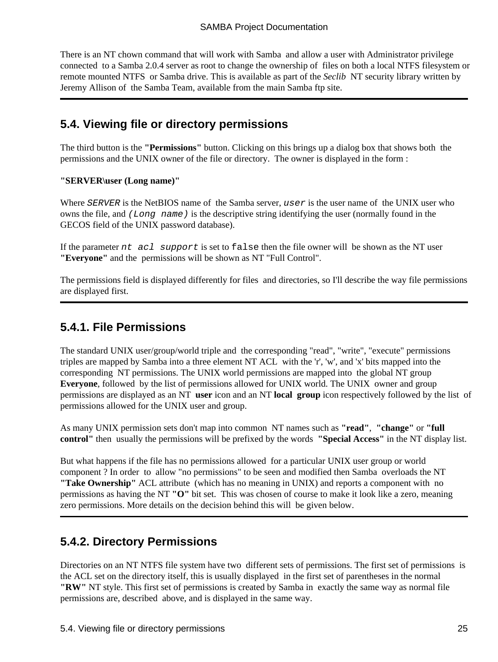#### SAMBA Project Documentation

<span id="page-29-0"></span>There is an NT chown command that will work with Samba and allow a user with Administrator privilege connected to a Samba 2.0.4 server as root to change the ownership of files on both a local NTFS filesystem or remote mounted NTFS or Samba drive. This is available as part of the *Seclib* NT security library written by Jeremy Allison of the Samba Team, available from the main Samba ftp site.

## **5.4. Viewing file or directory permissions**

The third button is the **"Permissions"** button. Clicking on this brings up a dialog box that shows both the permissions and the UNIX owner of the file or directory. The owner is displayed in the form :

#### **"SERVER\user (Long name)"**

Where SERVER is the NetBIOS name of the Samba server, user is the user name of the UNIX user who owns the file, and (Long name) is the descriptive string identifying the user (normally found in the GECOS field of the UNIX password database).

If the parameter  $nt$  acl support is set to false then the file owner will be shown as the NT user **"Everyone"** and the permissions will be shown as NT "Full Control".

The permissions field is displayed differently for files and directories, so I'll describe the way file permissions are displayed first.

## **5.4.1. File Permissions**

The standard UNIX user/group/world triple and the corresponding "read", "write", "execute" permissions triples are mapped by Samba into a three element NT ACL with the 'r', 'w', and 'x' bits mapped into the corresponding NT permissions. The UNIX world permissions are mapped into the global NT group **Everyone**, followed by the list of permissions allowed for UNIX world. The UNIX owner and group permissions are displayed as an NT **user** icon and an NT **local group** icon respectively followed by the list of permissions allowed for the UNIX user and group.

As many UNIX permission sets don't map into common NT names such as **"read"**, **"change"** or **"full control"** then usually the permissions will be prefixed by the words **"Special Access"** in the NT display list.

But what happens if the file has no permissions allowed for a particular UNIX user group or world component ? In order to allow "no permissions" to be seen and modified then Samba overloads the NT **"Take Ownership"** ACL attribute (which has no meaning in UNIX) and reports a component with no permissions as having the NT **"O"** bit set. This was chosen of course to make it look like a zero, meaning zero permissions. More details on the decision behind this will be given below.

# **5.4.2. Directory Permissions**

Directories on an NT NTFS file system have two different sets of permissions. The first set of permissions is the ACL set on the directory itself, this is usually displayed in the first set of parentheses in the normal **"RW"** NT style. This first set of permissions is created by Samba in exactly the same way as normal file permissions are, described above, and is displayed in the same way.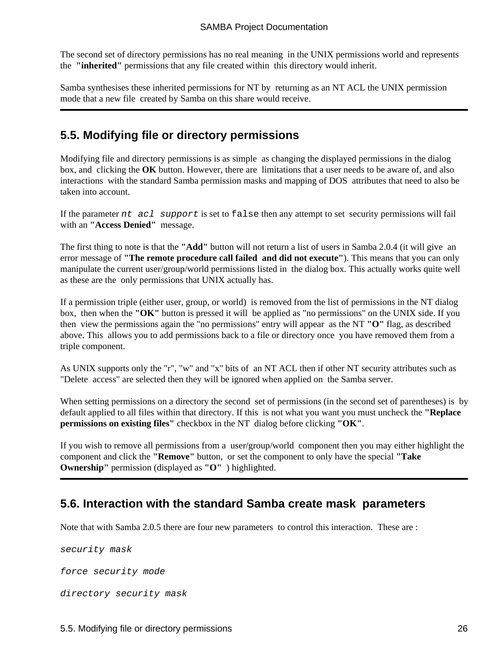<span id="page-30-0"></span>The second set of directory permissions has no real meaning in the UNIX permissions world and represents the **"inherited"** permissions that any file created within this directory would inherit.

Samba synthesises these inherited permissions for NT by returning as an NT ACL the UNIX permission mode that a new file created by Samba on this share would receive.

# **5.5. Modifying file or directory permissions**

Modifying file and directory permissions is as simple as changing the displayed permissions in the dialog box, and clicking the **OK** button. However, there are limitations that a user needs to be aware of, and also interactions with the standard Samba permission masks and mapping of DOS attributes that need to also be taken into account.

If the parameter  $nt$  acl support is set to false then any attempt to set security permissions will fail with an **"Access Denied"** message.

The first thing to note is that the **"Add"** button will not return a list of users in Samba 2.0.4 (it will give an error message of **"The remote procedure call failed and did not execute"**). This means that you can only manipulate the current user/group/world permissions listed in the dialog box. This actually works quite well as these are the only permissions that UNIX actually has.

If a permission triple (either user, group, or world) is removed from the list of permissions in the NT dialog box, then when the **"OK"** button is pressed it will be applied as "no permissions" on the UNIX side. If you then view the permissions again the "no permissions" entry will appear as the NT **"O"** flag, as described above. This allows you to add permissions back to a file or directory once you have removed them from a triple component.

As UNIX supports only the "r", "w" and "x" bits of an NT ACL then if other NT security attributes such as "Delete access" are selected then they will be ignored when applied on the Samba server.

When setting permissions on a directory the second set of permissions (in the second set of parentheses) is by default applied to all files within that directory. If this is not what you want you must uncheck the **"Replace permissions on existing files"** checkbox in the NT dialog before clicking **"OK"**.

If you wish to remove all permissions from a user/group/world component then you may either highlight the component and click the **"Remove"** button, or set the component to only have the special **"Take Ownership"** permission (displayed as **"O"** ) highlighted.

### **5.6. Interaction with the standard Samba create mask parameters**

Note that with Samba 2.0.5 there are four new parameters to control this interaction. These are :

security mask

force security mode

directory security mask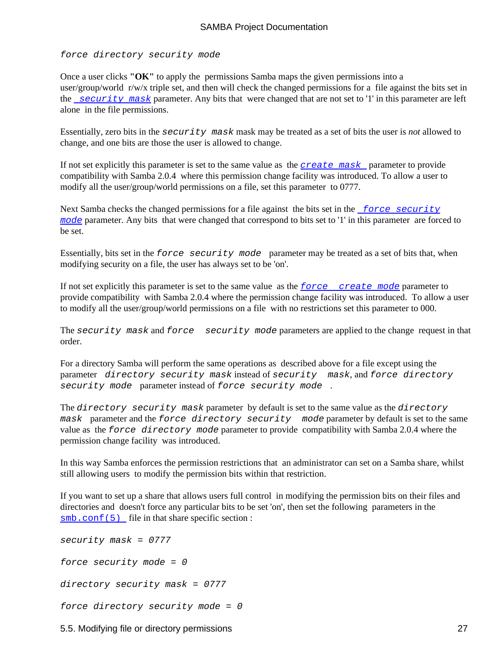#### SAMBA Project Documentation

force directory security mode

Once a user clicks **"OK"** to apply the permissions Samba maps the given permissions into a user/group/world r/w/x triple set, and then will check the changed permissions for a file against the bits set in the [security mask](#SECURITYMASK) parameter. Any bits that were changed that are not set to '1' in this parameter are left alone in the file permissions.

Essentially, zero bits in the security mask mask may be treated as a set of bits the user is *not* allowed to change, and one bits are those the user is allowed to change.

If not set explicitly this parameter is set to the same value as the *create mask* parameter to provide compatibility with Samba 2.0.4 where this permission change facility was introduced. To allow a user to modify all the user/group/world permissions on a file, set this parameter to 0777.

Next Samba checks the changed permissions for a file against the bits set in the  $\epsilon$  [force security](#FORCESECURITYMODE) [mode](#FORCESECURITYMODE) parameter. Any bits that were changed that correspond to bits set to '1' in this parameter are forced to be set.

Essentially, bits set in the force security mode parameter may be treated as a set of bits that, when modifying security on a file, the user has always set to be 'on'.

If not set explicitly this parameter is set to the same value as the  $force$  create mode parameter to provide compatibility with Samba 2.0.4 where the permission change facility was introduced. To allow a user to modify all the user/group/world permissions on a file with no restrictions set this parameter to 000.

The security mask and force security mode parameters are applied to the change request in that order.

For a directory Samba will perform the same operations as described above for a file except using the parameter directory security mask instead of security mask, and force directory security mode parameter instead of force security mode.

The directory security mask parameter by default is set to the same value as the directory mask parameter and the force directory security mode parameter by default is set to the same value as the force directory mode parameter to provide compatibility with Samba 2.0.4 where the permission change facility was introduced.

In this way Samba enforces the permission restrictions that an administrator can set on a Samba share, whilst still allowing users to modify the permission bits within that restriction.

If you want to set up a share that allows users full control in modifying the permission bits on their files and directories and doesn't force any particular bits to be set 'on', then set the following parameters in the  $smb.conf(5)$  file in that share specific section :

security mask = 0777 force security mode = 0 directory security mask = 0777 force directory security mode =  $0$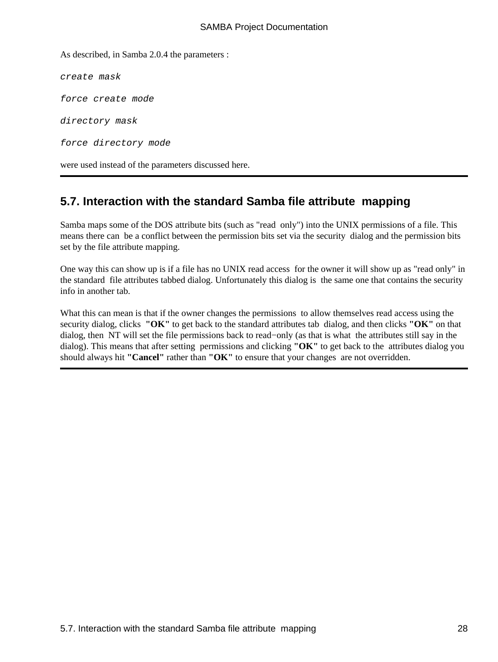<span id="page-32-0"></span>As described, in Samba 2.0.4 the parameters :

create mask

force create mode

directory mask

force directory mode

were used instead of the parameters discussed here.

#### **5.7. Interaction with the standard Samba file attribute mapping**

Samba maps some of the DOS attribute bits (such as "read only") into the UNIX permissions of a file. This means there can be a conflict between the permission bits set via the security dialog and the permission bits set by the file attribute mapping.

One way this can show up is if a file has no UNIX read access for the owner it will show up as "read only" in the standard file attributes tabbed dialog. Unfortunately this dialog is the same one that contains the security info in another tab.

What this can mean is that if the owner changes the permissions to allow themselves read access using the security dialog, clicks **"OK"** to get back to the standard attributes tab dialog, and then clicks **"OK"** on that dialog, then NT will set the file permissions back to read−only (as that is what the attributes still say in the dialog). This means that after setting permissions and clicking **"OK"** to get back to the attributes dialog you should always hit **"Cancel"** rather than **"OK"** to ensure that your changes are not overridden.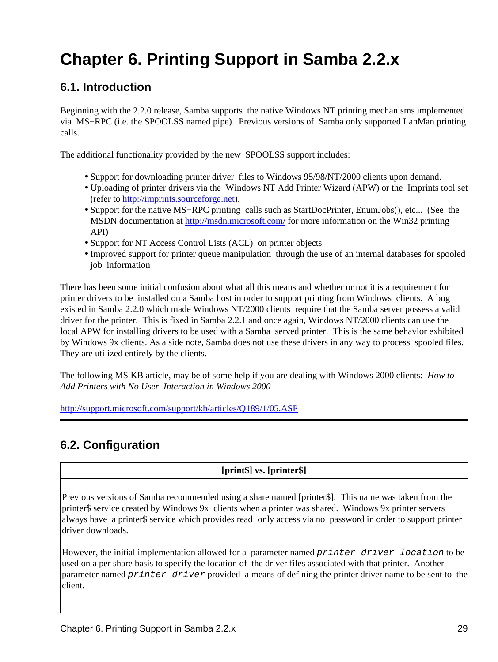# <span id="page-33-0"></span>**Chapter 6. Printing Support in Samba 2.2.x**

## **6.1. Introduction**

Beginning with the 2.2.0 release, Samba supports the native Windows NT printing mechanisms implemented via MS−RPC (i.e. the SPOOLSS named pipe). Previous versions of Samba only supported LanMan printing calls.

The additional functionality provided by the new SPOOLSS support includes:

- Support for downloading printer driver files to Windows 95/98/NT/2000 clients upon demand.
- Uploading of printer drivers via the Windows NT Add Printer Wizard (APW) or the Imprints tool set (refer to<http://imprints.sourceforge.net>).
- Support for the native MS−RPC printing calls such as StartDocPrinter, EnumJobs(), etc... (See the MSDN documentation at<http://msdn.microsoft.com/> for more information on the Win32 printing API)
- Support for NT Access Control Lists (ACL) on printer objects
- Improved support for printer queue manipulation through the use of an internal databases for spooled job information

There has been some initial confusion about what all this means and whether or not it is a requirement for printer drivers to be installed on a Samba host in order to support printing from Windows clients. A bug existed in Samba 2.2.0 which made Windows NT/2000 clients require that the Samba server possess a valid driver for the printer. This is fixed in Samba 2.2.1 and once again, Windows NT/2000 clients can use the local APW for installing drivers to be used with a Samba served printer. This is the same behavior exhibited by Windows 9x clients. As a side note, Samba does not use these drivers in any way to process spooled files. They are utilized entirely by the clients.

The following MS KB article, may be of some help if you are dealing with Windows 2000 clients: *How to Add Printers with No User Interaction in Windows 2000*

<http://support.microsoft.com/support/kb/articles/Q189/1/05.ASP>

# **6.2. Configuration**

#### **[print\$] vs. [printer\$]**

Previous versions of Samba recommended using a share named [printer\$]. This name was taken from the printer\$ service created by Windows 9x clients when a printer was shared. Windows 9x printer servers always have a printer\$ service which provides read−only access via no password in order to support printer driver downloads.

However, the initial implementation allowed for a parameter named printer driver location to be used on a per share basis to specify the location of the driver files associated with that printer. Another parameter named *printer driver* provided a means of defining the printer driver name to be sent to the client.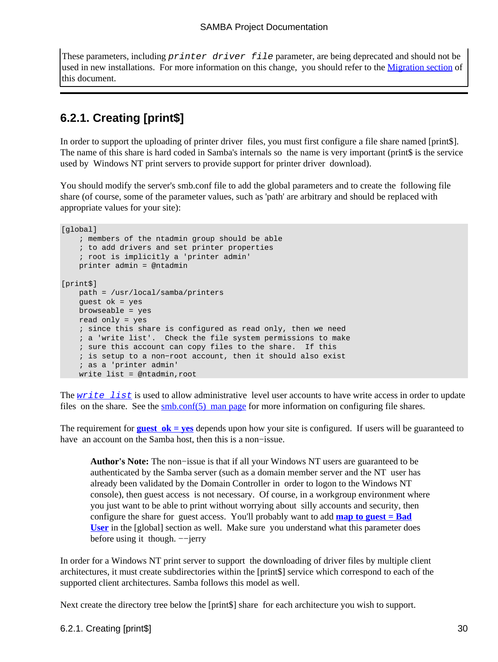<span id="page-34-0"></span>These parameters, including *printer driver file* parameter, are being deprecated and should not be used in new installations. For more information on this change, you should refer to the [Migration section](#page-39-0) of this document.

# **6.2.1. Creating [print\$]**

In order to support the uploading of printer driver files, you must first configure a file share named [print\$]. The name of this share is hard coded in Samba's internals so the name is very important (print\$ is the service used by Windows NT print servers to provide support for printer driver download).

You should modify the server's smb.conf file to add the global parameters and to create the following file share (of course, some of the parameter values, such as 'path' are arbitrary and should be replaced with appropriate values for your site):

```
[global]
    ; members of the ntadmin group should be able
     ; to add drivers and set printer properties
     ; root is implicitly a 'printer admin'
    printer admin = @ntadmin
[print$]
    path = /usr/local/samba/printers
    guest ok = yes
    browseable = yes
    read only = yes
    ; since this share is configured as read only, then we need
    ; a 'write list'. Check the file system permissions to make
    ; sure this account can copy files to the share. If this
     ; is setup to a non−root account, then it should also exist
     ; as a 'printer admin'
     write list = @ntadmin,root
```
The  $\psi$  rite list is used to allow administrative level user accounts to have write access in order to update files on the share. See the [smb.conf\(5\) man page](smb.conf.5.html) for more information on configuring file shares.

The requirement for **[guest ok = yes](#GUESTOK)** depends upon how your site is configured. If users will be guaranteed to have an account on the Samba host, then this is a non−issue.

**Author's Note:** The non−issue is that if all your Windows NT users are guaranteed to be authenticated by the Samba server (such as a domain member server and the NT user has already been validated by the Domain Controller in order to logon to the Windows NT console), then guest access is not necessary. Of course, in a workgroup environment where you just want to be able to print without worrying about silly accounts and security, then configure the share for guest access. You'll probably want to add **[map to guest = Bad](#MAPTOGUEST) [User](#MAPTOGUEST)** in the [global] section as well. Make sure you understand what this parameter does before using it though. --jerry

In order for a Windows NT print server to support the downloading of driver files by multiple client architectures, it must create subdirectories within the [print\$] service which correspond to each of the supported client architectures. Samba follows this model as well.

Next create the directory tree below the [print\$] share for each architecture you wish to support.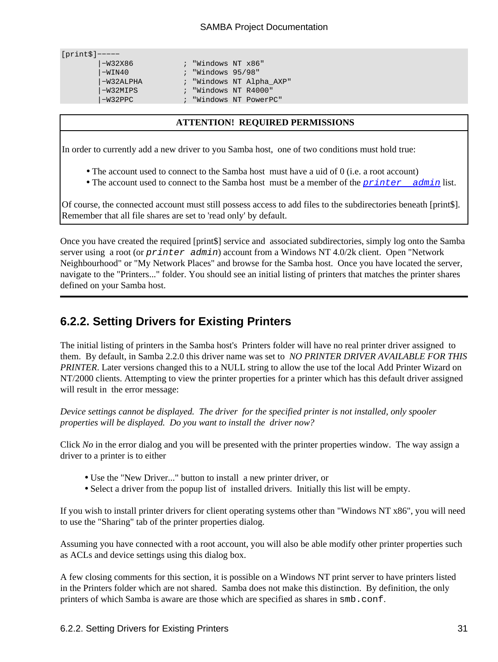```
[print$]−−−−−
```

```
 |−W32X86 ; "Windows NT x86"
 |−WIN40 ; "Windows 95/98"
 |−W32ALPHA ; "Windows NT Alpha_AXP"
 |−W32MIPS ; "Windows NT R4000"
 |−W32PPC ; "Windows NT PowerPC"
```
#### **ATTENTION! REQUIRED PERMISSIONS**

In order to currently add a new driver to you Samba host, one of two conditions must hold true:

- The account used to connect to the Samba host must have a uid of 0 (i.e. a root account)
- The account used to connect to the Samba host must be a member of the *printer* admin list.

Of course, the connected account must still possess access to add files to the subdirectories beneath [print\$]. Remember that all file shares are set to 'read only' by default.

Once you have created the required [print\$] service and associated subdirectories, simply log onto the Samba server using a root (or *printer admin*) account from a Windows NT 4.0/2k client. Open "Network Neighbourhood" or "My Network Places" and browse for the Samba host. Once you have located the server, navigate to the "Printers..." folder. You should see an initial listing of printers that matches the printer shares defined on your Samba host.

### **6.2.2. Setting Drivers for Existing Printers**

The initial listing of printers in the Samba host's Printers folder will have no real printer driver assigned to them. By default, in Samba 2.2.0 this driver name was set to *NO PRINTER DRIVER AVAILABLE FOR THIS PRINTER*. Later versions changed this to a NULL string to allow the use tof the local Add Printer Wizard on NT/2000 clients. Attempting to view the printer properties for a printer which has this default driver assigned will result in the error message:

*Device settings cannot be displayed. The driver for the specified printer is not installed, only spooler properties will be displayed. Do you want to install the driver now?*

Click *No* in the error dialog and you will be presented with the printer properties window. The way assign a driver to a printer is to either

- Use the "New Driver..." button to install a new printer driver, or
- Select a driver from the popup list of installed drivers. Initially this list will be empty.

If you wish to install printer drivers for client operating systems other than "Windows NT x86", you will need to use the "Sharing" tab of the printer properties dialog.

Assuming you have connected with a root account, you will also be able modify other printer properties such as ACLs and device settings using this dialog box.

A few closing comments for this section, it is possible on a Windows NT print server to have printers listed in the Printers folder which are not shared. Samba does not make this distinction. By definition, the only printers of which Samba is aware are those which are specified as shares in smb.conf.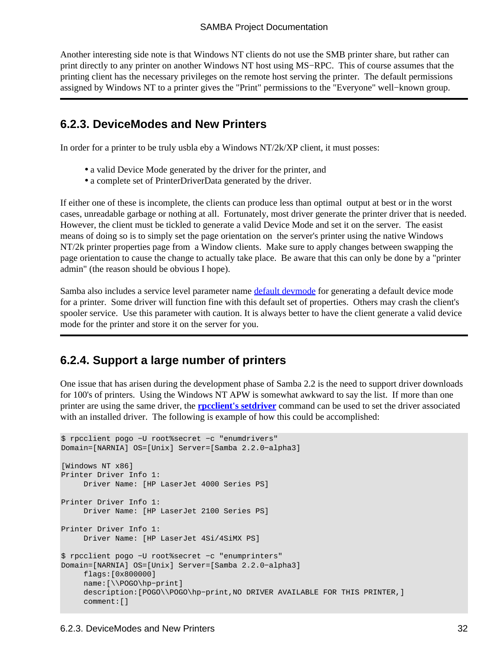Another interesting side note is that Windows NT clients do not use the SMB printer share, but rather can print directly to any printer on another Windows NT host using MS−RPC. This of course assumes that the printing client has the necessary privileges on the remote host serving the printer. The default permissions assigned by Windows NT to a printer gives the "Print" permissions to the "Everyone" well−known group.

### **6.2.3. DeviceModes and New Printers**

In order for a printer to be truly usbla eby a Windows NT/2k/XP client, it must posses:

- a valid Device Mode generated by the driver for the printer, and
- a complete set of PrinterDriverData generated by the driver.

If either one of these is incomplete, the clients can produce less than optimal output at best or in the worst cases, unreadable garbage or nothing at all. Fortunately, most driver generate the printer driver that is needed. However, the client must be tickled to generate a valid Device Mode and set it on the server. The easist means of doing so is to simply set the page orientation on the server's printer using the native Windows NT/2k printer properties page from a Window clients. Make sure to apply changes between swapping the page orientation to cause the change to actually take place. Be aware that this can only be done by a "printer admin" (the reason should be obvious I hope).

Samba also includes a service level parameter name [default devmode](#DEFAULTDEVMODE) for generating a default device mode for a printer. Some driver will function fine with this default set of properties. Others may crash the client's spooler service. Use this parameter with caution. It is always better to have the client generate a valid device mode for the printer and store it on the server for you.

# **6.2.4. Support a large number of printers**

One issue that has arisen during the development phase of Samba 2.2 is the need to support driver downloads for 100's of printers. Using the Windows NT APW is somewhat awkward to say the list. If more than one printer are using the same driver, the **[rpcclient's setdriver](rpcclient.1.html)** command can be used to set the driver associated with an installed driver. The following is example of how this could be accomplished:

```
$ rpcclient pogo −U root%secret −c "enumdrivers"
Domain=[NARNIA] OS=[Unix] Server=[Samba 2.2.0−alpha3]
[Windows NT x86]
Printer Driver Info 1:
     Driver Name: [HP LaserJet 4000 Series PS]
Printer Driver Info 1:
     Driver Name: [HP LaserJet 2100 Series PS]
Printer Driver Info 1:
     Driver Name: [HP LaserJet 4Si/4SiMX PS]
$ rpcclient pogo −U root%secret −c "enumprinters"
Domain=[NARNIA] OS=[Unix] Server=[Samba 2.2.0−alpha3]
     flags:[0x800000]
     name:[\\POGO\hp−print]
     description:[POGO\\POGO\hp−print,NO DRIVER AVAILABLE FOR THIS PRINTER,]
      comment:[]
```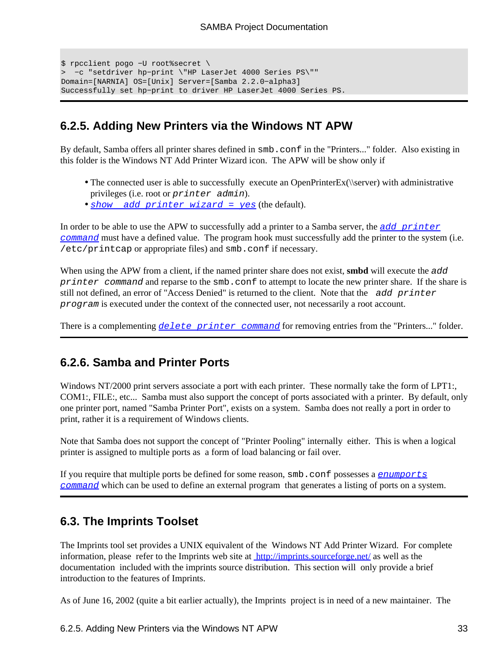```
$ rpcclient pogo −U root%secret \
> −c "setdriver hp−print \"HP LaserJet 4000 Series PS\""
Domain=[NARNIA] OS=[Unix] Server=[Samba 2.2.0−alpha3]
Successfully set hp−print to driver HP LaserJet 4000 Series PS.
```
### **6.2.5. Adding New Printers via the Windows NT APW**

By default, Samba offers all printer shares defined in smb.conf in the "Printers..." folder. Also existing in this folder is the Windows NT Add Printer Wizard icon. The APW will be show only if

- The connected user is able to successfully execute an OpenPrinterEx(\\server) with administrative privileges (i.e. root or printer admin).
- show add printer wizard =  $yes$  (the default).

In order to be able to use the APW to successfully add a printer to a Samba server, the [add printer](#ADDPRINTERCOMMAND) [command](#ADDPRINTERCOMMAND) must have a defined value. The program hook must successfully add the printer to the system (i.e. /etc/printcap or appropriate files) and smb.conf if necessary.

When using the APW from a client, if the named printer share does not exist, **smbd** will execute the add printer command and reparse to the smb.conf to attempt to locate the new printer share. If the share is still not defined, an error of "Access Denied" is returned to the client. Note that the add printer program is executed under the context of the connected user, not necessarily a root account.

There is a complementing *[delete printer command](#DELETEPRINTERCOMMAND)* for removing entries from the "Printers..." folder.

### **6.2.6. Samba and Printer Ports**

Windows NT/2000 print servers associate a port with each printer. These normally take the form of LPT1:, COM1:, FILE:, etc... Samba must also support the concept of ports associated with a printer. By default, only one printer port, named "Samba Printer Port", exists on a system. Samba does not really a port in order to print, rather it is a requirement of Windows clients.

Note that Samba does not support the concept of "Printer Pooling" internally either. This is when a logical printer is assigned to multiple ports as a form of load balancing or fail over.

If you require that multiple ports be defined for some reason, smb.conf possesses a [enumports](#ENUMPORTSCOMMAND) [command](#ENUMPORTSCOMMAND) which can be used to define an external program that generates a listing of ports on a system.

### **6.3. The Imprints Toolset**

The Imprints tool set provides a UNIX equivalent of the Windows NT Add Printer Wizard. For complete information, please refer to the Imprints web site at<http://imprints.sourceforge.net/>as well as the documentation included with the imprints source distribution. This section will only provide a brief introduction to the features of Imprints.

As of June 16, 2002 (quite a bit earlier actually), the Imprints project is in need of a new maintainer. The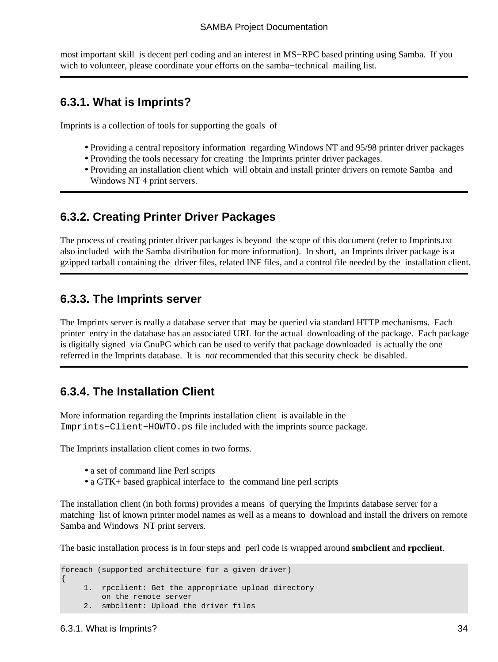most important skill is decent perl coding and an interest in MS−RPC based printing using Samba. If you wich to volunteer, please coordinate your efforts on the samba−technical mailing list.

### **6.3.1. What is Imprints?**

Imprints is a collection of tools for supporting the goals of

- Providing a central repository information regarding Windows NT and 95/98 printer driver packages
- Providing the tools necessary for creating the Imprints printer driver packages.
- Providing an installation client which will obtain and install printer drivers on remote Samba and Windows NT 4 print servers.

# **6.3.2. Creating Printer Driver Packages**

The process of creating printer driver packages is beyond the scope of this document (refer to Imprints.txt also included with the Samba distribution for more information). In short, an Imprints driver package is a gzipped tarball containing the driver files, related INF files, and a control file needed by the installation client.

### **6.3.3. The Imprints server**

The Imprints server is really a database server that may be queried via standard HTTP mechanisms. Each printer entry in the database has an associated URL for the actual downloading of the package. Each package is digitally signed via GnuPG which can be used to verify that package downloaded is actually the one referred in the Imprints database. It is *not* recommended that this security check be disabled.

## **6.3.4. The Installation Client**

More information regarding the Imprints installation client is available in the Imprints−Client−HOWTO.ps file included with the imprints source package.

The Imprints installation client comes in two forms.

- a set of command line Perl scripts
- a GTK+ based graphical interface to the command line perl scripts

The installation client (in both forms) provides a means of querying the Imprints database server for a matching list of known printer model names as well as a means to download and install the drivers on remote Samba and Windows NT print servers.

The basic installation process is in four steps and perl code is wrapped around **smbclient** and **rpcclient**.

```
foreach (supported architecture for a given driver)
{
      1. rpcclient: Get the appropriate upload directory 
          on the remote server
      2. smbclient: Upload the driver files
```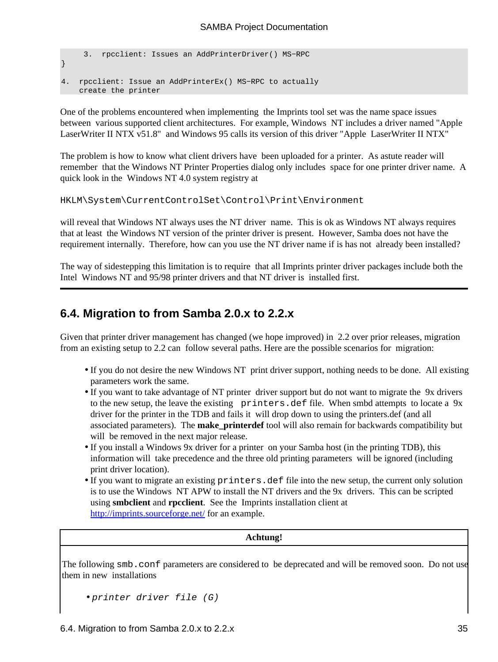```
 3. rpcclient: Issues an AddPrinterDriver() MS−RPC
}
4. rpcclient: Issue an AddPrinterEx() MS−RPC to actually
    create the printer
```
One of the problems encountered when implementing the Imprints tool set was the name space issues between various supported client architectures. For example, Windows NT includes a driver named "Apple LaserWriter II NTX v51.8" and Windows 95 calls its version of this driver "Apple LaserWriter II NTX"

The problem is how to know what client drivers have been uploaded for a printer. As astute reader will remember that the Windows NT Printer Properties dialog only includes space for one printer driver name. A quick look in the Windows NT 4.0 system registry at

```
HKLM\System\CurrentControlSet\Control\Print\Environment
```
will reveal that Windows NT always uses the NT driver name. This is ok as Windows NT always requires that at least the Windows NT version of the printer driver is present. However, Samba does not have the requirement internally. Therefore, how can you use the NT driver name if is has not already been installed?

The way of sidestepping this limitation is to require that all Imprints printer driver packages include both the Intel Windows NT and 95/98 printer drivers and that NT driver is installed first.

### **6.4. Migration to from Samba 2.0.x to 2.2.x**

Given that printer driver management has changed (we hope improved) in 2.2 over prior releases, migration from an existing setup to 2.2 can follow several paths. Here are the possible scenarios for migration:

- If you do not desire the new Windows NT print driver support, nothing needs to be done. All existing parameters work the same.
- If you want to take advantage of NT printer driver support but do not want to migrate the 9x drivers to the new setup, the leave the existing printers.def file. When smbd attempts to locate a 9x driver for the printer in the TDB and fails it will drop down to using the printers.def (and all associated parameters). The **make\_printerdef** tool will also remain for backwards compatibility but will be removed in the next major release.
- If you install a Windows 9x driver for a printer on your Samba host (in the printing TDB), this information will take precedence and the three old printing parameters will be ignored (including print driver location).
- If you want to migrate an existing printers.def file into the new setup, the current only solution is to use the Windows NT APW to install the NT drivers and the 9x drivers. This can be scripted using **smbclient** and **rpcclient**. See the Imprints installation client at <http://imprints.sourceforge.net/>for an example.

#### **Achtung!**

The following smb.conf parameters are considered to be deprecated and will be removed soon. Do not use them in new installations

```
• printer driver file (G)
```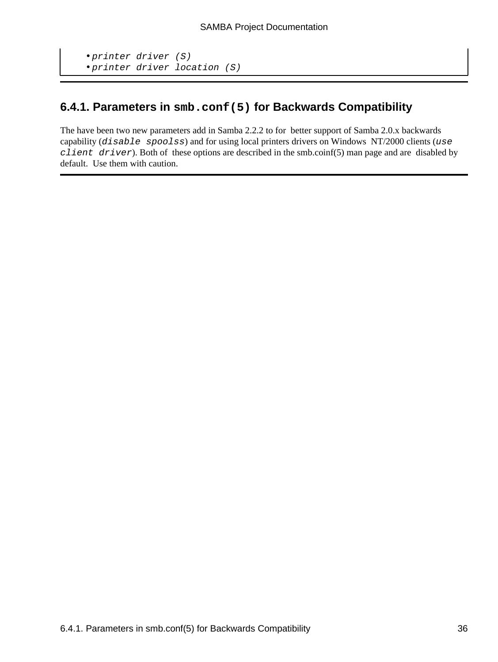```
• printer driver (S)
• printer driver location (S)
```
### **6.4.1. Parameters in smb.conf(5) for Backwards Compatibility**

The have been two new parameters add in Samba 2.2.2 to for better support of Samba 2.0.x backwards capability (disable spoolss) and for using local printers drivers on Windows NT/2000 clients (use client  $driver$ ). Both of these options are described in the smb.coinf(5) man page and are disabled by default. Use them with caution.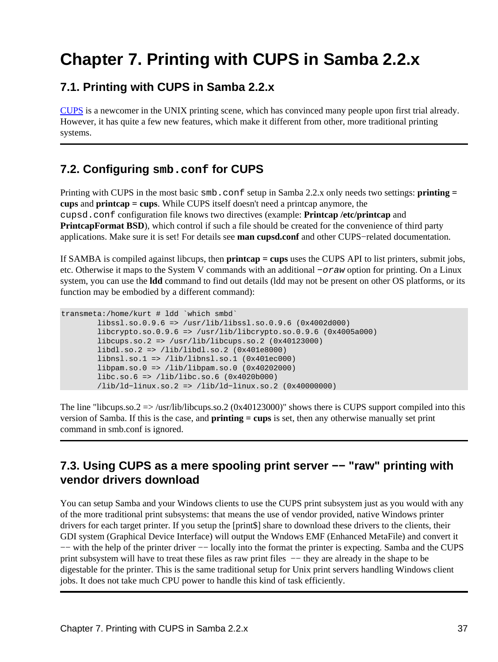# **Chapter 7. Printing with CUPS in Samba 2.2.x**

### **7.1. Printing with CUPS in Samba 2.2.x**

[CUPS](http://www.cups.org/) is a newcomer in the UNIX printing scene, which has convinced many people upon first trial already. However, it has quite a few new features, which make it different from other, more traditional printing systems.

# **7.2. Configuring smb.conf for CUPS**

Printing with CUPS in the most basic smb.conf setup in Samba 2.2.x only needs two settings: **printing = cups** and **printcap = cups**. While CUPS itself doesn't need a printcap anymore, the cupsd.conf configuration file knows two directives (example: **Printcap /etc/printcap** and **PrintcapFormat BSD**), which control if such a file should be created for the convenience of third party applications. Make sure it is set! For details see **man cupsd.conf** and other CUPS−related documentation.

If SAMBA is compiled against libcups, then **printcap = cups** uses the CUPS API to list printers, submit jobs, etc. Otherwise it maps to the System V commands with an additional –*oraw* option for printing. On a Linux system, you can use the **ldd** command to find out details (ldd may not be present on other OS platforms, or its function may be embodied by a different command):

```
transmeta:/home/kurt # ldd `which smbd`
         libssl.so.0.9.6 => /usr/lib/libssl.so.0.9.6 (0x4002d000)
         libcrypto.so.0.9.6 => /usr/lib/libcrypto.so.0.9.6 (0x4005a000)
         libcups.so.2 => /usr/lib/libcups.so.2 (0x40123000)
         libdl.so.2 => /lib/libdl.so.2 (0x401e8000)
         libnsl.so.1 => /lib/libnsl.so.1 (0x401ec000)
         libpam.so.0 => /lib/libpam.so.0 (0x40202000)
         libc.so.6 => /lib/libc.so.6 (0x4020b000)
         /lib/ld−linux.so.2 => /lib/ld−linux.so.2 (0x40000000)
```
The line "libcups.so.2  $\Rightarrow$  /usr/lib/libcups.so.2 (0x40123000)" shows there is CUPS support compiled into this version of Samba. If this is the case, and **printing = cups** is set, then any otherwise manually set print command in smb.conf is ignored.

# **7.3. Using CUPS as a mere spooling print server −− "raw" printing with vendor drivers download**

You can setup Samba and your Windows clients to use the CUPS print subsystem just as you would with any of the more traditional print subsystems: that means the use of vendor provided, native Windows printer drivers for each target printer. If you setup the [print\$] share to download these drivers to the clients, their GDI system (Graphical Device Interface) will output the Wndows EMF (Enhanced MetaFile) and convert it −− with the help of the printer driver −− locally into the format the printer is expecting. Samba and the CUPS print subsystem will have to treat these files as raw print files −− they are already in the shape to be digestable for the printer. This is the same traditional setup for Unix print servers handling Windows client jobs. It does not take much CPU power to handle this kind of task efficiently.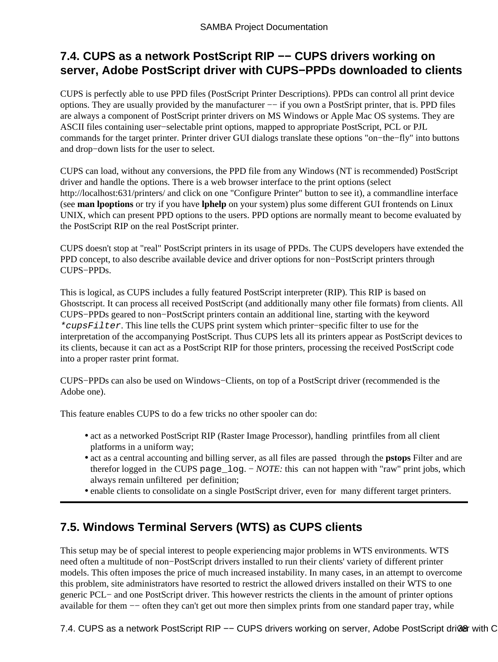# **7.4. CUPS as a network PostScript RIP −− CUPS drivers working on server, Adobe PostScript driver with CUPS−PPDs downloaded to clients**

CUPS is perfectly able to use PPD files (PostScript Printer Descriptions). PPDs can control all print device options. They are usually provided by the manufacturer  $-−$  if you own a PostSript printer, that is. PPD files are always a component of PostScript printer drivers on MS Windows or Apple Mac OS systems. They are ASCII files containing user−selectable print options, mapped to appropriate PostScript, PCL or PJL commands for the target printer. Printer driver GUI dialogs translate these options "on−the−fly" into buttons and drop−down lists for the user to select.

CUPS can load, without any conversions, the PPD file from any Windows (NT is recommended) PostScript driver and handle the options. There is a web browser interface to the print options (select http://localhost:631/printers/ and click on one "Configure Printer" button to see it), a commandline interface (see **man lpoptions** or try if you have **lphelp** on your system) plus some different GUI frontends on Linux UNIX, which can present PPD options to the users. PPD options are normally meant to become evaluated by the PostScript RIP on the real PostScript printer.

CUPS doesn't stop at "real" PostScript printers in its usage of PPDs. The CUPS developers have extended the PPD concept, to also describe available device and driver options for non–PostScript printers through CUPS−PPDs.

This is logical, as CUPS includes a fully featured PostScript interpreter (RIP). This RIP is based on Ghostscript. It can process all received PostScript (and additionally many other file formats) from clients. All CUPS−PPDs geared to non−PostScript printers contain an additional line, starting with the keyword \*cupsFilter. This line tells the CUPS print system which printer−specific filter to use for the interpretation of the accompanying PostScript. Thus CUPS lets all its printers appear as PostScript devices to its clients, because it can act as a PostScript RIP for those printers, processing the received PostScript code into a proper raster print format.

CUPS−PPDs can also be used on Windows−Clients, on top of a PostScript driver (recommended is the Adobe one).

This feature enables CUPS to do a few tricks no other spooler can do:

- act as a networked PostScript RIP (Raster Image Processor), handling printfiles from all client platforms in a uniform way;
- act as a central accounting and billing server, as all files are passed through the **pstops** Filter and are therefor logged in the CUPS page\_log. − *NOTE:* this can not happen with "raw" print jobs, which always remain unfiltered per definition;
- enable clients to consolidate on a single PostScript driver, even for many different target printers.

# **7.5. Windows Terminal Servers (WTS) as CUPS clients**

This setup may be of special interest to people experiencing major problems in WTS environments. WTS need often a multitude of non−PostScript drivers installed to run their clients' variety of different printer models. This often imposes the price of much increased instability. In many cases, in an attempt to overcome this problem, site administrators have resorted to restrict the allowed drivers installed on their WTS to one generic PCL− and one PostScript driver. This however restricts the clients in the amount of printer options available for them −− often they can't get out more then simplex prints from one standard paper tray, while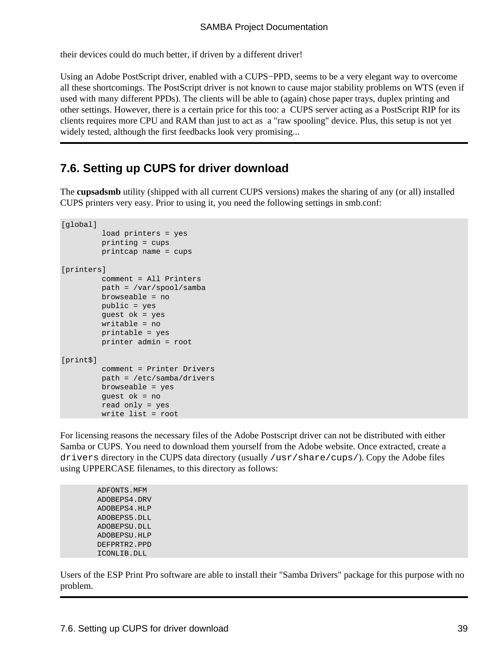their devices could do much better, if driven by a different driver!

Using an Adobe PostScript driver, enabled with a CUPS−PPD, seems to be a very elegant way to overcome all these shortcomings. The PostScript driver is not known to cause major stability problems on WTS (even if used with many different PPDs). The clients will be able to (again) chose paper trays, duplex printing and other settings. However, there is a certain price for this too: a CUPS server acting as a PostScript RIP for its clients requires more CPU and RAM than just to act as a "raw spooling" device. Plus, this setup is not yet widely tested, although the first feedbacks look very promising...

### **7.6. Setting up CUPS for driver download**

The **cupsadsmb** utility (shipped with all current CUPS versions) makes the sharing of any (or all) installed CUPS printers very easy. Prior to using it, you need the following settings in smb.conf:

```
[global]
          load printers = yes
          printing = cups
          printcap name = cups
[printers]
          comment = All Printers
         path = /var/spool/samba
         browseable = no
         public = yes
         guest ok = yes
         writable = no
         printable = yes
          printer admin = root
[print$]
          comment = Printer Drivers
          path = /etc/samba/drivers
         browseable = yes
          guest ok = no
          read only = yes
          write list = root
```
For licensing reasons the necessary files of the Adobe Postscript driver can not be distributed with either Samba or CUPS. You need to download them yourself from the Adobe website. Once extracted, create a drivers directory in the CUPS data directory (usually /usr/share/cups/). Copy the Adobe files using UPPERCASE filenames, to this directory as follows:

 ADFONTS.MFM ADOBEPS4.DRV ADOBEPS4.HLP ADOBEPS5.DLL ADOBEPSU.DLL ADOBEPSU.HLP DEFPRTR2.PPD ICONLIB.DLL

Users of the ESP Print Pro software are able to install their "Samba Drivers" package for this purpose with no problem.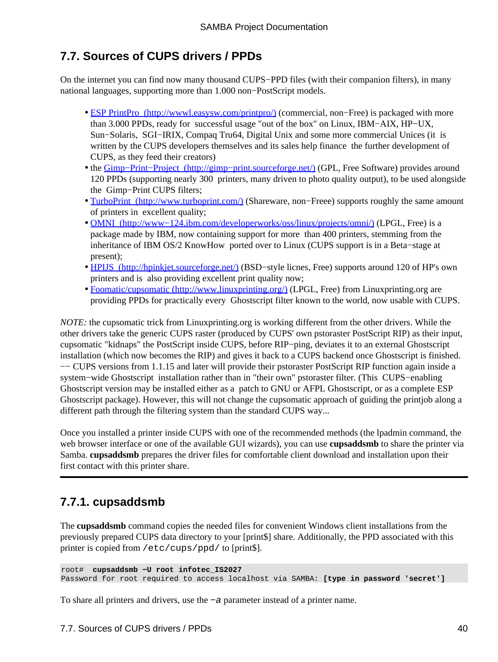# **7.7. Sources of CUPS drivers / PPDs**

On the internet you can find now many thousand CUPS−PPD files (with their companion filters), in many national languages, supporting more than 1.000 non−PostScript models.

- [ESP PrintPro \(http://wwwl.easysw.com/printpro/\)](http://wwwl.easysw.com/printpro/) (commercial, non–Free) is packaged with more than 3.000 PPDs, ready for successful usage "out of the box" on Linux, IBM−AIX, HP−UX, Sun−Solaris, SGI−IRIX, Compaq Tru64, Digital Unix and some more commercial Unices (it is written by the CUPS developers themselves and its sales help finance the further development of CUPS, as they feed their creators)
- the Gimp–Print–Project (http://gimp–print.sourceforge.net/) (GPL, Free Software) provides around 120 PPDs (supporting nearly 300 printers, many driven to photo quality output), to be used alongside the Gimp−Print CUPS filters;
- [TurboPrint \(http://www.turboprint.com/\)](http://www.turboprint.com/) (Shareware, non–Freee) supports roughly the same amount of printers in excellent quality;
- OMNI (http://www–124.ibm.com/developerworks/oss/linux/projects/omni/) (LPGL, Free) is a package made by IBM, now containing support for more than 400 printers, stemming from the inheritance of IBM OS/2 KnowHow ported over to Linux (CUPS support is in a Beta−stage at present);
- [HPIJS \(http://hpinkjet.sourceforge.net/\)](http://hpinkjet.sourceforge.net/) (BSD–style licnes, Free) supports around 120 of HP's own printers and is also providing excellent print quality now;
- [Foomatic/cupsomatic \(http://www.linuxprinting.org/\)](http://www.linuxprinting.org/) (LPGL, Free) from Linuxprinting.org are providing PPDs for practically every Ghostscript filter known to the world, now usable with CUPS.

*NOTE:* the cupsomatic trick from Linuxprinting.org is working different from the other drivers. While the other drivers take the generic CUPS raster (produced by CUPS' own pstoraster PostScript RIP) as their input, cupsomatic "kidnaps" the PostScript inside CUPS, before RIP−ping, deviates it to an external Ghostscript installation (which now becomes the RIP) and gives it back to a CUPS backend once Ghostscript is finished. −− CUPS versions from 1.1.15 and later will provide their pstoraster PostScript RIP function again inside a system–wide Ghostscript installation rather than in "their own" pstoraster filter. (This CUPS–enabling Ghostscript version may be installed either as a patch to GNU or AFPL Ghostscript, or as a complete ESP Ghostscript package). However, this will not change the cupsomatic approach of guiding the printjob along a different path through the filtering system than the standard CUPS way...

Once you installed a printer inside CUPS with one of the recommended methods (the lpadmin command, the web browser interface or one of the available GUI wizards), you can use **cupsaddsmb** to share the printer via Samba. **cupsaddsmb** prepares the driver files for comfortable client download and installation upon their first contact with this printer share.

# **7.7.1. cupsaddsmb**

The **cupsaddsmb** command copies the needed files for convenient Windows client installations from the previously prepared CUPS data directory to your [print\$] share. Additionally, the PPD associated with this printer is copied from /etc/cups/ppd/ to [print\$].

root# **cupsaddsmb −U root infotec\_IS2027** Password for root required to access localhost via SAMBA: **[type in password 'secret']**

To share all printers and drivers, use the −a parameter instead of a printer name.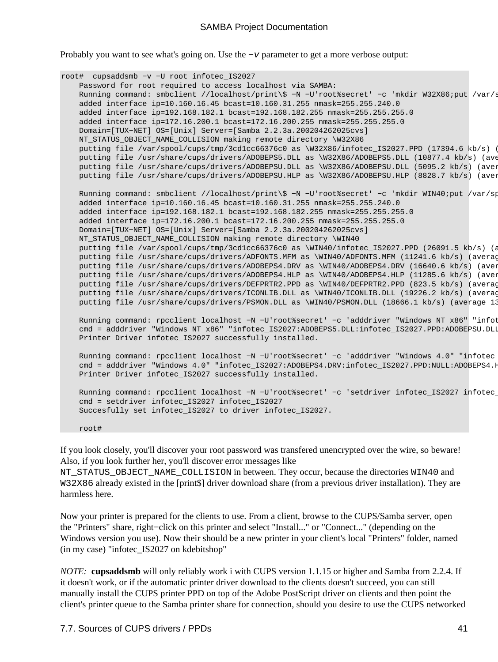Probably you want to see what's going on. Use the −v parameter to get a more verbose output:

```
root# cupsaddsmb −v −U root infotec_IS2027
    Password for root required to access localhost via SAMBA:
   Running command: smbclient //localhost/print\$ -N -U'root%secret' -c 'mkdir W32X86;put /var/s
    added interface ip=10.160.16.45 bcast=10.160.31.255 nmask=255.255.240.0
    added interface ip=192.168.182.1 bcast=192.168.182.255 nmask=255.255.255.0
    added interface ip=172.16.200.1 bcast=172.16.200.255 nmask=255.255.255.0
    Domain=[TUX−NET] OS=[Unix] Server=[Samba 2.2.3a.200204262025cvs]
    NT_STATUS_OBJECT_NAME_COLLISION making remote directory \W32X86
   putting file /var/spool/cups/tmp/3cd1cc66376c0 as \W32X86/infotec_IS2027.PPD (17394.6 kb/s) (
   putting file /usr/share/cups/drivers/ADOBEPS5.DLL as \W32X86/ADOBEPS5.DLL (10877.4 kb/s) (ave
    putting file /usr/share/cups/drivers/ADOBEPSU.DLL as \W32X86/ADOBEPSU.DLL (5095.2 kb/s) (aver
   putting file /usr/share/cups/drivers/ADOBEPSU.HLP as \W32X86/ADOBEPSU.HLP (8828.7 kb/s) (aver
   Running command: smbclient //localhost/print\$ -N -U'root%secret' -c 'mkdir WIN40;put /var/sp
     added interface ip=10.160.16.45 bcast=10.160.31.255 nmask=255.255.240.0
     added interface ip=192.168.182.1 bcast=192.168.182.255 nmask=255.255.255.0
     added interface ip=172.16.200.1 bcast=172.16.200.255 nmask=255.255.255.0
    Domain=[TUX−NET] OS=[Unix] Server=[Samba 2.2.3a.200204262025cvs]
    NT_STATUS_OBJECT_NAME_COLLISION making remote directory \WIN40
   putting file /var/spool/cups/tmp/3cd1cc66376c0 as \WIN40/infotec_IS2027.PPD (26091.5 kb/s) (a
   putting file /usr/share/cups/drivers/ADFONTS.MFM as \WIN40/ADFONTS.MFM (11241.6 kb/s) (averag
   putting file /usr/share/cups/drivers/ADOBEPS4.DRV as \WIN40/ADOBEPS4.DRV (16640.6 kb/s) (aver
   putting file /usr/share/cups/drivers/ADOBEPS4.HLP as \WIN40/ADOBEPS4.HLP (11285.6 kb/s) (aver
   putting file /usr/share/cups/drivers/DEFPRTR2.PPD as \WIN40/DEFPRTR2.PPD (823.5 kb/s) (averag
   putting file /usr/share/cups/drivers/ICONLIB.DLL as \WIN40/ICONLIB.DLL (19226.2 kb/s) (average
   putting file /usr/share/cups/drivers/PSMON.DLL as \WIN40/PSMON.DLL (18666.1 kb/s) (average 13
   Running command: rpcclient localhost -N -U'root%secret' -c 'adddriver "Windows NT x86" "infot
   cmd = adddriver "Windows NT x86" "infotec_IS2027:ADOBEPS5.DLL:infotec_IS2027.PPD:ADOBEPSU.DLI
     Printer Driver infotec_IS2027 successfully installed.
   Running command: rpcclient localhost -N -U'root%secret' -c 'adddriver "Windows 4.0" "infotec_
    cmd = adddriver "Windows 4.0" "infotec_IS2027:ADOBEPS4.DRV:infotec_IS2027.PPD:NULL:ADOBEPS4.H
     Printer Driver infotec_IS2027 successfully installed.
    Running command: rpcclient localhost −N −U'root%secret' −c 'setdriver infotec_IS2027 infotec_IS2027'
     cmd = setdriver infotec_IS2027 infotec_IS2027
     Succesfully set infotec_IS2027 to driver infotec_IS2027.
```
root#

If you look closely, you'll discover your root password was transfered unencrypted over the wire, so beware! Also, if you look further her, you'll discover error messages like

NT\_STATUS\_OBJECT\_NAME\_COLLISION in between. They occur, because the directories WIN40 and W32X86 already existed in the [print\$] driver download share (from a previous driver installation). They are harmless here.

Now your printer is prepared for the clients to use. From a client, browse to the CUPS/Samba server, open the "Printers" share, right−click on this printer and select "Install..." or "Connect..." (depending on the Windows version you use). Now their should be a new printer in your client's local "Printers" folder, named (in my case) "infotec\_IS2027 on kdebitshop"

*NOTE:* **cupsaddsmb** will only reliably work i with CUPS version 1.1.15 or higher and Samba from 2.2.4. If it doesn't work, or if the automatic printer driver download to the clients doesn't succeed, you can still manually install the CUPS printer PPD on top of the Adobe PostScript driver on clients and then point the client's printer queue to the Samba printer share for connection, should you desire to use the CUPS networked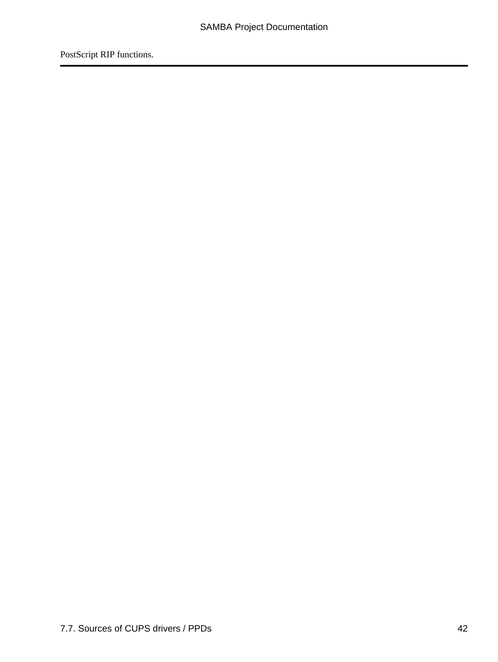PostScript RIP functions.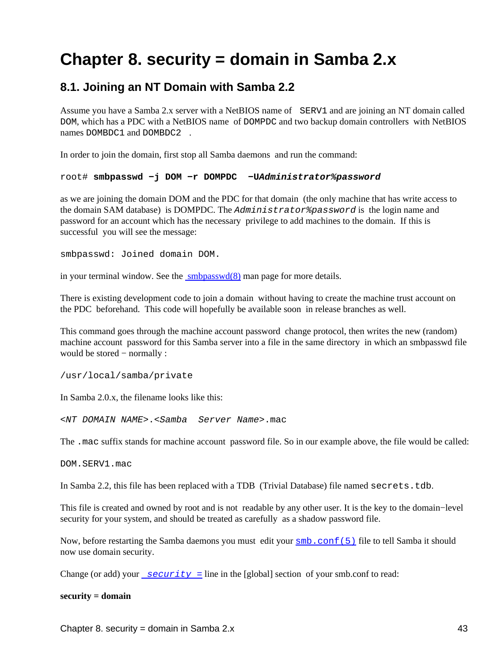# **Chapter 8. security = domain in Samba 2.x**

### **8.1. Joining an NT Domain with Samba 2.2**

Assume you have a Samba 2.x server with a NetBIOS name of SERV1 and are joining an NT domain called DOM, which has a PDC with a NetBIOS name of DOMPDC and two backup domain controllers with NetBIOS names DOMBDC1 and DOMBDC2 .

In order to join the domain, first stop all Samba daemons and run the command:

#### root# **smbpasswd −j DOM −r DOMPDC −UAdministrator%password**

as we are joining the domain DOM and the PDC for that domain (the only machine that has write access to the domain SAM database) is DOMPDC. The Administrator & password is the login name and password for an account which has the necessary privilege to add machines to the domain. If this is successful you will see the message:

smbpasswd: Joined domain DOM.

in your terminal window. See the  $smbpasswd(8)$  man page for more details.

There is existing development code to join a domain without having to create the machine trust account on the PDC beforehand. This code will hopefully be available soon in release branches as well.

This command goes through the machine account password change protocol, then writes the new (random) machine account password for this Samba server into a file in the same directory in which an smbpasswd file would be stored − normally :

/usr/local/samba/private

In Samba 2.0.x, the filename looks like this:

<NT DOMAIN NAME>.<Samba Server Name>.mac

The .mac suffix stands for machine account password file. So in our example above, the file would be called:

DOM.SERV1.mac

In Samba 2.2, this file has been replaced with a TDB (Trivial Database) file named secrets.tdb.

This file is created and owned by root and is not readable by any other user. It is the key to the domain−level security for your system, and should be treated as carefully as a shadow password file.

Now, before restarting the Samba daemons you must edit your  $\frac{\text{smb.}}{\text{conf(5)}}$  file to tell Samba it should now use domain security.

Change (or add) your  $\frac{security}{}$  = line in the [global] section of your smb.conf to read:

#### **security = domain**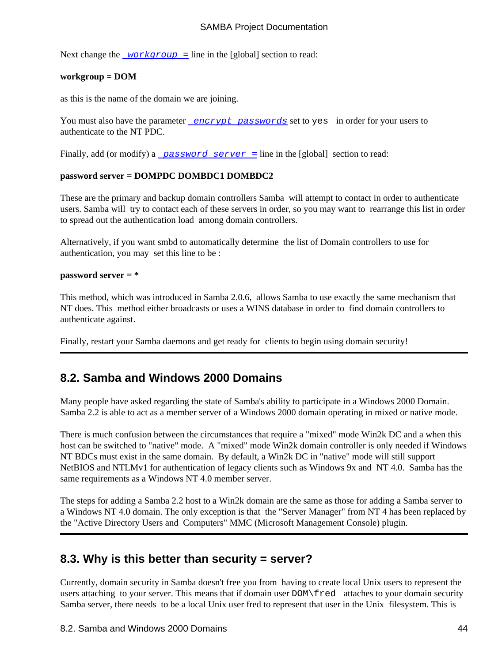Next change the <u>workgroup</u> = line in the [global] section to read:

#### **workgroup = DOM**

as this is the name of the domain we are joining.

You must also have the parameter *encrypt* passwords set to yes in order for your users to authenticate to the NT PDC.

Finally, add (or modify) a [password server =](#PASSWORDSERVER) line in the [global] section to read:

#### **password server = DOMPDC DOMBDC1 DOMBDC2**

These are the primary and backup domain controllers Samba will attempt to contact in order to authenticate users. Samba will try to contact each of these servers in order, so you may want to rearrange this list in order to spread out the authentication load among domain controllers.

Alternatively, if you want smbd to automatically determine the list of Domain controllers to use for authentication, you may set this line to be :

#### **password server = \***

This method, which was introduced in Samba 2.0.6, allows Samba to use exactly the same mechanism that NT does. This method either broadcasts or uses a WINS database in order to find domain controllers to authenticate against.

Finally, restart your Samba daemons and get ready for clients to begin using domain security!

### **8.2. Samba and Windows 2000 Domains**

Many people have asked regarding the state of Samba's ability to participate in a Windows 2000 Domain. Samba 2.2 is able to act as a member server of a Windows 2000 domain operating in mixed or native mode.

There is much confusion between the circumstances that require a "mixed" mode Win2k DC and a when this host can be switched to "native" mode. A "mixed" mode Win2k domain controller is only needed if Windows NT BDCs must exist in the same domain. By default, a Win2k DC in "native" mode will still support NetBIOS and NTLMv1 for authentication of legacy clients such as Windows 9x and NT 4.0. Samba has the same requirements as a Windows NT 4.0 member server.

The steps for adding a Samba 2.2 host to a Win2k domain are the same as those for adding a Samba server to a Windows NT 4.0 domain. The only exception is that the "Server Manager" from NT 4 has been replaced by the "Active Directory Users and Computers" MMC (Microsoft Management Console) plugin.

### **8.3. Why is this better than security = server?**

Currently, domain security in Samba doesn't free you from having to create local Unix users to represent the users attaching to your server. This means that if domain user DOM\fred attaches to your domain security Samba server, there needs to be a local Unix user fred to represent that user in the Unix filesystem. This is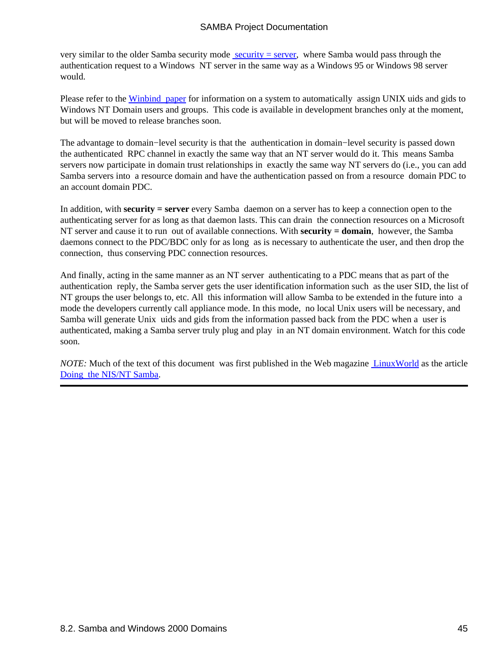very similar to the older Samba security mode security  $=$  server, where Samba would pass through the authentication request to a Windows NT server in the same way as a Windows 95 or Windows 98 server would.

Please refer to the [Winbind paper](winbind.html) for information on a system to automatically assign UNIX uids and gids to Windows NT Domain users and groups. This code is available in development branches only at the moment, but will be moved to release branches soon.

The advantage to domain−level security is that the authentication in domain−level security is passed down the authenticated RPC channel in exactly the same way that an NT server would do it. This means Samba servers now participate in domain trust relationships in exactly the same way NT servers do (i.e., you can add Samba servers into a resource domain and have the authentication passed on from a resource domain PDC to an account domain PDC.

In addition, with **security = server** every Samba daemon on a server has to keep a connection open to the authenticating server for as long as that daemon lasts. This can drain the connection resources on a Microsoft NT server and cause it to run out of available connections. With **security = domain**, however, the Samba daemons connect to the PDC/BDC only for as long as is necessary to authenticate the user, and then drop the connection, thus conserving PDC connection resources.

And finally, acting in the same manner as an NT server authenticating to a PDC means that as part of the authentication reply, the Samba server gets the user identification information such as the user SID, the list of NT groups the user belongs to, etc. All this information will allow Samba to be extended in the future into a mode the developers currently call appliance mode. In this mode, no local Unix users will be necessary, and Samba will generate Unix uids and gids from the information passed back from the PDC when a user is authenticated, making a Samba server truly plug and play in an NT domain environment. Watch for this code soon.

*NOTE:* Much of the text of this document was first published in the Web magazine [LinuxWorld](http://www.linuxworld.com) as the article [Doing the NIS/NT Samba](http://www.linuxworld.com/linuxworld/lw-1998-10/lw-10-samba.html).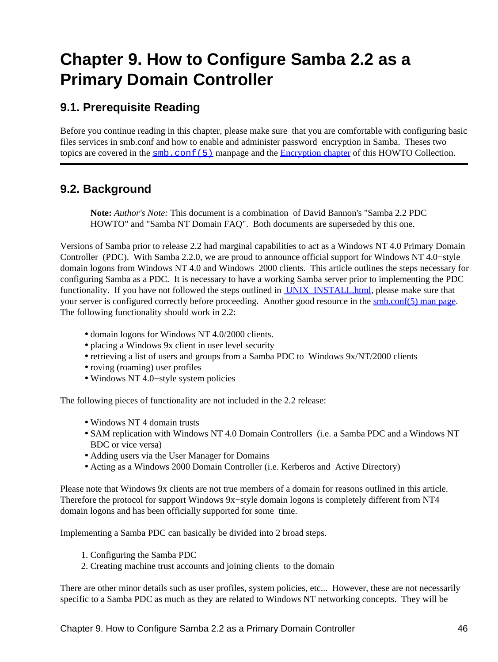# **Chapter 9. How to Configure Samba 2.2 as a Primary Domain Controller**

# **9.1. Prerequisite Reading**

Before you continue reading in this chapter, please make sure that you are comfortable with configuring basic files services in smb.conf and how to enable and administer password encryption in Samba. Theses two topics are covered in the  $smb$ , conf(5) manpage and the [Encryption chapter](ENCRYPTION.html) of this HOWTO Collection.

# **9.2. Background**

**Note:** *Author's Note:* This document is a combination of David Bannon's "Samba 2.2 PDC HOWTO" and "Samba NT Domain FAQ". Both documents are superseded by this one.

Versions of Samba prior to release 2.2 had marginal capabilities to act as a Windows NT 4.0 Primary Domain Controller (PDC). With Samba 2.2.0, we are proud to announce official support for Windows NT 4.0−style domain logons from Windows NT 4.0 and Windows 2000 clients. This article outlines the steps necessary for configuring Samba as a PDC. It is necessary to have a working Samba server prior to implementing the PDC functionality. If you have not followed the steps outlined in **UNIX INSTALL.html**, please make sure that your server is configured correctly before proceeding. Another good resource in the [smb.conf\(5\) man page.](smb.conf.5.html) The following functionality should work in 2.2:

- domain logons for Windows NT 4.0/2000 clients.
- placing a Windows 9x client in user level security
- retrieving a list of users and groups from a Samba PDC to Windows 9x/NT/2000 clients
- roving (roaming) user profiles
- Windows NT 4.0−style system policies

The following pieces of functionality are not included in the 2.2 release:

- Windows NT 4 domain trusts
- SAM replication with Windows NT 4.0 Domain Controllers (i.e. a Samba PDC and a Windows NT BDC or vice versa)
- Adding users via the User Manager for Domains
- Acting as a Windows 2000 Domain Controller (i.e. Kerberos and Active Directory)

Please note that Windows 9x clients are not true members of a domain for reasons outlined in this article. Therefore the protocol for support Windows 9x−style domain logons is completely different from NT4 domain logons and has been officially supported for some time.

Implementing a Samba PDC can basically be divided into 2 broad steps.

- 1. Configuring the Samba PDC
- 2. Creating machine trust accounts and joining clients to the domain

There are other minor details such as user profiles, system policies, etc... However, these are not necessarily specific to a Samba PDC as much as they are related to Windows NT networking concepts. They will be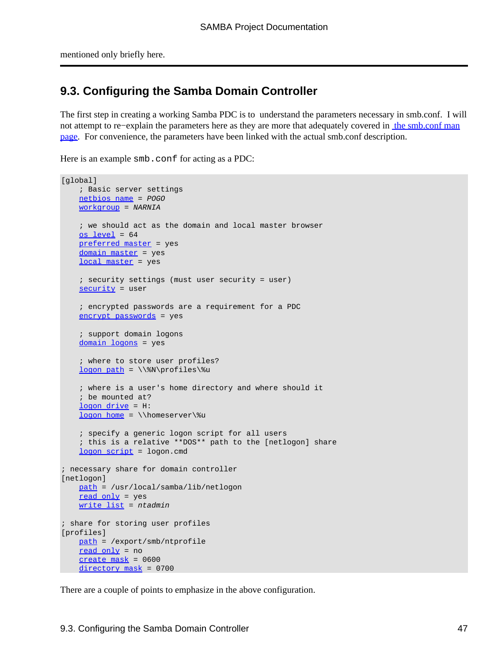mentioned only briefly here.

# **9.3. Configuring the Samba Domain Controller**

The first step in creating a working Samba PDC is to understand the parameters necessary in smb.conf. I will not attempt to re−explain the parameters here as they are more that adequately covered in [the smb.conf man](smb.conf.5.html) [page.](smb.conf.5.html) For convenience, the parameters have been linked with the actual smb.conf description.

Here is an example smb.conf for acting as a PDC:

```
[global]
     ; Basic server settings
   netbios name = POGO
   workgroup = NARNIA
    ; we should act as the domain and local master browser
   os level = 64
   preferred master = yes
   domain master = yes
   local master = yes
    ; security settings (must user security = user)
   security = user
    ; encrypted passwords are a requirement for a PDC
   encrypt passwords = yes
    ; support domain logons
   domain logons = yes
     ; where to store user profiles?
   logon path = \\\N\profiles\%u
    ; where is a user's home directory and where should it
     ; be mounted at?
   logon drive = H:
   logon home = \hbox{home} ; specify a generic logon script for all users
     ; this is a relative **DOS** path to the [netlogon] share
   logon script = logon.cmd
; necessary share for domain controller
[netlogon]
   path = /usr/local/samba/lib/netlogon
   read only = yeswrite list = ntadmin
; share for storing user profiles
[profiles]
   path = /export/smb/ntprofile
   read only = no
   create mask = 0600directory mask = 0700
```
There are a couple of points to emphasize in the above configuration.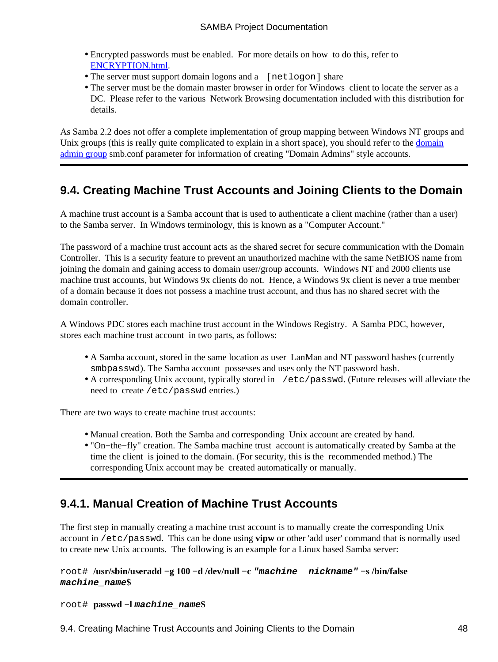- Encrypted passwords must be enabled. For more details on how to do this, refer to [ENCRYPTION.html.](ENCRYPTION.html)
- The server must support domain logons and a [netlogon] share
- The server must be the domain master browser in order for Windows client to locate the server as a DC. Please refer to the various Network Browsing documentation included with this distribution for details.

As Samba 2.2 does not offer a complete implementation of group mapping between Windows NT groups and Unix groups (this is really quite complicated to explain in a short space), you should refer to the [domain](#DOMAINADMINGROUP) [admin group](#DOMAINADMINGROUP) smb.conf parameter for information of creating "Domain Admins" style accounts.

# **9.4. Creating Machine Trust Accounts and Joining Clients to the Domain**

A machine trust account is a Samba account that is used to authenticate a client machine (rather than a user) to the Samba server. In Windows terminology, this is known as a "Computer Account."

The password of a machine trust account acts as the shared secret for secure communication with the Domain Controller. This is a security feature to prevent an unauthorized machine with the same NetBIOS name from joining the domain and gaining access to domain user/group accounts. Windows NT and 2000 clients use machine trust accounts, but Windows 9x clients do not. Hence, a Windows 9x client is never a true member of a domain because it does not possess a machine trust account, and thus has no shared secret with the domain controller.

A Windows PDC stores each machine trust account in the Windows Registry. A Samba PDC, however, stores each machine trust account in two parts, as follows:

- A Samba account, stored in the same location as user LanMan and NT password hashes (currently smbpasswd). The Samba account possesses and uses only the NT password hash.
- A corresponding Unix account, typically stored in /etc/passwd. (Future releases will alleviate the need to create /etc/passwd entries.)

There are two ways to create machine trust accounts:

- Manual creation. Both the Samba and corresponding Unix account are created by hand.
- "On−the−fly" creation. The Samba machine trust account is automatically created by Samba at the time the client is joined to the domain. (For security, this is the recommended method.) The corresponding Unix account may be created automatically or manually.

### **9.4.1. Manual Creation of Machine Trust Accounts**

The first step in manually creating a machine trust account is to manually create the corresponding Unix account in /etc/passwd. This can be done using **vipw** or other 'add user' command that is normally used to create new Unix accounts. The following is an example for a Linux based Samba server:

#### root# **/usr/sbin/useradd −g 100 −d /dev/null −c "machine nickname" −s /bin/false machine\_name\$**

root# **passwd −l machine\_name\$**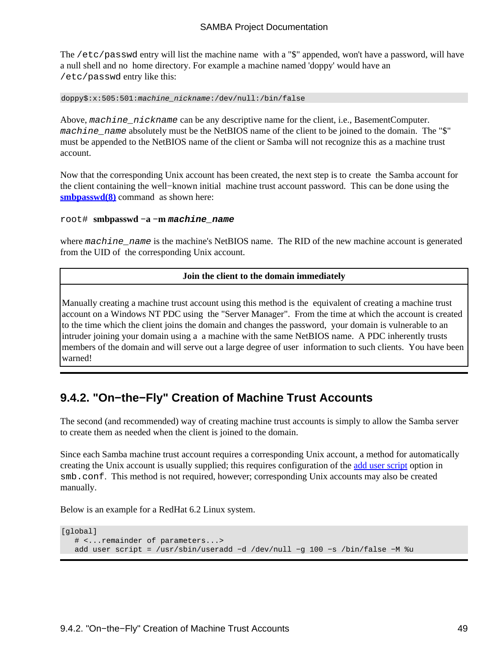The /etc/passwd entry will list the machine name with a "\$" appended, won't have a password, will have a null shell and no home directory. For example a machine named 'doppy' would have an /etc/passwd entry like this:

doppy\$:x:505:501:machine\_nickname:/dev/null:/bin/false

Above, machine\_nickname can be any descriptive name for the client, i.e., BasementComputer. machine\_name absolutely must be the NetBIOS name of the client to be joined to the domain. The "\$" must be appended to the NetBIOS name of the client or Samba will not recognize this as a machine trust account.

Now that the corresponding Unix account has been created, the next step is to create the Samba account for the client containing the well−known initial machine trust account password. This can be done using the **[smbpasswd\(8\)](smbpasswd.8.html)** command as shown here:

#### root# **smbpasswd −a −m machine\_name**

where machine\_name is the machine's NetBIOS name. The RID of the new machine account is generated from the UID of the corresponding Unix account.

#### **Join the client to the domain immediately**

Manually creating a machine trust account using this method is the equivalent of creating a machine trust account on a Windows NT PDC using the "Server Manager". From the time at which the account is created to the time which the client joins the domain and changes the password, your domain is vulnerable to an intruder joining your domain using a a machine with the same NetBIOS name. A PDC inherently trusts members of the domain and will serve out a large degree of user information to such clients. You have been warned!

### **9.4.2. "On−the−Fly" Creation of Machine Trust Accounts**

The second (and recommended) way of creating machine trust accounts is simply to allow the Samba server to create them as needed when the client is joined to the domain.

Since each Samba machine trust account requires a corresponding Unix account, a method for automatically creating the Unix account is usually supplied; this requires configuration of the [add user script](#ADDUSERSCRIPT) option in smb.conf. This method is not required, however; corresponding Unix accounts may also be created manually.

Below is an example for a RedHat 6.2 Linux system.

```
[global]
    # <...remainder of parameters...>
    add user script = /usr/sbin/useradd −d /dev/null −g 100 −s /bin/false −M %u
```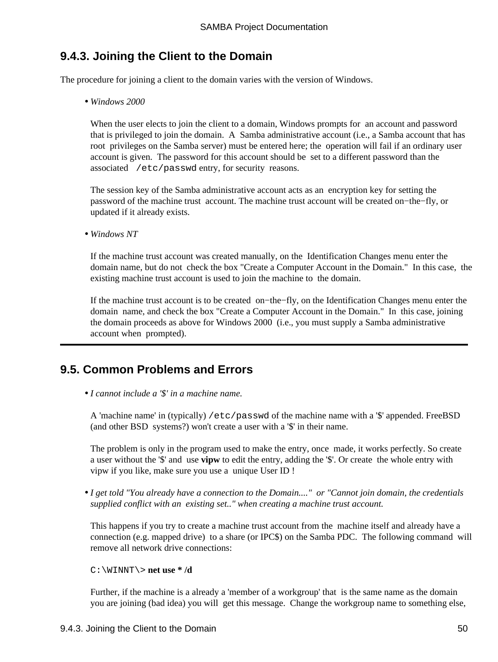# **9.4.3. Joining the Client to the Domain**

The procedure for joining a client to the domain varies with the version of Windows.

• *Windows 2000*

When the user elects to join the client to a domain, Windows prompts for an account and password that is privileged to join the domain. A Samba administrative account (i.e., a Samba account that has root privileges on the Samba server) must be entered here; the operation will fail if an ordinary user account is given. The password for this account should be set to a different password than the associated /etc/passwd entry, for security reasons.

The session key of the Samba administrative account acts as an encryption key for setting the password of the machine trust account. The machine trust account will be created on−the−fly, or updated if it already exists.

• *Windows NT*

If the machine trust account was created manually, on the Identification Changes menu enter the domain name, but do not check the box "Create a Computer Account in the Domain." In this case, the existing machine trust account is used to join the machine to the domain.

If the machine trust account is to be created on−the−fly, on the Identification Changes menu enter the domain name, and check the box "Create a Computer Account in the Domain." In this case, joining the domain proceeds as above for Windows 2000 (i.e., you must supply a Samba administrative account when prompted).

### **9.5. Common Problems and Errors**

• *I cannot include a '\$' in a machine name.*

A 'machine name' in (typically) /etc/passwd of the machine name with a '\$' appended. FreeBSD (and other BSD systems?) won't create a user with a '\$' in their name.

The problem is only in the program used to make the entry, once made, it works perfectly. So create a user without the '\$' and use **vipw** to edit the entry, adding the '\$'. Or create the whole entry with vipw if you like, make sure you use a unique User ID !

*I get told "You already have a connection to the Domain...." or "Cannot join domain, the credentials* • *supplied conflict with an existing set.." when creating a machine trust account.*

This happens if you try to create a machine trust account from the machine itself and already have a connection (e.g. mapped drive) to a share (or IPC\$) on the Samba PDC. The following command will remove all network drive connections:

C:\WINNT\> **net use \* /d**

Further, if the machine is a already a 'member of a workgroup' that is the same name as the domain you are joining (bad idea) you will get this message. Change the workgroup name to something else,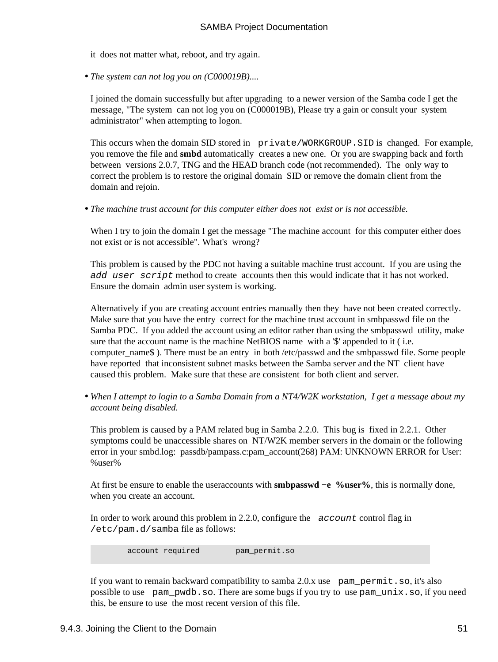- it does not matter what, reboot, and try again.
- *The system can not log you on (C000019B)....*

I joined the domain successfully but after upgrading to a newer version of the Samba code I get the message, "The system can not log you on (C000019B), Please try a gain or consult your system administrator" when attempting to logon.

This occurs when the domain SID stored in private/WORKGROUP.SID is changed. For example, you remove the file and **smbd** automatically creates a new one. Or you are swapping back and forth between versions 2.0.7, TNG and the HEAD branch code (not recommended). The only way to correct the problem is to restore the original domain SID or remove the domain client from the domain and rejoin.

• *The machine trust account for this computer either does not exist or is not accessible.*

When I try to join the domain I get the message "The machine account for this computer either does not exist or is not accessible". What's wrong?

This problem is caused by the PDC not having a suitable machine trust account. If you are using the add user script method to create accounts then this would indicate that it has not worked. Ensure the domain admin user system is working.

Alternatively if you are creating account entries manually then they have not been created correctly. Make sure that you have the entry correct for the machine trust account in smbpasswd file on the Samba PDC. If you added the account using an editor rather than using the smbpasswd utility, make sure that the account name is the machine NetBIOS name with a '\$' appended to it (*i.e.*) computer name\$). There must be an entry in both /etc/passwd and the smbpasswd file. Some people have reported that inconsistent subnet masks between the Samba server and the NT client have caused this problem. Make sure that these are consistent for both client and server.

*When I attempt to login to a Samba Domain from a NT4/W2K workstation, I get a message about my* • *account being disabled.*

This problem is caused by a PAM related bug in Samba 2.2.0. This bug is fixed in 2.2.1. Other symptoms could be unaccessible shares on NT/W2K member servers in the domain or the following error in your smbd.log: passdb/pampass.c:pam\_account(268) PAM: UNKNOWN ERROR for User: %user%

At first be ensure to enable the useraccounts with **smbpasswd −e %user%**, this is normally done, when you create an account.

In order to work around this problem in 2.2.0, configure the account control flag in /etc/pam.d/samba file as follows:

account required pam\_permit.so

If you want to remain backward compatibility to samba 2.0.x use pam\_permit.so, it's also possible to use pam\_pwdb.so. There are some bugs if you try to use pam\_unix.so, if you need this, be ensure to use the most recent version of this file.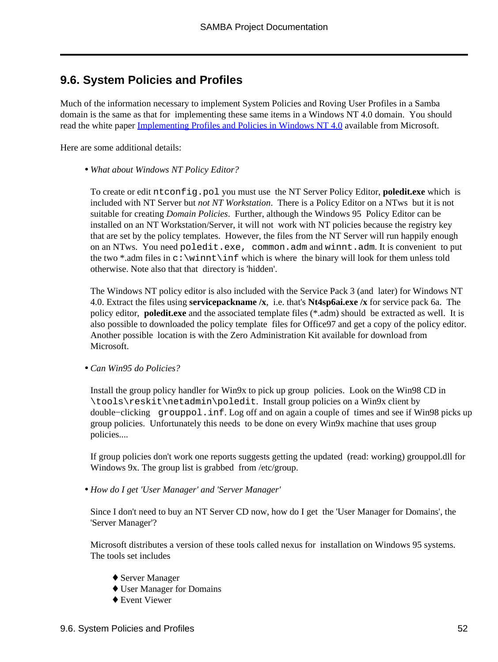# **9.6. System Policies and Profiles**

Much of the information necessary to implement System Policies and Roving User Profiles in a Samba domain is the same as that for implementing these same items in a Windows NT 4.0 domain. You should read the white paper [Implementing Profiles and Policies in Windows NT 4.0](http://www.microsoft.com/ntserver/management/deployment/planguide/prof_policies.asp) available from Microsoft.

Here are some additional details:

• *What about Windows NT Policy Editor?*

To create or edit ntconfig.pol you must use the NT Server Policy Editor, **poledit.exe** which is included with NT Server but *not NT Workstation*. There is a Policy Editor on a NTws but it is not suitable for creating *Domain Policies*. Further, although the Windows 95 Policy Editor can be installed on an NT Workstation/Server, it will not work with NT policies because the registry key that are set by the policy templates. However, the files from the NT Server will run happily enough on an NTws. You need poledit.exe, common.adm and winnt.adm. It is convenient to put the two \*.adm files in  $c:\infty$  inf which is where the binary will look for them unless told otherwise. Note also that that directory is 'hidden'.

The Windows NT policy editor is also included with the Service Pack 3 (and later) for Windows NT 4.0. Extract the files using **servicepackname /x**, i.e. that's **Nt4sp6ai.exe /x** for service pack 6a. The policy editor, **poledit.exe** and the associated template files (\*.adm) should be extracted as well. It is also possible to downloaded the policy template files for Office97 and get a copy of the policy editor. Another possible location is with the Zero Administration Kit available for download from Microsoft.

• *Can Win95 do Policies?*

Install the group policy handler for Win9x to pick up group policies. Look on the Win98 CD in \tools\reskit\netadmin\poledit. Install group policies on a Win9x client by double−clicking grouppol.inf. Log off and on again a couple of times and see if Win98 picks up group policies. Unfortunately this needs to be done on every Win9x machine that uses group policies....

If group policies don't work one reports suggests getting the updated (read: working) grouppol.dll for Windows 9x. The group list is grabbed from /etc/group.

• *How do I get 'User Manager' and 'Server Manager'*

Since I don't need to buy an NT Server CD now, how do I get the 'User Manager for Domains', the 'Server Manager'?

Microsoft distributes a version of these tools called nexus for installation on Windows 95 systems. The tools set includes

- ♦ Server Manager
- ♦ User Manager for Domains
- ♦ Event Viewer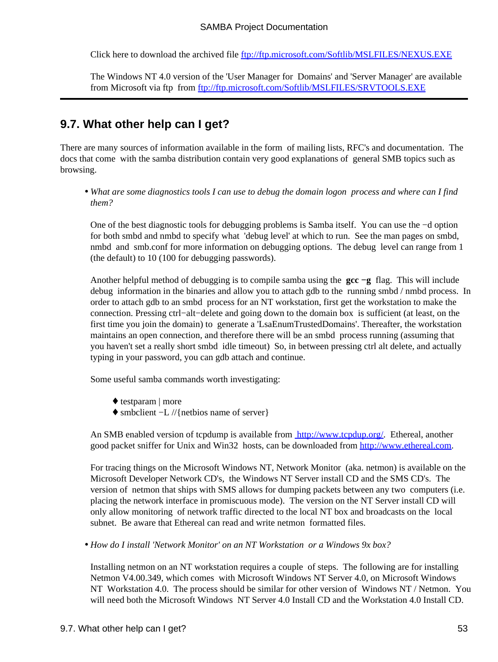Click here to download the archived file <ftp://ftp.microsoft.com/Softlib/MSLFILES/NEXUS.EXE>

The Windows NT 4.0 version of the 'User Manager for Domains' and 'Server Manager' are available from Microsoft via ftp from<ftp://ftp.microsoft.com/Softlib/MSLFILES/SRVTOOLS.EXE>

# **9.7. What other help can I get?**

There are many sources of information available in the form of mailing lists, RFC's and documentation. The docs that come with the samba distribution contain very good explanations of general SMB topics such as browsing.

*What are some diagnostics tools I can use to debug the domain logon process and where can I find* • *them?*

One of the best diagnostic tools for debugging problems is Samba itself. You can use the −d option for both smbd and nmbd to specify what 'debug level' at which to run. See the man pages on smbd, nmbd and smb.conf for more information on debugging options. The debug level can range from 1 (the default) to 10 (100 for debugging passwords).

Another helpful method of debugging is to compile samba using the **gcc −g** flag. This will include debug information in the binaries and allow you to attach gdb to the running smbd / nmbd process. In order to attach gdb to an smbd process for an NT workstation, first get the workstation to make the connection. Pressing ctrl−alt−delete and going down to the domain box is sufficient (at least, on the first time you join the domain) to generate a 'LsaEnumTrustedDomains'. Thereafter, the workstation maintains an open connection, and therefore there will be an smbd process running (assuming that you haven't set a really short smbd idle timeout) So, in between pressing ctrl alt delete, and actually typing in your password, you can gdb attach and continue.

Some useful samba commands worth investigating:

- $\triangle$  testparam | more
- ♦ smbclient −L //{netbios name of server}

An SMB enabled version of tcpdump is available from [http://www.tcpdup.org/](http://www.tcpdump.org/). Ethereal, another good packet sniffer for Unix and Win32 hosts, can be downloaded from [http://www.ethereal.com](http://www.ethereal.com/).

For tracing things on the Microsoft Windows NT, Network Monitor (aka. netmon) is available on the Microsoft Developer Network CD's, the Windows NT Server install CD and the SMS CD's. The version of netmon that ships with SMS allows for dumping packets between any two computers (i.e. placing the network interface in promiscuous mode). The version on the NT Server install CD will only allow monitoring of network traffic directed to the local NT box and broadcasts on the local subnet. Be aware that Ethereal can read and write netmon formatted files.

• *How do I install 'Network Monitor' on an NT Workstation or a Windows 9x box?*

Installing netmon on an NT workstation requires a couple of steps. The following are for installing Netmon V4.00.349, which comes with Microsoft Windows NT Server 4.0, on Microsoft Windows NT Workstation 4.0. The process should be similar for other version of Windows NT / Netmon. You will need both the Microsoft Windows NT Server 4.0 Install CD and the Workstation 4.0 Install CD.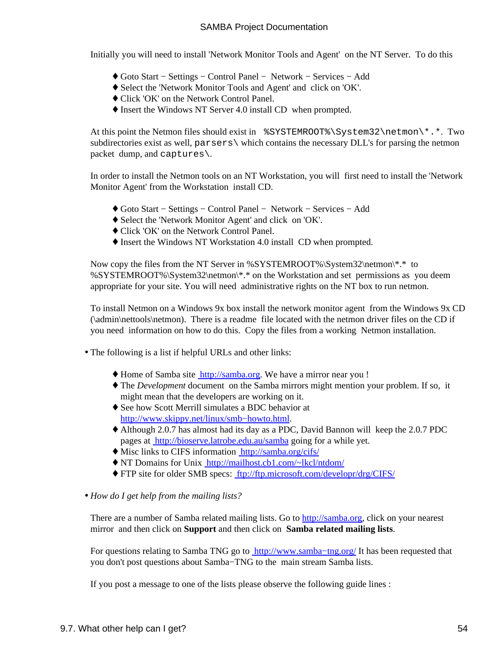Initially you will need to install 'Network Monitor Tools and Agent' on the NT Server. To do this

- ♦ Goto Start − Settings − Control Panel − Network − Services − Add
- ♦ Select the 'Network Monitor Tools and Agent' and click on 'OK'.
- ♦ Click 'OK' on the Network Control Panel.
- ♦ Insert the Windows NT Server 4.0 install CD when prompted.

At this point the Netmon files should exist in %SYSTEMROOT%\System32\netmon\\*.\*. Two subdirectories exist as well, parsers\ which contains the necessary DLL's for parsing the netmon packet dump, and captures\.

In order to install the Netmon tools on an NT Workstation, you will first need to install the 'Network Monitor Agent' from the Workstation install CD.

- ♦ Goto Start − Settings − Control Panel − Network − Services − Add
- ♦ Select the 'Network Monitor Agent' and click on 'OK'.
- ♦ Click 'OK' on the Network Control Panel.
- ♦ Insert the Windows NT Workstation 4.0 install CD when prompted.

Now copy the files from the NT Server in %SYSTEMROOT%\System32\netmon\\*.\* to %SYSTEMROOT%\System32\netmon\\*.\* on the Workstation and set permissions as you deem appropriate for your site. You will need administrative rights on the NT box to run netmon.

To install Netmon on a Windows 9x box install the network monitor agent from the Windows 9x CD (\admin\nettools\netmon). There is a readme file located with the netmon driver files on the CD if you need information on how to do this. Copy the files from a working Netmon installation.

- The following is a list if helpful URLs and other links:
	- ◆ Home of Samba site [http://samba.org.](http://samba.org) We have a mirror near you !
	- The *Development* document on the Samba mirrors might mention your problem. If so, it ♦ might mean that the developers are working on it.
	- See how Scott Merrill simulates a BDC behavior at ♦ [http://www.skippy.net/linux/smb−howto.html](http://www.skippy.net/linux/smb-howto.html).
	- Although 2.0.7 has almost had its day as a PDC, David Bannon will keep the 2.0.7 PDC ♦ pages at<http://bioserve.latrobe.edu.au/samba> going for a while yet.
	- ♦ Misc links to CIFS information <http://samba.org/cifs/>
	- ♦ NT Domains for Unix<http://mailhost.cb1.com/~lkcl/ntdom/>
	- FTP site for older SMB specs: <u>ftp://ftp.microsoft.com/developr/drg/CIFS/</u>
- *How do I get help from the mailing lists?*

There are a number of Samba related mailing lists. Go to [http://samba.org,](http://samba.org) click on your nearest mirror and then click on **Support** and then click on **Samba related mailing lists**.

For questions relating to Samba TNG go to http://www.samba-tng.org/ It has been requested that you don't post questions about Samba−TNG to the main stream Samba lists.

If you post a message to one of the lists please observe the following guide lines :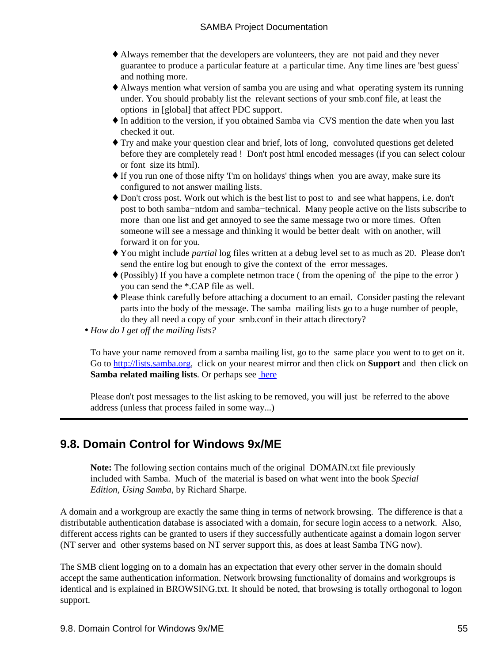- Always remember that the developers are volunteers, they are not paid and they never ♦ guarantee to produce a particular feature at a particular time. Any time lines are 'best guess' and nothing more.
- Always mention what version of samba you are using and what operating system its running ♦ under. You should probably list the relevant sections of your smb.conf file, at least the options in [global] that affect PDC support.
- In addition to the version, if you obtained Samba via CVS mention the date when you last ♦ checked it out.
- Try and make your question clear and brief, lots of long, convoluted questions get deleted ♦ before they are completely read ! Don't post html encoded messages (if you can select colour or font size its html).
- If you run one of those nifty 'I'm on holidays' things when you are away, make sure its ♦ configured to not answer mailing lists.
- Don't cross post. Work out which is the best list to post to and see what happens, i.e. don't ♦ post to both samba−ntdom and samba−technical. Many people active on the lists subscribe to more than one list and get annoyed to see the same message two or more times. Often someone will see a message and thinking it would be better dealt with on another, will forward it on for you.
- You might include *partial* log files written at a debug level set to as much as 20. Please don't ♦ send the entire log but enough to give the context of the error messages.
- (Possibly) If you have a complete netmon trace ( from the opening of the pipe to the error ) ♦ you can send the \*.CAP file as well.
- Please think carefully before attaching a document to an email. Consider pasting the relevant ♦ parts into the body of the message. The samba mailing lists go to a huge number of people, do they all need a copy of your smb.conf in their attach directory?
- *How do I get off the mailing lists?*

To have your name removed from a samba mailing list, go to the same place you went to to get on it. Go to [http://lists.samba.org,](http://lists.samba.org/) click on your nearest mirror and then click on **Support** and then click on **Samba related mailing lists**. Or perhaps see [here](http://lists.samba.org/mailman/roster/samba-ntdom)

Please don't post messages to the list asking to be removed, you will just be referred to the above address (unless that process failed in some way...)

## **9.8. Domain Control for Windows 9x/ME**

**Note:** The following section contains much of the original DOMAIN.txt file previously included with Samba. Much of the material is based on what went into the book *Special Edition, Using Samba*, by Richard Sharpe.

A domain and a workgroup are exactly the same thing in terms of network browsing. The difference is that a distributable authentication database is associated with a domain, for secure login access to a network. Also, different access rights can be granted to users if they successfully authenticate against a domain logon server (NT server and other systems based on NT server support this, as does at least Samba TNG now).

The SMB client logging on to a domain has an expectation that every other server in the domain should accept the same authentication information. Network browsing functionality of domains and workgroups is identical and is explained in BROWSING.txt. It should be noted, that browsing is totally orthogonal to logon support.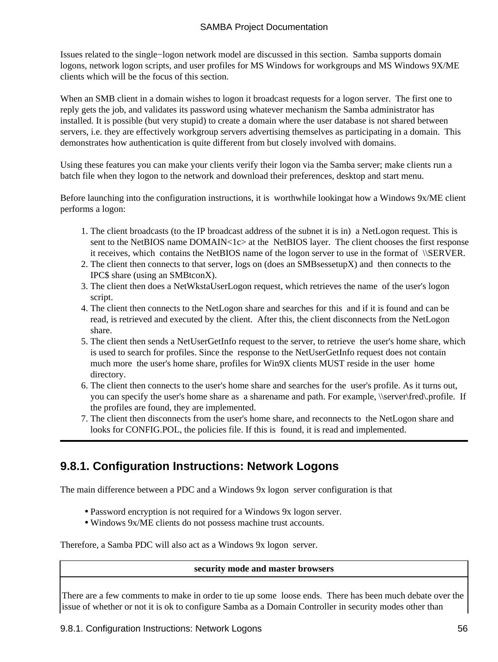Issues related to the single−logon network model are discussed in this section. Samba supports domain logons, network logon scripts, and user profiles for MS Windows for workgroups and MS Windows 9X/ME clients which will be the focus of this section.

When an SMB client in a domain wishes to logon it broadcast requests for a logon server. The first one to reply gets the job, and validates its password using whatever mechanism the Samba administrator has installed. It is possible (but very stupid) to create a domain where the user database is not shared between servers, i.e. they are effectively workgroup servers advertising themselves as participating in a domain. This demonstrates how authentication is quite different from but closely involved with domains.

Using these features you can make your clients verify their logon via the Samba server; make clients run a batch file when they logon to the network and download their preferences, desktop and start menu.

Before launching into the configuration instructions, it is worthwhile lookingat how a Windows 9x/ME client performs a logon:

- 1. The client broadcasts (to the IP broadcast address of the subnet it is in) a NetLogon request. This is sent to the NetBIOS name DOMAIN<1c> at the NetBIOS layer. The client chooses the first response it receives, which contains the NetBIOS name of the logon server to use in the format of \\SERVER.
- 2. The client then connects to that server, logs on (does an SMBsessetupX) and then connects to the IPC\$ share (using an SMBtconX).
- 3. The client then does a NetWkstaUserLogon request, which retrieves the name of the user's logon script.
- 4. The client then connects to the NetLogon share and searches for this and if it is found and can be read, is retrieved and executed by the client. After this, the client disconnects from the NetLogon share.
- 5. The client then sends a NetUserGetInfo request to the server, to retrieve the user's home share, which is used to search for profiles. Since the response to the NetUserGetInfo request does not contain much more the user's home share, profiles for Win9X clients MUST reside in the user home directory.
- 6. The client then connects to the user's home share and searches for the user's profile. As it turns out, you can specify the user's home share as a sharename and path. For example,  $\llbracket \text{erver}\right\rrbracket$ , profile. If the profiles are found, they are implemented.
- 7. The client then disconnects from the user's home share, and reconnects to the NetLogon share and looks for CONFIG.POL, the policies file. If this is found, it is read and implemented.

# **9.8.1. Configuration Instructions: Network Logons**

The main difference between a PDC and a Windows 9x logon server configuration is that

- Password encryption is not required for a Windows 9x logon server.
- Windows 9x/ME clients do not possess machine trust accounts.

Therefore, a Samba PDC will also act as a Windows 9x logon server.

#### **security mode and master browsers**

There are a few comments to make in order to tie up some loose ends. There has been much debate over the issue of whether or not it is ok to configure Samba as a Domain Controller in security modes other than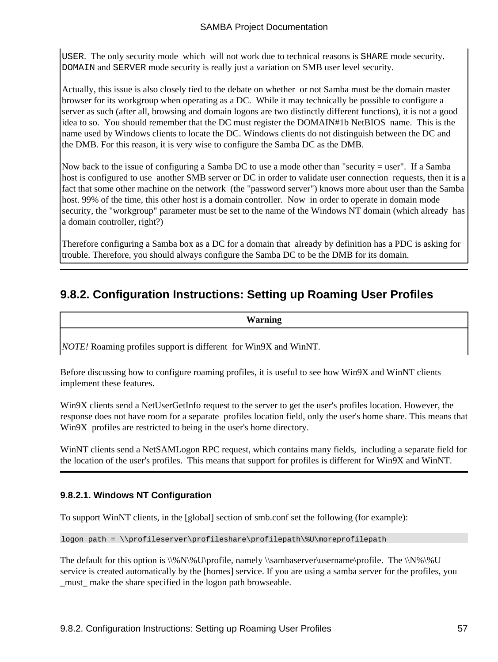USER. The only security mode which will not work due to technical reasons is SHARE mode security. DOMAIN and SERVER mode security is really just a variation on SMB user level security.

Actually, this issue is also closely tied to the debate on whether or not Samba must be the domain master browser for its workgroup when operating as a DC. While it may technically be possible to configure a server as such (after all, browsing and domain logons are two distinctly different functions), it is not a good idea to so. You should remember that the DC must register the DOMAIN#1b NetBIOS name. This is the name used by Windows clients to locate the DC. Windows clients do not distinguish between the DC and the DMB. For this reason, it is very wise to configure the Samba DC as the DMB.

Now back to the issue of configuring a Samba DC to use a mode other than "security = user". If a Samba host is configured to use another SMB server or DC in order to validate user connection requests, then it is a fact that some other machine on the network (the "password server") knows more about user than the Samba host. 99% of the time, this other host is a domain controller. Now in order to operate in domain mode security, the "workgroup" parameter must be set to the name of the Windows NT domain (which already has a domain controller, right?)

Therefore configuring a Samba box as a DC for a domain that already by definition has a PDC is asking for trouble. Therefore, you should always configure the Samba DC to be the DMB for its domain.

### **9.8.2. Configuration Instructions: Setting up Roaming User Profiles**

**Warning**

*NOTE!* Roaming profiles support is different for Win9X and WinNT.

Before discussing how to configure roaming profiles, it is useful to see how Win9X and WinNT clients implement these features.

Win9X clients send a NetUserGetInfo request to the server to get the user's profiles location. However, the response does not have room for a separate profiles location field, only the user's home share. This means that Win9X profiles are restricted to being in the user's home directory.

WinNT clients send a NetSAMLogon RPC request, which contains many fields, including a separate field for the location of the user's profiles. This means that support for profiles is different for Win9X and WinNT.

### **9.8.2.1. Windows NT Configuration**

To support WinNT clients, in the [global] section of smb.conf set the following (for example):

logon path = \\profileserver\profileshare\profilepath\%U\moreprofilepath

The default for this option is  $\%N\%U\propto$  namely  $\sam{baserver\user\user{mer}$  and profile. The  $\N\%U\cong$ service is created automatically by the [homes] service. If you are using a samba server for the profiles, you \_must\_ make the share specified in the logon path browseable.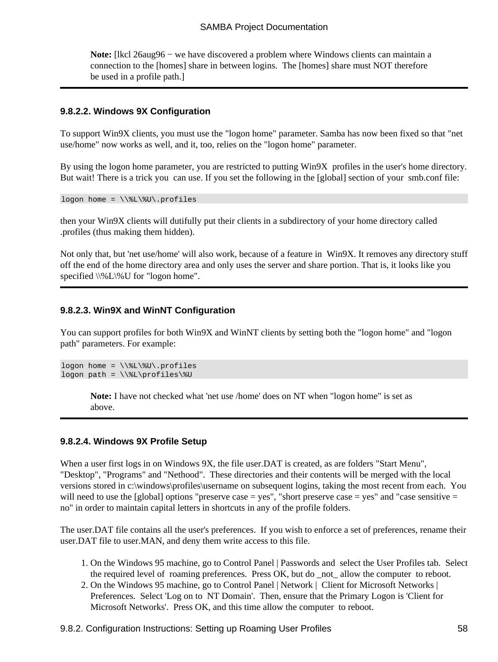**Note:** [lkcl 26aug96 − we have discovered a problem where Windows clients can maintain a connection to the [homes] share in between logins. The [homes] share must NOT therefore be used in a profile path.]

#### **9.8.2.2. Windows 9X Configuration**

To support Win9X clients, you must use the "logon home" parameter. Samba has now been fixed so that "net use/home" now works as well, and it, too, relies on the "logon home" parameter.

By using the logon home parameter, you are restricted to putting Win9X profiles in the user's home directory. But wait! There is a trick you can use. If you set the following in the [global] section of your smb.conf file:

logon home = \\%L\%U\.profiles

then your Win9X clients will dutifully put their clients in a subdirectory of your home directory called .profiles (thus making them hidden).

Not only that, but 'net use/home' will also work, because of a feature in Win9X. It removes any directory stuff off the end of the home directory area and only uses the server and share portion. That is, it looks like you specified \\%L\%U for "logon home".

#### **9.8.2.3. Win9X and WinNT Configuration**

You can support profiles for both Win9X and WinNT clients by setting both the "logon home" and "logon path" parameters. For example:

```
logon home = \\%L\%U\.profiles
logon path = \lvert \delta \rvert
```
**Note:** I have not checked what 'net use /home' does on NT when "logon home" is set as above.

#### **9.8.2.4. Windows 9X Profile Setup**

When a user first logs in on Windows 9X, the file user.DAT is created, as are folders "Start Menu", "Desktop", "Programs" and "Nethood". These directories and their contents will be merged with the local versions stored in c:\windows\profiles\username on subsequent logins, taking the most recent from each. You will need to use the [global] options "preserve case  $=$  yes", "short preserve case  $=$  yes" and "case sensitive  $=$ no" in order to maintain capital letters in shortcuts in any of the profile folders.

The user.DAT file contains all the user's preferences. If you wish to enforce a set of preferences, rename their user.DAT file to user.MAN, and deny them write access to this file.

- 1. On the Windows 95 machine, go to Control Panel | Passwords and select the User Profiles tab. Select the required level of roaming preferences. Press OK, but do \_not\_ allow the computer to reboot.
- 2. On the Windows 95 machine, go to Control Panel | Network | Client for Microsoft Networks | Preferences. Select 'Log on to NT Domain'. Then, ensure that the Primary Logon is 'Client for Microsoft Networks'. Press OK, and this time allow the computer to reboot.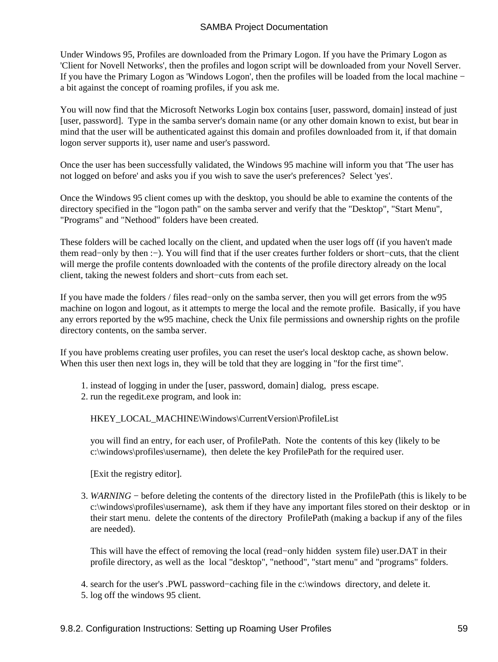Under Windows 95, Profiles are downloaded from the Primary Logon. If you have the Primary Logon as 'Client for Novell Networks', then the profiles and logon script will be downloaded from your Novell Server. If you have the Primary Logon as 'Windows Logon', then the profiles will be loaded from the local machine − a bit against the concept of roaming profiles, if you ask me.

You will now find that the Microsoft Networks Login box contains [user, password, domain] instead of just [user, password]. Type in the samba server's domain name (or any other domain known to exist, but bear in mind that the user will be authenticated against this domain and profiles downloaded from it, if that domain logon server supports it), user name and user's password.

Once the user has been successfully validated, the Windows 95 machine will inform you that 'The user has not logged on before' and asks you if you wish to save the user's preferences? Select 'yes'.

Once the Windows 95 client comes up with the desktop, you should be able to examine the contents of the directory specified in the "logon path" on the samba server and verify that the "Desktop", "Start Menu", "Programs" and "Nethood" folders have been created.

These folders will be cached locally on the client, and updated when the user logs off (if you haven't made them read−only by then :−). You will find that if the user creates further folders or short−cuts, that the client will merge the profile contents downloaded with the contents of the profile directory already on the local client, taking the newest folders and short−cuts from each set.

If you have made the folders / files read−only on the samba server, then you will get errors from the w95 machine on logon and logout, as it attempts to merge the local and the remote profile. Basically, if you have any errors reported by the w95 machine, check the Unix file permissions and ownership rights on the profile directory contents, on the samba server.

If you have problems creating user profiles, you can reset the user's local desktop cache, as shown below. When this user then next logs in, they will be told that they are logging in "for the first time".

- 1. instead of logging in under the [user, password, domain] dialog, press escape.
- 2. run the regedit.exe program, and look in:

HKEY\_LOCAL\_MACHINE\Windows\CurrentVersion\ProfileList

you will find an entry, for each user, of ProfilePath. Note the contents of this key (likely to be c:\windows\profiles\username), then delete the key ProfilePath for the required user.

[Exit the registry editor].

3. WARNING – before deleting the contents of the directory listed in the ProfilePath (this is likely to be c:\windows\profiles\username), ask them if they have any important files stored on their desktop or in their start menu. delete the contents of the directory ProfilePath (making a backup if any of the files are needed).

This will have the effect of removing the local (read−only hidden system file) user.DAT in their profile directory, as well as the local "desktop", "nethood", "start menu" and "programs" folders.

4. search for the user's .PWL password−caching file in the c:\windows directory, and delete it.

5. log off the windows 95 client.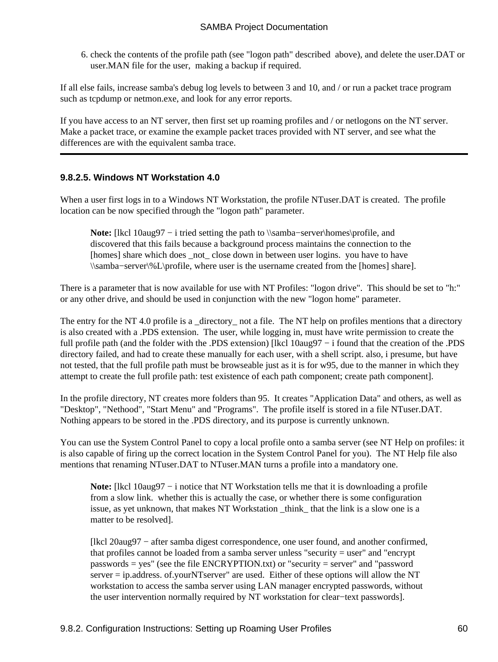6. check the contents of the profile path (see "logon path" described above), and delete the user.DAT or user.MAN file for the user, making a backup if required.

If all else fails, increase samba's debug log levels to between 3 and 10, and / or run a packet trace program such as tcpdump or netmon.exe, and look for any error reports.

If you have access to an NT server, then first set up roaming profiles and / or netlogons on the NT server. Make a packet trace, or examine the example packet traces provided with NT server, and see what the differences are with the equivalent samba trace.

### **9.8.2.5. Windows NT Workstation 4.0**

When a user first logs in to a Windows NT Workstation, the profile NTuser.DAT is created. The profile location can be now specified through the "logon path" parameter.

**Note:** [lkcl 10aug97 − i tried setting the path to \\samba−server\homes\profile, and discovered that this fails because a background process maintains the connection to the [homes] share which does \_not\_ close down in between user logins. you have to have \\samba−server\%L\profile, where user is the username created from the [homes] share].

There is a parameter that is now available for use with NT Profiles: "logon drive". This should be set to "h:" or any other drive, and should be used in conjunction with the new "logon home" parameter.

The entry for the NT 4.0 profile is a \_directory\_ not a file. The NT help on profiles mentions that a directory is also created with a .PDS extension. The user, while logging in, must have write permission to create the full profile path (and the folder with the .PDS extension) [lkcl 10aug97 − i found that the creation of the .PDS directory failed, and had to create these manually for each user, with a shell script. also, i presume, but have not tested, that the full profile path must be browseable just as it is for w95, due to the manner in which they attempt to create the full profile path: test existence of each path component; create path component].

In the profile directory, NT creates more folders than 95. It creates "Application Data" and others, as well as "Desktop", "Nethood", "Start Menu" and "Programs". The profile itself is stored in a file NTuser.DAT. Nothing appears to be stored in the .PDS directory, and its purpose is currently unknown.

You can use the System Control Panel to copy a local profile onto a samba server (see NT Help on profiles: it is also capable of firing up the correct location in the System Control Panel for you). The NT Help file also mentions that renaming NTuser.DAT to NTuser.MAN turns a profile into a mandatory one.

**Note:** [lkcl 10aug97 − i notice that NT Workstation tells me that it is downloading a profile from a slow link. whether this is actually the case, or whether there is some configuration issue, as yet unknown, that makes NT Workstation \_think\_ that the link is a slow one is a matter to be resolved].

[lkcl 20aug97 − after samba digest correspondence, one user found, and another confirmed, that profiles cannot be loaded from a samba server unless "security = user" and "encrypt  $passwords = yes'$  (see the file ENCRYPTION.txt) or "security = server" and "password" server = ip.address. of.yourNTserver" are used. Either of these options will allow the NT workstation to access the samba server using LAN manager encrypted passwords, without the user intervention normally required by NT workstation for clear−text passwords].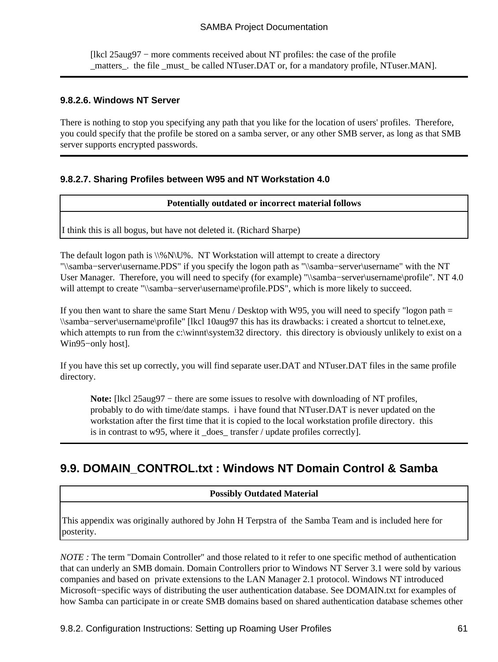[lkcl 25aug97 − more comments received about NT profiles: the case of the profile \_matters\_. the file \_must\_ be called NTuser.DAT or, for a mandatory profile, NTuser.MAN].

#### **9.8.2.6. Windows NT Server**

There is nothing to stop you specifying any path that you like for the location of users' profiles. Therefore, you could specify that the profile be stored on a samba server, or any other SMB server, as long as that SMB server supports encrypted passwords.

### **9.8.2.7. Sharing Profiles between W95 and NT Workstation 4.0**

#### **Potentially outdated or incorrect material follows**

I think this is all bogus, but have not deleted it. (Richard Sharpe)

The default logon path is  $\\%N\U$ %. NT Workstation will attempt to create a directory "\\samba−server\username.PDS" if you specify the logon path as "\\samba−server\username" with the NT User Manager. Therefore, you will need to specify (for example) "\\samba−server\username\profile". NT 4.0 will attempt to create "\\samba-server\username\profile.PDS", which is more likely to succeed.

If you then want to share the same Start Menu / Desktop with W95, you will need to specify "logon path = \\samba−server\username\profile" [lkcl 10aug97 this has its drawbacks: i created a shortcut to telnet.exe, which attempts to run from the c:\winnt\system32 directory. this directory is obviously unlikely to exist on a Win95−only host].

If you have this set up correctly, you will find separate user.DAT and NTuser.DAT files in the same profile directory.

**Note:** [lkcl 25aug97 − there are some issues to resolve with downloading of NT profiles, probably to do with time/date stamps. i have found that NTuser.DAT is never updated on the workstation after the first time that it is copied to the local workstation profile directory. this is in contrast to w95, where it \_does\_ transfer / update profiles correctly].

## **9.9. DOMAIN\_CONTROL.txt : Windows NT Domain Control & Samba**

#### **Possibly Outdated Material**

This appendix was originally authored by John H Terpstra of the Samba Team and is included here for posterity.

*NOTE :* The term "Domain Controller" and those related to it refer to one specific method of authentication that can underly an SMB domain. Domain Controllers prior to Windows NT Server 3.1 were sold by various companies and based on private extensions to the LAN Manager 2.1 protocol. Windows NT introduced Microsoft−specific ways of distributing the user authentication database. See DOMAIN.txt for examples of how Samba can participate in or create SMB domains based on shared authentication database schemes other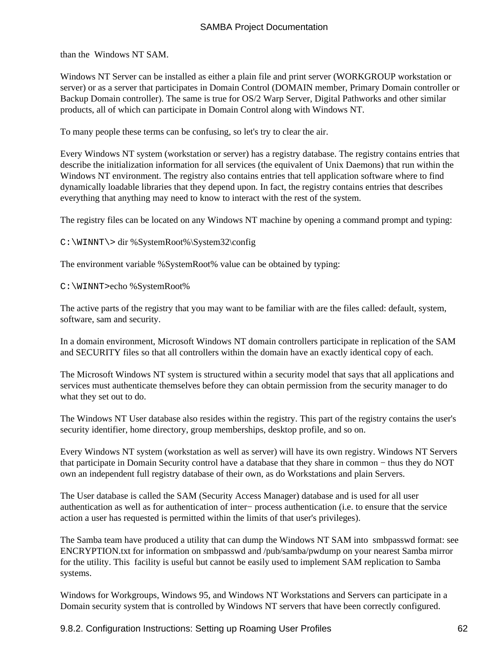than the Windows NT SAM.

Windows NT Server can be installed as either a plain file and print server (WORKGROUP workstation or server) or as a server that participates in Domain Control (DOMAIN member, Primary Domain controller or Backup Domain controller). The same is true for OS/2 Warp Server, Digital Pathworks and other similar products, all of which can participate in Domain Control along with Windows NT.

To many people these terms can be confusing, so let's try to clear the air.

Every Windows NT system (workstation or server) has a registry database. The registry contains entries that describe the initialization information for all services (the equivalent of Unix Daemons) that run within the Windows NT environment. The registry also contains entries that tell application software where to find dynamically loadable libraries that they depend upon. In fact, the registry contains entries that describes everything that anything may need to know to interact with the rest of the system.

The registry files can be located on any Windows NT machine by opening a command prompt and typing:

C:\WINNT\> dir %SystemRoot%\System32\config

The environment variable %SystemRoot% value can be obtained by typing:

C:\WINNT>echo %SystemRoot%

The active parts of the registry that you may want to be familiar with are the files called: default, system, software, sam and security.

In a domain environment, Microsoft Windows NT domain controllers participate in replication of the SAM and SECURITY files so that all controllers within the domain have an exactly identical copy of each.

The Microsoft Windows NT system is structured within a security model that says that all applications and services must authenticate themselves before they can obtain permission from the security manager to do what they set out to do.

The Windows NT User database also resides within the registry. This part of the registry contains the user's security identifier, home directory, group memberships, desktop profile, and so on.

Every Windows NT system (workstation as well as server) will have its own registry. Windows NT Servers that participate in Domain Security control have a database that they share in common − thus they do NOT own an independent full registry database of their own, as do Workstations and plain Servers.

The User database is called the SAM (Security Access Manager) database and is used for all user authentication as well as for authentication of inter− process authentication (i.e. to ensure that the service action a user has requested is permitted within the limits of that user's privileges).

The Samba team have produced a utility that can dump the Windows NT SAM into smbpasswd format: see ENCRYPTION.txt for information on smbpasswd and /pub/samba/pwdump on your nearest Samba mirror for the utility. This facility is useful but cannot be easily used to implement SAM replication to Samba systems.

Windows for Workgroups, Windows 95, and Windows NT Workstations and Servers can participate in a Domain security system that is controlled by Windows NT servers that have been correctly configured.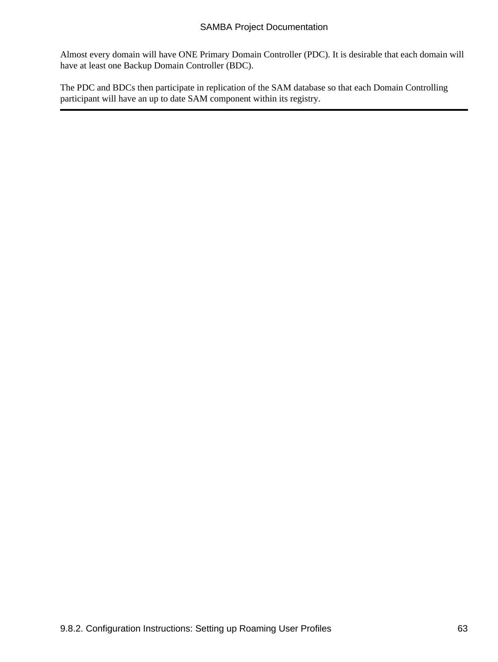Almost every domain will have ONE Primary Domain Controller (PDC). It is desirable that each domain will have at least one Backup Domain Controller (BDC).

The PDC and BDCs then participate in replication of the SAM database so that each Domain Controlling participant will have an up to date SAM component within its registry.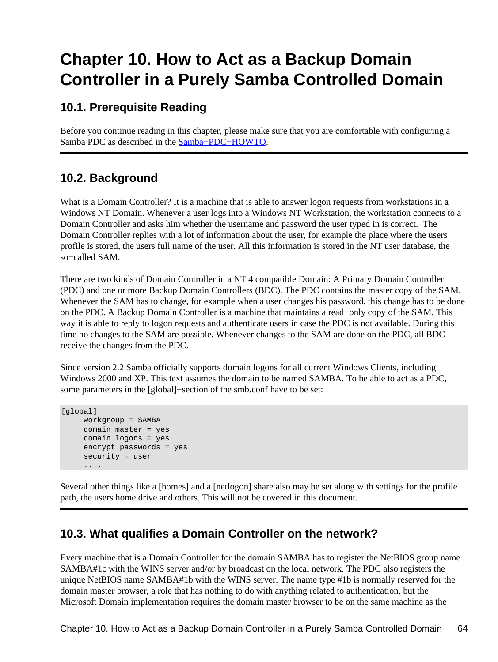# **Chapter 10. How to Act as a Backup Domain Controller in a Purely Samba Controlled Domain**

# **10.1. Prerequisite Reading**

Before you continue reading in this chapter, please make sure that you are comfortable with configuring a Samba PDC as described in the [Samba−PDC−HOWTO.](Samba-PDC-HOWTO.html)

# **10.2. Background**

What is a Domain Controller? It is a machine that is able to answer logon requests from workstations in a Windows NT Domain. Whenever a user logs into a Windows NT Workstation, the workstation connects to a Domain Controller and asks him whether the username and password the user typed in is correct. The Domain Controller replies with a lot of information about the user, for example the place where the users profile is stored, the users full name of the user. All this information is stored in the NT user database, the so−called SAM.

There are two kinds of Domain Controller in a NT 4 compatible Domain: A Primary Domain Controller (PDC) and one or more Backup Domain Controllers (BDC). The PDC contains the master copy of the SAM. Whenever the SAM has to change, for example when a user changes his password, this change has to be done on the PDC. A Backup Domain Controller is a machine that maintains a read−only copy of the SAM. This way it is able to reply to logon requests and authenticate users in case the PDC is not available. During this time no changes to the SAM are possible. Whenever changes to the SAM are done on the PDC, all BDC receive the changes from the PDC.

Since version 2.2 Samba officially supports domain logons for all current Windows Clients, including Windows 2000 and XP. This text assumes the domain to be named SAMBA. To be able to act as a PDC, some parameters in the [global]–section of the smb.conf have to be set:

```
[global]
      workgroup = SAMBA
      domain master = yes
      domain logons = yes
      encrypt passwords = yes
      security = user
      ....
```
Several other things like a [homes] and a [netlogon] share also may be set along with settings for the profile path, the users home drive and others. This will not be covered in this document.

# **10.3. What qualifies a Domain Controller on the network?**

Every machine that is a Domain Controller for the domain SAMBA has to register the NetBIOS group name SAMBA#1c with the WINS server and/or by broadcast on the local network. The PDC also registers the unique NetBIOS name SAMBA#1b with the WINS server. The name type #1b is normally reserved for the domain master browser, a role that has nothing to do with anything related to authentication, but the Microsoft Domain implementation requires the domain master browser to be on the same machine as the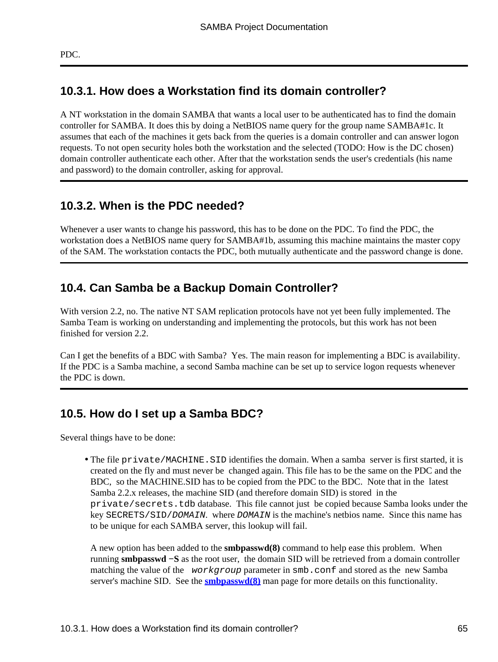# **10.3.1. How does a Workstation find its domain controller?**

A NT workstation in the domain SAMBA that wants a local user to be authenticated has to find the domain controller for SAMBA. It does this by doing a NetBIOS name query for the group name SAMBA#1c. It assumes that each of the machines it gets back from the queries is a domain controller and can answer logon requests. To not open security holes both the workstation and the selected (TODO: How is the DC chosen) domain controller authenticate each other. After that the workstation sends the user's credentials (his name and password) to the domain controller, asking for approval.

# **10.3.2. When is the PDC needed?**

Whenever a user wants to change his password, this has to be done on the PDC. To find the PDC, the workstation does a NetBIOS name query for SAMBA#1b, assuming this machine maintains the master copy of the SAM. The workstation contacts the PDC, both mutually authenticate and the password change is done.

# **10.4. Can Samba be a Backup Domain Controller?**

With version 2.2, no. The native NT SAM replication protocols have not yet been fully implemented. The Samba Team is working on understanding and implementing the protocols, but this work has not been finished for version 2.2.

Can I get the benefits of a BDC with Samba? Yes. The main reason for implementing a BDC is availability. If the PDC is a Samba machine, a second Samba machine can be set up to service logon requests whenever the PDC is down.

## **10.5. How do I set up a Samba BDC?**

Several things have to be done:

The file private/MACHINE.SID identifies the domain. When a samba server is first started, it is • created on the fly and must never be changed again. This file has to be the same on the PDC and the BDC, so the MACHINE.SID has to be copied from the PDC to the BDC. Note that in the latest Samba 2.2.x releases, the machine SID (and therefore domain SID) is stored in the private/secrets.tdb database. This file cannot just be copied because Samba looks under the key SECRETS/SID/DOMAIN. where DOMAIN is the machine's netbios name. Since this name has to be unique for each SAMBA server, this lookup will fail.

A new option has been added to the **smbpasswd(8)** command to help ease this problem. When running **smbpasswd −S** as the root user, the domain SID will be retrieved from a domain controller matching the value of the workgroup parameter in smb.conf and stored as the new Samba server's machine SID. See the **[smbpasswd\(8\)](smbpasswd.8.html)** man page for more details on this functionality.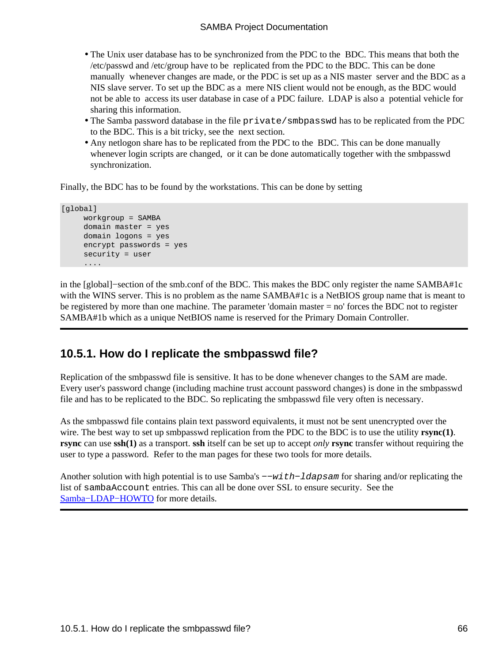- The Unix user database has to be synchronized from the PDC to the BDC. This means that both the /etc/passwd and /etc/group have to be replicated from the PDC to the BDC. This can be done manually whenever changes are made, or the PDC is set up as a NIS master server and the BDC as a NIS slave server. To set up the BDC as a mere NIS client would not be enough, as the BDC would not be able to access its user database in case of a PDC failure. LDAP is also a potential vehicle for sharing this information.
- The Samba password database in the file private/smbpasswd has to be replicated from the PDC to the BDC. This is a bit tricky, see the next section.
- Any netlogon share has to be replicated from the PDC to the BDC. This can be done manually whenever login scripts are changed, or it can be done automatically together with the smbpasswd synchronization.

Finally, the BDC has to be found by the workstations. This can be done by setting

```
[global]
     workgroup = SAMBA
     domain master = yes
      domain logons = yes
      encrypt passwords = yes
      security = user
      ....
```
in the [global]−section of the smb.conf of the BDC. This makes the BDC only register the name SAMBA#1c with the WINS server. This is no problem as the name SAMBA#1c is a NetBIOS group name that is meant to be registered by more than one machine. The parameter 'domain master = no' forces the BDC not to register SAMBA#1b which as a unique NetBIOS name is reserved for the Primary Domain Controller.

### **10.5.1. How do I replicate the smbpasswd file?**

Replication of the smbpasswd file is sensitive. It has to be done whenever changes to the SAM are made. Every user's password change (including machine trust account password changes) is done in the smbpasswd file and has to be replicated to the BDC. So replicating the smbpasswd file very often is necessary.

As the smbpasswd file contains plain text password equivalents, it must not be sent unencrypted over the wire. The best way to set up smbpasswd replication from the PDC to the BDC is to use the utility **rsync(1)**. **rsync** can use **ssh(1)** as a transport. **ssh** itself can be set up to accept *only* **rsync** transfer without requiring the user to type a password. Refer to the man pages for these two tools for more details.

Another solution with high potential is to use Samba's  $-\text{with}-\text{ldapsam}$  for sharing and/or replicating the list of sambaAccount entries. This can all be done over SSL to ensure security. See the [Samba−LDAP−HOWTO](Samba-LDAP-HOWTO.html) for more details.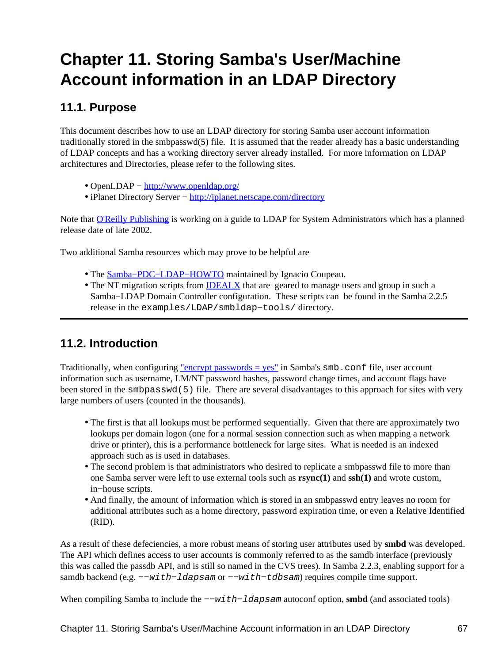# **Chapter 11. Storing Samba's User/Machine Account information in an LDAP Directory**

# **11.1. Purpose**

This document describes how to use an LDAP directory for storing Samba user account information traditionally stored in the smbpasswd(5) file. It is assumed that the reader already has a basic understanding of LDAP concepts and has a working directory server already installed. For more information on LDAP architectures and Directories, please refer to the following sites.

- OpenLDAP −<http://www.openldap.org/>
- iPlanet Directory Server − <http://iplanet.netscape.com/directory>

Note that [O'Reilly Publishing](http://www.ora.com/) is working on a guide to LDAP for System Administrators which has a planned release date of late 2002.

Two additional Samba resources which may prove to be helpful are

- The [Samba−PDC−LDAP−HOWTO](http://www.unav.es/cti/ldap-smb/ldap-smb-2_2-howto.html) maintained by Ignacio Coupeau.
- The NT migration scripts from **IDEALX** that are geared to manage users and group in such a Samba−LDAP Domain Controller configuration. These scripts can be found in the Samba 2.2.5 release in the examples/LDAP/smbldap−tools/ directory.

# **11.2. Introduction**

Traditionally, when configuring <u>["encrypt passwords = yes"](#ENCRYPTPASSWORDS)</u> in Samba's  $smb$ .conf file, user account information such as username, LM/NT password hashes, password change times, and account flags have been stored in the smbpasswd(5) file. There are several disadvantages to this approach for sites with very large numbers of users (counted in the thousands).

- The first is that all lookups must be performed sequentially. Given that there are approximately two lookups per domain logon (one for a normal session connection such as when mapping a network drive or printer), this is a performance bottleneck for large sites. What is needed is an indexed approach such as is used in databases.
- The second problem is that administrators who desired to replicate a smbpasswd file to more than one Samba server were left to use external tools such as **rsync(1)** and **ssh(1)** and wrote custom, in−house scripts.
- And finally, the amount of information which is stored in an smbpasswd entry leaves no room for additional attributes such as a home directory, password expiration time, or even a Relative Identified (RID).

As a result of these defeciencies, a more robust means of storing user attributes used by **smbd** was developed. The API which defines access to user accounts is commonly referred to as the samdb interface (previously this was called the passdb API, and is still so named in the CVS trees). In Samba 2.2.3, enabling support for a samdb backend (e.g.  $-\textit{with}-\textit{Idapsam}$  or  $-\textit{with}-\textit{tdbsam}$ ) requires compile time support.

When compiling Samba to include the  $-\text{width}-1$ *dapsam* autoconf option, **smbd** (and associated tools)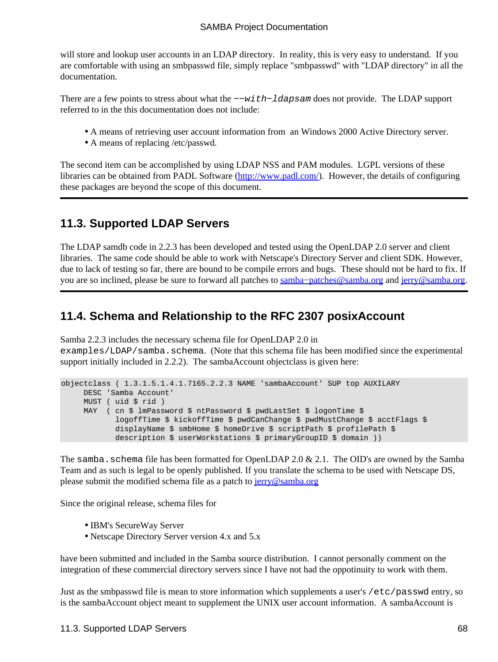will store and lookup user accounts in an LDAP directory. In reality, this is very easy to understand. If you are comfortable with using an smbpasswd file, simply replace "smbpasswd" with "LDAP directory" in all the documentation.

There are a few points to stress about what the  $-\overline{with}$ -ldapsam does not provide. The LDAP support referred to in the this documentation does not include:

- A means of retrieving user account information from an Windows 2000 Active Directory server.
- A means of replacing /etc/passwd.

The second item can be accomplished by using LDAP NSS and PAM modules. LGPL versions of these libraries can be obtained from PADL Software [\(http://www.padl.com/\)](http://www.padl.com/). However, the details of configuring these packages are beyond the scope of this document.

### **11.3. Supported LDAP Servers**

The LDAP samdb code in 2.2.3 has been developed and tested using the OpenLDAP 2.0 server and client libraries. The same code should be able to work with Netscape's Directory Server and client SDK. However, due to lack of testing so far, there are bound to be compile errors and bugs. These should not be hard to fix. If you are so inclined, please be sure to forward all patches to samba–patches@samba.org and [jerry@samba.org.](jerry@samba.org)

### **11.4. Schema and Relationship to the RFC 2307 posixAccount**

Samba 2.2.3 includes the necessary schema file for OpenLDAP 2.0 in examples/LDAP/samba.schema. (Note that this schema file has been modified since the experimental support initially included in 2.2.2). The sambaAccount objectclass is given here:

```
objectclass ( 1.3.1.5.1.4.1.7165.2.2.3 NAME 'sambaAccount' SUP top AUXILARY
     DESC 'Samba Account'
     MUST ( uid $ rid )
    MAY ( cn $ lmPassword $ ntPassword $ pwdLastSet $ logonTime $
             logoffTime $ kickoffTime $ pwdCanChange $ pwdMustChange $ acctFlags $
             displayName $ smbHome $ homeDrive $ scriptPath $ profilePath $
             description $ userWorkstations $ primaryGroupID $ domain ))
```
The samba. schema file has been formatted for OpenLDAP 2.0  $\&$  2.1. The OID's are owned by the Samba Team and as such is legal to be openly published. If you translate the schema to be used with Netscape DS, please submit the modified schema file as a patch to<jerry@samba.org>

Since the original release, schema files for

- IBM's SecureWay Server
- Netscape Directory Server version 4.x and 5.x

have been submitted and included in the Samba source distribution. I cannot personally comment on the integration of these commercial directory servers since I have not had the oppotinuity to work with them.

Just as the smbpasswd file is mean to store information which supplements a user's /etc/passwd entry, so is the sambaAccount object meant to supplement the UNIX user account information. A sambaAccount is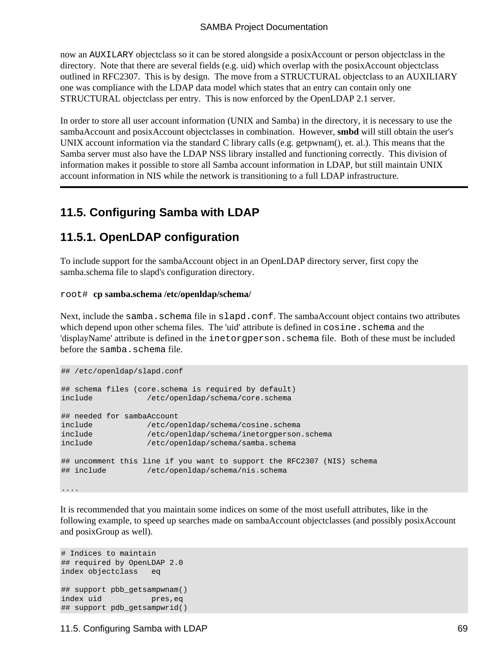now an AUXILARY objectclass so it can be stored alongside a posixAccount or person objectclass in the directory. Note that there are several fields (e.g. uid) which overlap with the posixAccount objectclass outlined in RFC2307. This is by design. The move from a STRUCTURAL objectclass to an AUXILIARY one was compliance with the LDAP data model which states that an entry can contain only one STRUCTURAL objectclass per entry. This is now enforced by the OpenLDAP 2.1 server.

In order to store all user account information (UNIX and Samba) in the directory, it is necessary to use the sambaAccount and posixAccount objectclasses in combination. However, **smbd** will still obtain the user's UNIX account information via the standard C library calls (e.g. getpwnam(), et. al.). This means that the Samba server must also have the LDAP NSS library installed and functioning correctly. This division of information makes it possible to store all Samba account information in LDAP, but still maintain UNIX account information in NIS while the network is transitioning to a full LDAP infrastructure.

### **11.5. Configuring Samba with LDAP**

# **11.5.1. OpenLDAP configuration**

To include support for the sambaAccount object in an OpenLDAP directory server, first copy the samba.schema file to slapd's configuration directory.

### root# **cp samba.schema /etc/openldap/schema/**

Next, include the samba.schema file in slapd.conf. The sambaAccount object contains two attributes which depend upon other schema files. The 'uid' attribute is defined in cosine. schema and the 'displayName' attribute is defined in the inetorgperson.schema file. Both of these must be included before the samba.schema file.

```
## /etc/openldap/slapd.conf
## schema files (core.schema is required by default)
include /etc/openldap/schema/core.schema
## needed for sambaAccount
include /etc/openldap/schema/cosine.schema
include /etc/openldap/schema/inetorgperson.schema
include /etc/openldap/schema/samba.schema
## uncomment this line if you want to support the RFC2307 (NIS) schema
## include /etc/openldap/schema/nis.schema
```
....

It is recommended that you maintain some indices on some of the most usefull attributes, like in the following example, to speed up searches made on sambaAccount objectclasses (and possibly posixAccount and posixGroup as well).

```
# Indices to maintain
## required by OpenLDAP 2.0
index objectclass eq
## support pbb_getsampwnam()
index uid pres,eq
## support pdb_getsampwrid()
```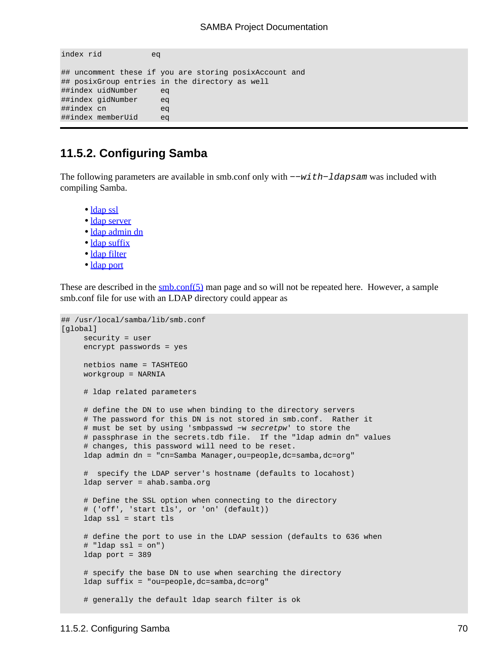index rid eq ## uncomment these if you are storing posixAccount and ## posixGroup entries in the directory as well ##index uidNumber eq ##index gidNumber eq ##index cn eq ##index memberUid eq

### **11.5.2. Configuring Samba**

The following parameters are available in smb.conf only with  $-$ with-ldapsam was included with compiling Samba.

- Idap ssl
- [ldap server](#LDAPSERVER)
- [ldap admin dn](#LDAPADMINDN)
- [ldap suffix](#LDAPSUFFIX)
- [ldap filter](#LDAPFILTER)
- [ldap port](#LDAPPORT)

These are described in the  $\frac{\text{smb.com}(5)}{2}$  man page and so will not be repeated here. However, a sample smb.conf file for use with an LDAP directory could appear as

```
## /usr/local/samba/lib/smb.conf
[global]
     security = user
     encrypt passwords = yes
     netbios name = TASHTEGO
      workgroup = NARNIA
      # ldap related parameters
      # define the DN to use when binding to the directory servers
      # The password for this DN is not stored in smb.conf. Rather it
      # must be set by using 'smbpasswd −w secretpw' to store the
      # passphrase in the secrets.tdb file. If the "ldap admin dn" values
      # changes, this password will need to be reset.
      ldap admin dn = "cn=Samba Manager,ou=people,dc=samba,dc=org"
      # specify the LDAP server's hostname (defaults to locahost)
      ldap server = ahab.samba.org
      # Define the SSL option when connecting to the directory
      # ('off', 'start tls', or 'on' (default))
      ldap ssl = start tls
      # define the port to use in the LDAP session (defaults to 636 when
     # "ldap ssl = on")
      ldap port = 389
      # specify the base DN to use when searching the directory
      ldap suffix = "ou=people,dc=samba,dc=org"
      # generally the default ldap search filter is ok
```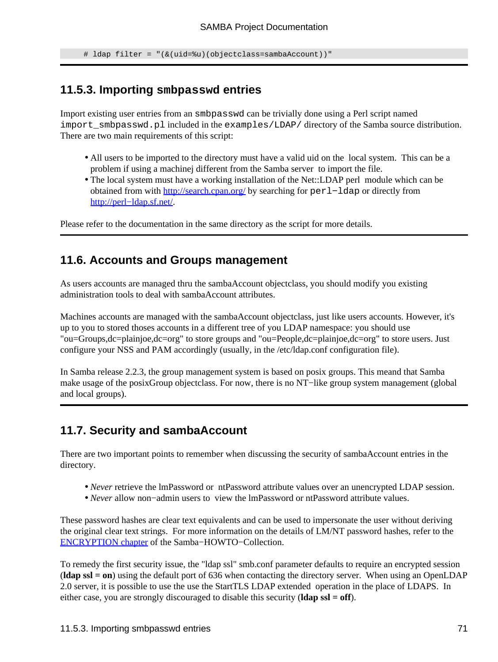# ldap filter = "(&(uid=%u)(objectclass=sambaAccount))"

### **11.5.3. Importing smbpasswd entries**

Import existing user entries from an smbpasswd can be trivially done using a Perl script named import\_smbpasswd.pl included in the examples/LDAP/ directory of the Samba source distribution. There are two main requirements of this script:

- All users to be imported to the directory must have a valid uid on the local system. This can be a problem if using a machinej different from the Samba server to import the file.
- The local system must have a working installation of the Net::LDAP perl module which can be obtained from with<http://search.cpan.org/> by searching for perl−ldap or directly from [http://perl−ldap.sf.net/](http://perl-ldap.sf.net/).

Please refer to the documentation in the same directory as the script for more details.

### **11.6. Accounts and Groups management**

As users accounts are managed thru the sambaAccount objectclass, you should modify you existing administration tools to deal with sambaAccount attributes.

Machines accounts are managed with the sambaAccount objectclass, just like users accounts. However, it's up to you to stored thoses accounts in a different tree of you LDAP namespace: you should use "ou=Groups,dc=plainjoe,dc=org" to store groups and "ou=People,dc=plainjoe,dc=org" to store users. Just configure your NSS and PAM accordingly (usually, in the /etc/ldap.conf configuration file).

In Samba release 2.2.3, the group management system is based on posix groups. This meand that Samba make usage of the posixGroup objectclass. For now, there is no NT−like group system management (global and local groups).

# **11.7. Security and sambaAccount**

There are two important points to remember when discussing the security of sambaAccount entries in the directory.

- *Never* retrieve the lmPassword or ntPassword attribute values over an unencrypted LDAP session.
- *Never* allow non−admin users to view the lmPassword or ntPassword attribute values.

These password hashes are clear text equivalents and can be used to impersonate the user without deriving the original clear text strings. For more information on the details of LM/NT password hashes, refer to the [ENCRYPTION chapter](ENCRYPTION.html) of the Samba−HOWTO−Collection.

To remedy the first security issue, the "ldap ssl" smb.conf parameter defaults to require an encrypted session (**ldap ssl = on**) using the default port of 636 when contacting the directory server. When using an OpenLDAP 2.0 server, it is possible to use the use the StartTLS LDAP extended operation in the place of LDAPS. In either case, you are strongly discouraged to disable this security (**ldap ssl = off**).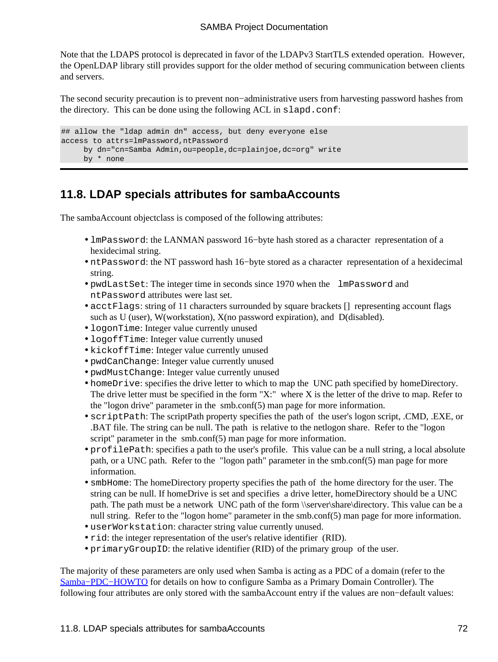Note that the LDAPS protocol is deprecated in favor of the LDAPv3 StartTLS extended operation. However, the OpenLDAP library still provides support for the older method of securing communication between clients and servers.

The second security precaution is to prevent non−administrative users from harvesting password hashes from the directory. This can be done using the following ACL in slapd.conf:

```
## allow the "ldap admin dn" access, but deny everyone else
access to attrs=lmPassword,ntPassword
     by dn="cn=Samba Admin,ou=people,dc=plainjoe,dc=org" write
      by * none
```
### **11.8. LDAP specials attributes for sambaAccounts**

The sambaAccount objectclass is composed of the following attributes:

- lmPassword: the LANMAN password 16−byte hash stored as a character representation of a hexidecimal string.
- ntPassword: the NT password hash 16−byte stored as a character representation of a hexidecimal string.
- pwdLastSet: The integer time in seconds since 1970 when the lmPassword and ntPassword attributes were last set.
- acctFlags: string of 11 characters surrounded by square brackets [] representing account flags such as U (user), W(workstation), X(no password expiration), and D(disabled).
- logonTime: Integer value currently unused
- logoffTime: Integer value currently unused
- kickoffTime: Integer value currently unused
- pwdCanChange: Integer value currently unused
- pwdMustChange: Integer value currently unused
- homeDrive: specifies the drive letter to which to map the UNC path specified by homeDirectory. The drive letter must be specified in the form "X:" where X is the letter of the drive to map. Refer to the "logon drive" parameter in the smb.conf(5) man page for more information.
- scriptPath: The scriptPath property specifies the path of the user's logon script, .CMD, .EXE, or .BAT file. The string can be null. The path is relative to the netlogon share. Refer to the "logon script" parameter in the smb.conf(5) man page for more information.
- profilePath: specifies a path to the user's profile. This value can be a null string, a local absolute path, or a UNC path. Refer to the "logon path" parameter in the smb.conf(5) man page for more information.
- smbHome: The homeDirectory property specifies the path of the home directory for the user. The string can be null. If homeDrive is set and specifies a drive letter, homeDirectory should be a UNC path. The path must be a network UNC path of the form \\server\share\directory. This value can be a null string. Refer to the "logon home" parameter in the smb.conf(5) man page for more information.
- userWorkstation: character string value currently unused.
- rid: the integer representation of the user's relative identifier (RID).
- primaryGroupID: the relative identifier (RID) of the primary group of the user.

The majority of these parameters are only used when Samba is acting as a PDC of a domain (refer to the [Samba−PDC−HOWTO](Samba-PDC-HOWTO.html) for details on how to configure Samba as a Primary Domain Controller). The following four attributes are only stored with the sambaAccount entry if the values are non−default values: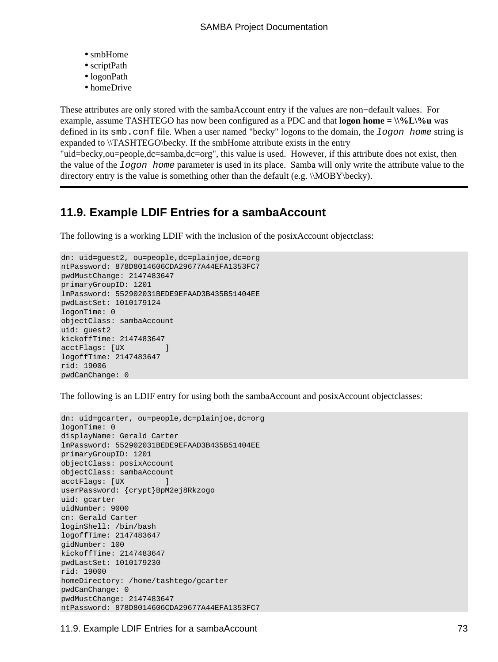- smbHome
- scriptPath
- logonPath
- homeDrive

These attributes are only stored with the sambaAccount entry if the values are non−default values. For example, assume TASHTEGO has now been configured as a PDC and that **logon home =**  $\sqrt{\omega L}\$ **u** was defined in its smb.conf file. When a user named "becky" logons to the domain, the logon home string is expanded to  $\ITASHTEGO\becky$ . If the smbHome attribute exists in the entry "uid=becky,ou=people,dc=samba,dc=org", this value is used. However, if this attribute does not exist, then the value of the logon home parameter is used in its place. Samba will only write the attribute value to the directory entry is the value is something other than the default (e.g.  $\MOBY\beck$ ).

### **11.9. Example LDIF Entries for a sambaAccount**

The following is a working LDIF with the inclusion of the posixAccount objectclass:

```
dn: uid=guest2, ou=people,dc=plainjoe,dc=org
ntPassword: 878D8014606CDA29677A44EFA1353FC7
pwdMustChange: 2147483647
primaryGroupID: 1201
lmPassword: 552902031BEDE9EFAAD3B435B51404EE
pwdLastSet: 1010179124
logonTime: 0
objectClass: sambaAccount
uid: guest2
kickoffTime: 2147483647
acctFlags: [UX ]
logoffTime: 2147483647
rid: 19006
pwdCanChange: 0
```
The following is an LDIF entry for using both the sambaAccount and posixAccount objectclasses:

```
dn: uid=gcarter, ou=people,dc=plainjoe,dc=org
logonTime: 0
displayName: Gerald Carter
lmPassword: 552902031BEDE9EFAAD3B435B51404EE
primaryGroupID: 1201
objectClass: posixAccount
objectClass: sambaAccount
acctFlags: [UX ]
userPassword: {crypt}BpM2ej8Rkzogo
uid: gcarter
uidNumber: 9000
cn: Gerald Carter
loginShell: /bin/bash
logoffTime: 2147483647
gidNumber: 100
kickoffTime: 2147483647
pwdLastSet: 1010179230
rid: 19000
homeDirectory: /home/tashtego/gcarter
pwdCanChange: 0
pwdMustChange: 2147483647
ntPassword: 878D8014606CDA29677A44EFA1353FC7
```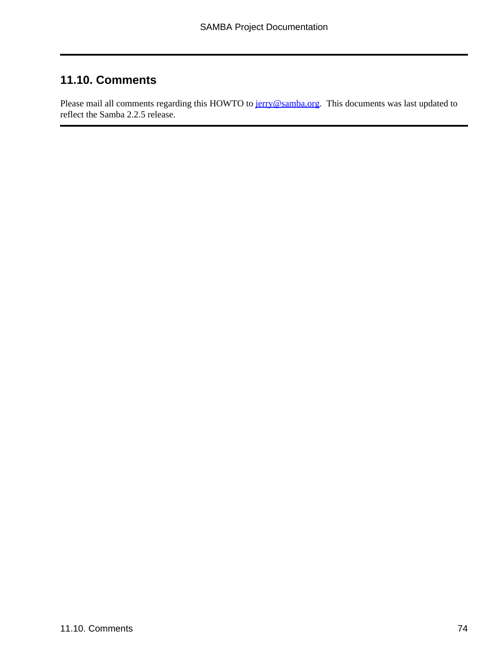# **11.10. Comments**

Please mail all comments regarding this HOWTO to *jerry@samba.org*. This documents was last updated to reflect the Samba 2.2.5 release.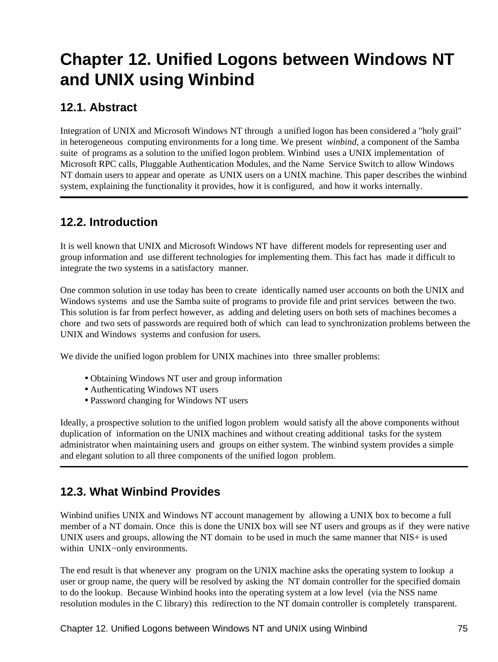# **Chapter 12. Unified Logons between Windows NT and UNIX using Winbind**

# **12.1. Abstract**

Integration of UNIX and Microsoft Windows NT through a unified logon has been considered a "holy grail" in heterogeneous computing environments for a long time. We present *winbind*, a component of the Samba suite of programs as a solution to the unified logon problem. Winbind uses a UNIX implementation of Microsoft RPC calls, Pluggable Authentication Modules, and the Name Service Switch to allow Windows NT domain users to appear and operate as UNIX users on a UNIX machine. This paper describes the winbind system, explaining the functionality it provides, how it is configured, and how it works internally.

# **12.2. Introduction**

It is well known that UNIX and Microsoft Windows NT have different models for representing user and group information and use different technologies for implementing them. This fact has made it difficult to integrate the two systems in a satisfactory manner.

One common solution in use today has been to create identically named user accounts on both the UNIX and Windows systems and use the Samba suite of programs to provide file and print services between the two. This solution is far from perfect however, as adding and deleting users on both sets of machines becomes a chore and two sets of passwords are required both of which can lead to synchronization problems between the UNIX and Windows systems and confusion for users.

We divide the unified logon problem for UNIX machines into three smaller problems:

- Obtaining Windows NT user and group information
- Authenticating Windows NT users
- Password changing for Windows NT users

Ideally, a prospective solution to the unified logon problem would satisfy all the above components without duplication of information on the UNIX machines and without creating additional tasks for the system administrator when maintaining users and groups on either system. The winbind system provides a simple and elegant solution to all three components of the unified logon problem.

### **12.3. What Winbind Provides**

Winbind unifies UNIX and Windows NT account management by allowing a UNIX box to become a full member of a NT domain. Once this is done the UNIX box will see NT users and groups as if they were native UNIX users and groups, allowing the NT domain to be used in much the same manner that NIS+ is used within UNIX-only environments.

The end result is that whenever any program on the UNIX machine asks the operating system to lookup a user or group name, the query will be resolved by asking the NT domain controller for the specified domain to do the lookup. Because Winbind hooks into the operating system at a low level (via the NSS name resolution modules in the C library) this redirection to the NT domain controller is completely transparent.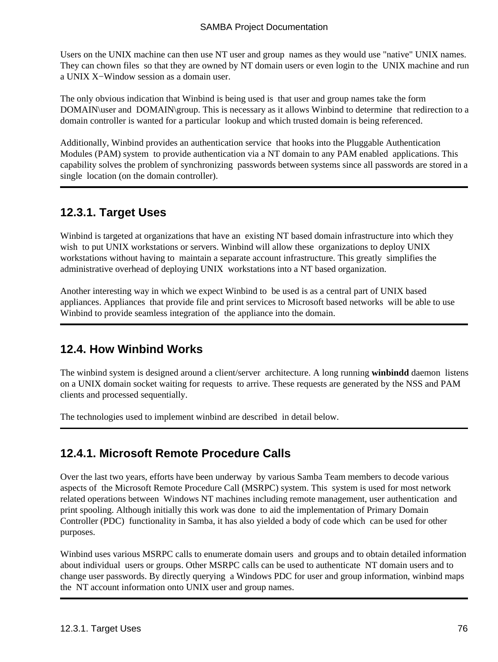Users on the UNIX machine can then use NT user and group names as they would use "native" UNIX names. They can chown files so that they are owned by NT domain users or even login to the UNIX machine and run a UNIX X−Window session as a domain user.

The only obvious indication that Winbind is being used is that user and group names take the form DOMAIN\user and DOMAIN\group. This is necessary as it allows Winbind to determine that redirection to a domain controller is wanted for a particular lookup and which trusted domain is being referenced.

Additionally, Winbind provides an authentication service that hooks into the Pluggable Authentication Modules (PAM) system to provide authentication via a NT domain to any PAM enabled applications. This capability solves the problem of synchronizing passwords between systems since all passwords are stored in a single location (on the domain controller).

# **12.3.1. Target Uses**

Winbind is targeted at organizations that have an existing NT based domain infrastructure into which they wish to put UNIX workstations or servers. Winbind will allow these organizations to deploy UNIX workstations without having to maintain a separate account infrastructure. This greatly simplifies the administrative overhead of deploying UNIX workstations into a NT based organization.

Another interesting way in which we expect Winbind to be used is as a central part of UNIX based appliances. Appliances that provide file and print services to Microsoft based networks will be able to use Winbind to provide seamless integration of the appliance into the domain.

### **12.4. How Winbind Works**

The winbind system is designed around a client/server architecture. A long running **winbindd** daemon listens on a UNIX domain socket waiting for requests to arrive. These requests are generated by the NSS and PAM clients and processed sequentially.

The technologies used to implement winbind are described in detail below.

# **12.4.1. Microsoft Remote Procedure Calls**

Over the last two years, efforts have been underway by various Samba Team members to decode various aspects of the Microsoft Remote Procedure Call (MSRPC) system. This system is used for most network related operations between Windows NT machines including remote management, user authentication and print spooling. Although initially this work was done to aid the implementation of Primary Domain Controller (PDC) functionality in Samba, it has also yielded a body of code which can be used for other purposes.

Winbind uses various MSRPC calls to enumerate domain users and groups and to obtain detailed information about individual users or groups. Other MSRPC calls can be used to authenticate NT domain users and to change user passwords. By directly querying a Windows PDC for user and group information, winbind maps the NT account information onto UNIX user and group names.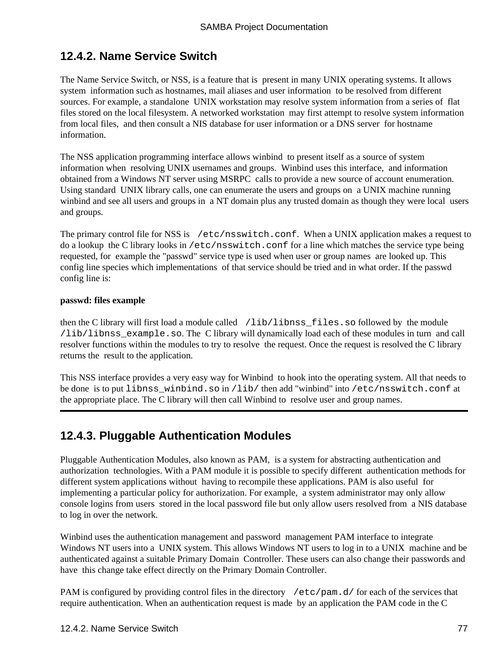# **12.4.2. Name Service Switch**

The Name Service Switch, or NSS, is a feature that is present in many UNIX operating systems. It allows system information such as hostnames, mail aliases and user information to be resolved from different sources. For example, a standalone UNIX workstation may resolve system information from a series of flat files stored on the local filesystem. A networked workstation may first attempt to resolve system information from local files, and then consult a NIS database for user information or a DNS server for hostname information.

The NSS application programming interface allows winbind to present itself as a source of system information when resolving UNIX usernames and groups. Winbind uses this interface, and information obtained from a Windows NT server using MSRPC calls to provide a new source of account enumeration. Using standard UNIX library calls, one can enumerate the users and groups on a UNIX machine running winbind and see all users and groups in a NT domain plus any trusted domain as though they were local users and groups.

The primary control file for NSS is /etc/nsswitch.conf. When a UNIX application makes a request to do a lookup the C library looks in /etc/nsswitch.conf for a line which matches the service type being requested, for example the "passwd" service type is used when user or group names are looked up. This config line species which implementations of that service should be tried and in what order. If the passwd config line is:

### **passwd: files example**

then the C library will first load a module called /lib/libnss\_files.so followed by the module /lib/libnss\_example.so. The C library will dynamically load each of these modules in turn and call resolver functions within the modules to try to resolve the request. Once the request is resolved the C library returns the result to the application.

This NSS interface provides a very easy way for Winbind to hook into the operating system. All that needs to be done is to put libnss\_winbind.so in /lib/ then add "winbind" into /etc/nsswitch.conf at the appropriate place. The C library will then call Winbind to resolve user and group names.

### **12.4.3. Pluggable Authentication Modules**

Pluggable Authentication Modules, also known as PAM, is a system for abstracting authentication and authorization technologies. With a PAM module it is possible to specify different authentication methods for different system applications without having to recompile these applications. PAM is also useful for implementing a particular policy for authorization. For example, a system administrator may only allow console logins from users stored in the local password file but only allow users resolved from a NIS database to log in over the network.

Winbind uses the authentication management and password management PAM interface to integrate Windows NT users into a UNIX system. This allows Windows NT users to log in to a UNIX machine and be authenticated against a suitable Primary Domain Controller. These users can also change their passwords and have this change take effect directly on the Primary Domain Controller.

PAM is configured by providing control files in the directory /etc/pam.d/ for each of the services that require authentication. When an authentication request is made by an application the PAM code in the C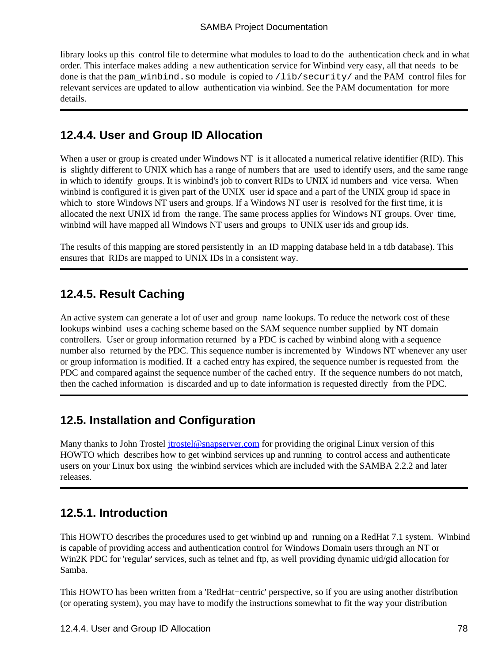library looks up this control file to determine what modules to load to do the authentication check and in what order. This interface makes adding a new authentication service for Winbind very easy, all that needs to be done is that the pam\_winbind.so module is copied to /lib/security/ and the PAM control files for relevant services are updated to allow authentication via winbind. See the PAM documentation for more details.

### **12.4.4. User and Group ID Allocation**

When a user or group is created under Windows NT is it allocated a numerical relative identifier (RID). This is slightly different to UNIX which has a range of numbers that are used to identify users, and the same range in which to identify groups. It is winbind's job to convert RIDs to UNIX id numbers and vice versa. When winbind is configured it is given part of the UNIX user id space and a part of the UNIX group id space in which to store Windows NT users and groups. If a Windows NT user is resolved for the first time, it is allocated the next UNIX id from the range. The same process applies for Windows NT groups. Over time, winbind will have mapped all Windows NT users and groups to UNIX user ids and group ids.

The results of this mapping are stored persistently in an ID mapping database held in a tdb database). This ensures that RIDs are mapped to UNIX IDs in a consistent way.

### **12.4.5. Result Caching**

An active system can generate a lot of user and group name lookups. To reduce the network cost of these lookups winbind uses a caching scheme based on the SAM sequence number supplied by NT domain controllers. User or group information returned by a PDC is cached by winbind along with a sequence number also returned by the PDC. This sequence number is incremented by Windows NT whenever any user or group information is modified. If a cached entry has expired, the sequence number is requested from the PDC and compared against the sequence number of the cached entry. If the sequence numbers do not match, then the cached information is discarded and up to date information is requested directly from the PDC.

# **12.5. Installation and Configuration**

Many thanks to John Trostel *itrostel@snapserver.com* for providing the original Linux version of this HOWTO which describes how to get winbind services up and running to control access and authenticate users on your Linux box using the winbind services which are included with the SAMBA 2.2.2 and later releases.

### **12.5.1. Introduction**

This HOWTO describes the procedures used to get winbind up and running on a RedHat 7.1 system. Winbind is capable of providing access and authentication control for Windows Domain users through an NT or Win2K PDC for 'regular' services, such as telnet and ftp, as well providing dynamic uid/gid allocation for Samba.

This HOWTO has been written from a 'RedHat−centric' perspective, so if you are using another distribution (or operating system), you may have to modify the instructions somewhat to fit the way your distribution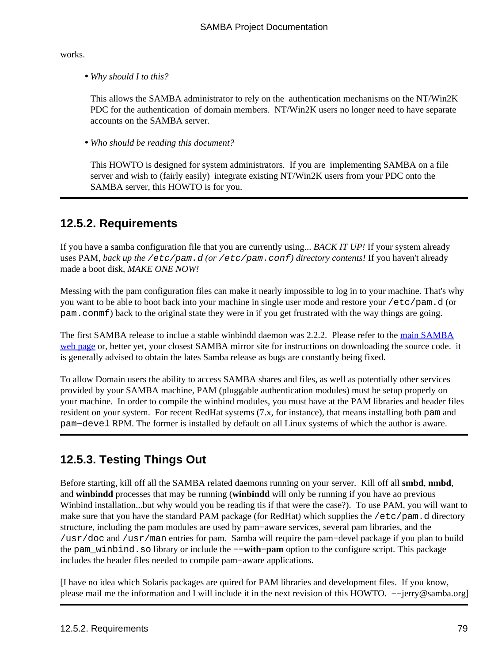works.

• *Why should I to this?*

This allows the SAMBA administrator to rely on the authentication mechanisms on the NT/Win2K PDC for the authentication of domain members. NT/Win2K users no longer need to have separate accounts on the SAMBA server.

• *Who should be reading this document?*

This HOWTO is designed for system administrators. If you are implementing SAMBA on a file server and wish to (fairly easily) integrate existing NT/Win2K users from your PDC onto the SAMBA server, this HOWTO is for you.

# **12.5.2. Requirements**

If you have a samba configuration file that you are currently using... *BACK IT UP!* If your system already uses PAM, *back up the /etc/pam.d* (or /etc/pam.conf) directory contents! If you haven't already made a boot disk, *MAKE ONE NOW!*

Messing with the pam configuration files can make it nearly impossible to log in to your machine. That's why you want to be able to boot back into your machine in single user mode and restore your /etc/pam.d (or pam.conmf) back to the original state they were in if you get frustrated with the way things are going.

The first SAMBA release to inclue a stable winbindd daemon was 2.2.2. Please refer to the [main SAMBA](http://samba.org/) [web page](http://samba.org/) or, better yet, your closest SAMBA mirror site for instructions on downloading the source code. it is generally advised to obtain the lates Samba release as bugs are constantly being fixed.

To allow Domain users the ability to access SAMBA shares and files, as well as potentially other services provided by your SAMBA machine, PAM (pluggable authentication modules) must be setup properly on your machine. In order to compile the winbind modules, you must have at the PAM libraries and header files resident on your system. For recent RedHat systems (7.x, for instance), that means installing both pam and pam−devel RPM. The former is installed by default on all Linux systems of which the author is aware.

# **12.5.3. Testing Things Out**

Before starting, kill off all the SAMBA related daemons running on your server. Kill off all **smbd**, **nmbd**, and **winbindd** processes that may be running (**winbindd** will only be running if you have ao previous Winbind installation...but why would you be reading tis if that were the case?). To use PAM, you will want to make sure that you have the standard PAM package (for RedHat) which supplies the /etc/pam.d directory structure, including the pam modules are used by pam−aware services, several pam libraries, and the /usr/doc and /usr/man entries for pam. Samba will require the pam−devel package if you plan to build the pam\_winbind.so library or include the **−−with−pam** option to the configure script. This package includes the header files needed to compile pam−aware applications.

[I have no idea which Solaris packages are quired for PAM libraries and development files. If you know, please mail me the information and I will include it in the next revision of this HOWTO.  $-$ –jerry@samba.org]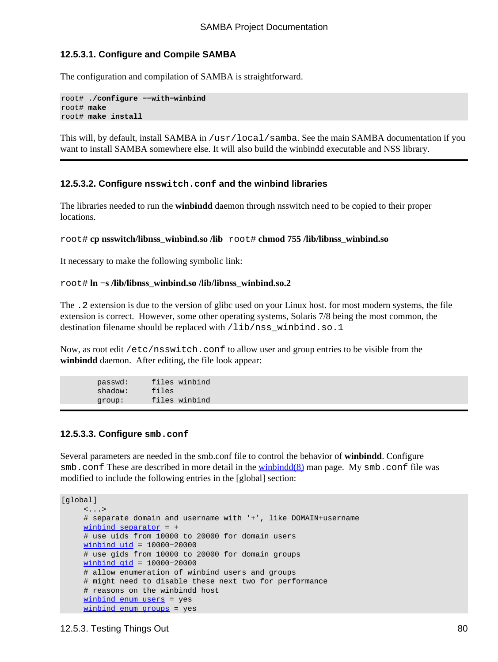### **12.5.3.1. Configure and Compile SAMBA**

The configuration and compilation of SAMBA is straightforward.

```
root# ./configure −−with−winbind
root# make
root# make install
```
This will, by default, install SAMBA in /usr/local/samba. See the main SAMBA documentation if you want to install SAMBA somewhere else. It will also build the winbindd executable and NSS library.

### **12.5.3.2. Configure nsswitch.conf and the winbind libraries**

The libraries needed to run the **winbindd** daemon through nsswitch need to be copied to their proper locations.

```
root# cp nsswitch/libnss_winbind.so /lib root# chmod 755 /lib/libnss_winbind.so
```
It necessary to make the following symbolic link:

#### root# **ln −s /lib/libnss\_winbind.so /lib/libnss\_winbind.so.2**

The .2 extension is due to the version of glibc used on your Linux host. for most modern systems, the file extension is correct. However, some other operating systems, Solaris 7/8 being the most common, the destination filename should be replaced with /lib/nss\_winbind.so.1

Now, as root edit /etc/nsswitch.conf to allow user and group entries to be visible from the **winbindd** daemon. After editing, the file look appear:

 passwd: files winbind shadow: files group: files winbind

#### **12.5.3.3. Configure smb.conf**

Several parameters are needed in the smb.conf file to control the behavior of **winbindd**. Configure  $smb.$  conf These are described in more detail in the  $winbind(8)$  man page. My  $smb.$  conf file was modified to include the following entries in the [global] section:

```
[global]
     \langle \ldots \rangle # separate domain and username with '+', like DOMAIN+username
    winbind separator = +
      # use uids from 10000 to 20000 for domain users
     winbind uid = 10000−20000
      # use gids from 10000 to 20000 for domain groups
     winbind gid = 10000−20000
      # allow enumeration of winbind users and groups
      # might need to disable these next two for performance
      # reasons on the winbindd host
     winbind enum users = yes
     winbind enum groups = yes
```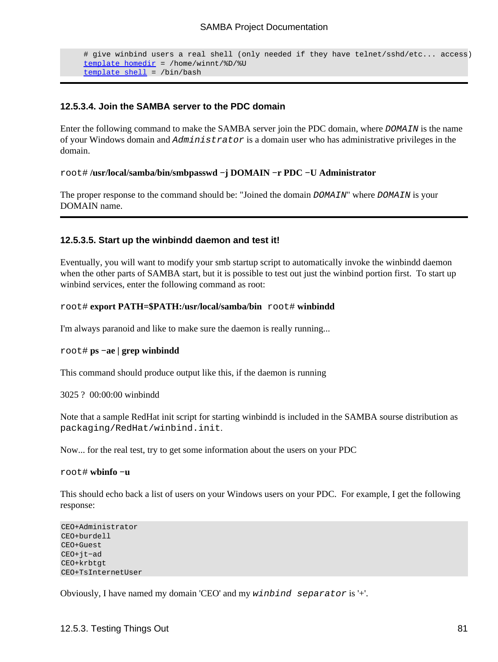```
 # give winbind users a real shell (only needed if they have telnet/sshd/etc... access)
template homedir = /home/winnt/%D/%U
template shell = /bin/bash
```
### **12.5.3.4. Join the SAMBA server to the PDC domain**

Enter the following command to make the SAMBA server join the PDC domain, where DOMAIN is the name of your Windows domain and Administrator is a domain user who has administrative privileges in the domain.

#### root# **/usr/local/samba/bin/smbpasswd −j DOMAIN −r PDC −U Administrator**

The proper response to the command should be: "Joined the domain DOMAIN" where DOMAIN is your DOMAIN name.

### **12.5.3.5. Start up the winbindd daemon and test it!**

Eventually, you will want to modify your smb startup script to automatically invoke the winbindd daemon when the other parts of SAMBA start, but it is possible to test out just the winbind portion first. To start up winbind services, enter the following command as root:

#### root# **export PATH=\$PATH:/usr/local/samba/bin** root# **winbindd**

I'm always paranoid and like to make sure the daemon is really running...

#### root# **ps −ae | grep winbindd**

This command should produce output like this, if the daemon is running

3025 ? 00:00:00 winbindd

Note that a sample RedHat init script for starting winbindd is included in the SAMBA sourse distribution as packaging/RedHat/winbind.init.

Now... for the real test, try to get some information about the users on your PDC

root# **wbinfo −u**

This should echo back a list of users on your Windows users on your PDC. For example, I get the following response:

```
CEO+Administrator
CEO+burdell
CEO+Guest
CEO+jt−ad
CEO+krbtgt
CEO+TsInternetUser
```
Obviously, I have named my domain 'CEO' and my winbind separator is '+'.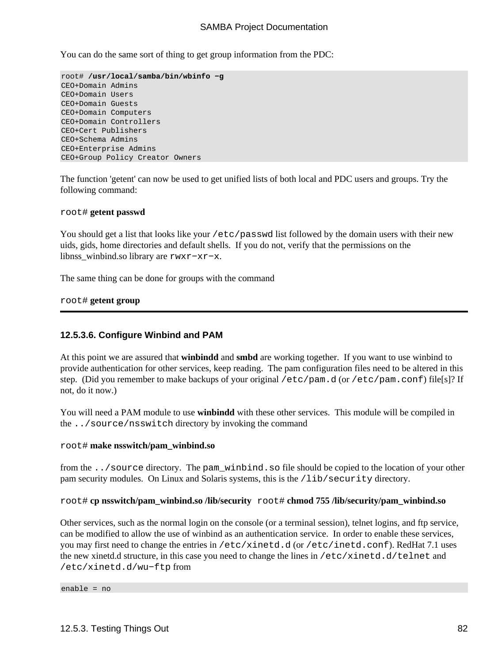### SAMBA Project Documentation

You can do the same sort of thing to get group information from the PDC:

```
root# /usr/local/samba/bin/wbinfo −g
CEO+Domain Admins
CEO+Domain Users
CEO+Domain Guests
CEO+Domain Computers
CEO+Domain Controllers
CEO+Cert Publishers
CEO+Schema Admins
CEO+Enterprise Admins
CEO+Group Policy Creator Owners
```
The function 'getent' can now be used to get unified lists of both local and PDC users and groups. Try the following command:

#### root# **getent passwd**

You should get a list that looks like your /etc/passwd list followed by the domain users with their new uids, gids, home directories and default shells. If you do not, verify that the permissions on the libnss\_winbind.so library are rwxr−xr−x.

The same thing can be done for groups with the command

root# **getent group**

### **12.5.3.6. Configure Winbind and PAM**

At this point we are assured that **winbindd** and **smbd** are working together. If you want to use winbind to provide authentication for other services, keep reading. The pam configuration files need to be altered in this step. (Did you remember to make backups of your original /etc/pam.d (or /etc/pam.conf) file[s]? If not, do it now.)

You will need a PAM module to use **winbindd** with these other services. This module will be compiled in the ../source/nsswitch directory by invoking the command

#### root# **make nsswitch/pam\_winbind.so**

from the ../source directory. The pam\_winbind.so file should be copied to the location of your other pam security modules. On Linux and Solaris systems, this is the /lib/security directory.

### root# **cp nsswitch/pam\_winbind.so /lib/security** root# **chmod 755 /lib/security/pam\_winbind.so**

Other services, such as the normal login on the console (or a terminal session), telnet logins, and ftp service, can be modified to allow the use of winbind as an authentication service. In order to enable these services, you may first need to change the entries in /etc/xinetd.d (or /etc/inetd.conf). RedHat 7.1 uses the new xinetd.d structure, in this case you need to change the lines in /etc/xinetd.d/telnet and /etc/xinetd.d/wu−ftp from

enable = no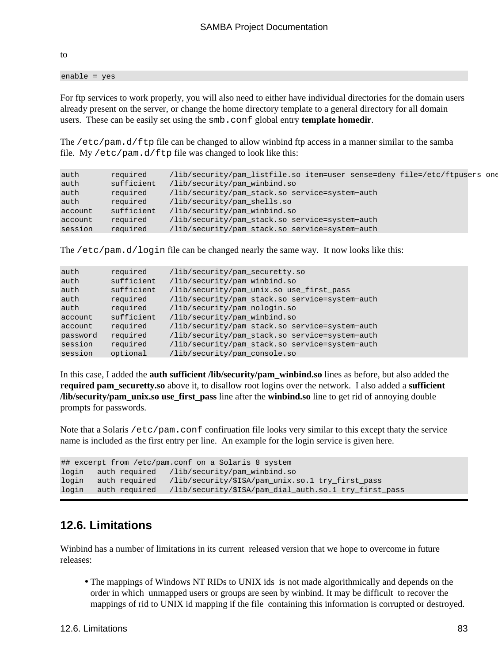#### to

enable = yes

For ftp services to work properly, you will also need to either have individual directories for the domain users already present on the server, or change the home directory template to a general directory for all domain users. These can be easily set using the smb.conf global entry **template homedir**.

The  $/etc/pam.d/ftp$  file can be changed to allow winbind ftp access in a manner similar to the samba file. My /etc/pam.d/ftp file was changed to look like this:

| auth    | required   | /lib/security/pam_listfile.so item=user sense=deny file=/etc/ftpusers one |
|---------|------------|---------------------------------------------------------------------------|
| auth    | sufficient | /lib/security/pam_winbind.so                                              |
| auth    | required   | /lib/security/pam_stack.so service=system-auth                            |
| auth    | required   | /lib/security/pam shells.so                                               |
| account | sufficient | /lib/security/pam winbind.so                                              |
| account | required   | /lib/security/pam_stack.so service=system-auth                            |
| session | required   | /lib/security/pam_stack.so service=system-auth                            |

The  $/etc/pam.d/login$  file can be changed nearly the same way. It now looks like this:

| auth     | required   | /lib/security/pam_securetty.so                 |
|----------|------------|------------------------------------------------|
| auth     | sufficient | /lib/security/pam_winbind.so                   |
| auth     | sufficient | /lib/security/pam_unix.so use_first_pass       |
| auth     | required   | /lib/security/pam_stack.so service=system-auth |
| auth     | required   | /lib/security/pam_nologin.so                   |
| account  | sufficient | /lib/security/pam winbind.so                   |
| account  | required   | /lib/security/pam_stack.so service=system-auth |
| password | required   | /lib/security/pam_stack.so service=system-auth |
| session  | required   | /lib/security/pam_stack.so service=system-auth |
| session  | optional   | /lib/security/pam_console.so                   |

In this case, I added the **auth sufficient /lib/security/pam\_winbind.so** lines as before, but also added the **required pam\_securetty.so** above it, to disallow root logins over the network. I also added a **sufficient /lib/security/pam\_unix.so use\_first\_pass** line after the **winbind.so** line to get rid of annoying double prompts for passwords.

Note that a Solaris /etc/pam.conf confiruation file looks very similar to this except thaty the service name is included as the first entry per line. An example for the login service is given here.

```
## excerpt from /etc/pam.conf on a Solaris 8 system
login auth required /lib/security/pam_winbind.so
login auth required /lib/security/$ISA/pam_unix.so.1 try_first_pass
login auth required /lib/security/$ISA/pam_dial_auth.so.1 try_first_pass
```
### **12.6. Limitations**

Winbind has a number of limitations in its current released version that we hope to overcome in future releases:

• The mappings of Windows NT RIDs to UNIX ids is not made algorithmically and depends on the order in which unmapped users or groups are seen by winbind. It may be difficult to recover the mappings of rid to UNIX id mapping if the file containing this information is corrupted or destroyed.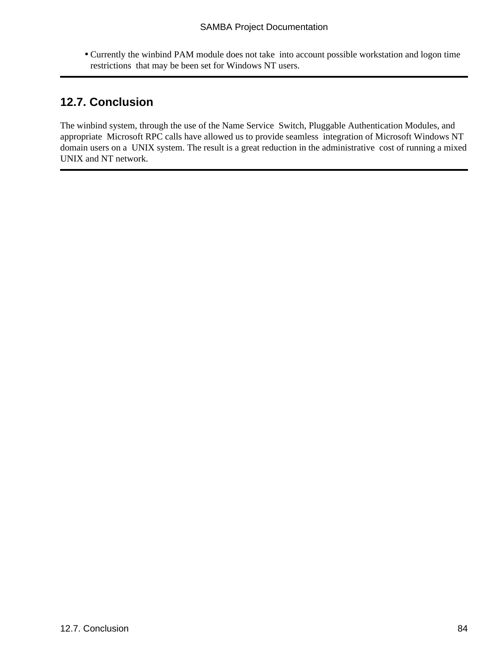• Currently the winbind PAM module does not take into account possible workstation and logon time restrictions that may be been set for Windows NT users.

# **12.7. Conclusion**

The winbind system, through the use of the Name Service Switch, Pluggable Authentication Modules, and appropriate Microsoft RPC calls have allowed us to provide seamless integration of Microsoft Windows NT domain users on a UNIX system. The result is a great reduction in the administrative cost of running a mixed UNIX and NT network.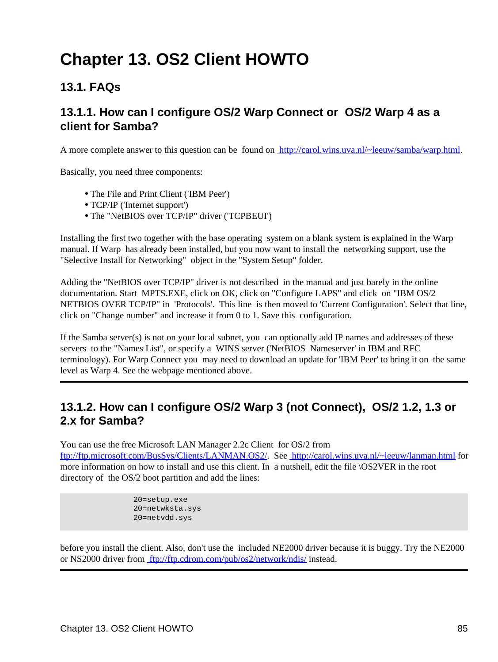# **Chapter 13. OS2 Client HOWTO**

### **13.1. FAQs**

### **13.1.1. How can I configure OS/2 Warp Connect or OS/2 Warp 4 as a client for Samba?**

A more complete answer to this question can be found on [http://carol.wins.uva.nl/~leeuw/samba/warp.html.](http://carol.wins.uva.nl/~leeuw/samba/warp.html)

Basically, you need three components:

- The File and Print Client ('IBM Peer')
- TCP/IP ('Internet support')
- The "NetBIOS over TCP/IP" driver ('TCPBEUI')

Installing the first two together with the base operating system on a blank system is explained in the Warp manual. If Warp has already been installed, but you now want to install the networking support, use the "Selective Install for Networking" object in the "System Setup" folder.

Adding the "NetBIOS over TCP/IP" driver is not described in the manual and just barely in the online documentation. Start MPTS.EXE, click on OK, click on "Configure LAPS" and click on "IBM OS/2 NETBIOS OVER TCP/IP" in 'Protocols'. This line is then moved to 'Current Configuration'. Select that line, click on "Change number" and increase it from 0 to 1. Save this configuration.

If the Samba server(s) is not on your local subnet, you can optionally add IP names and addresses of these servers to the "Names List", or specify a WINS server ('NetBIOS Nameserver' in IBM and RFC terminology). For Warp Connect you may need to download an update for 'IBM Peer' to bring it on the same level as Warp 4. See the webpage mentioned above.

### **13.1.2. How can I configure OS/2 Warp 3 (not Connect), OS/2 1.2, 1.3 or 2.x for Samba?**

You can use the free Microsoft LAN Manager 2.2c Client for OS/2 from <ftp://ftp.microsoft.com/BusSys/Clients/LANMAN.OS2/>. See<http://carol.wins.uva.nl/~leeuw/lanman.html> for more information on how to install and use this client. In a nutshell, edit the file \OS2VER in the root directory of the OS/2 boot partition and add the lines:

```
 20=setup.exe
 20=netwksta.sys
 20=netvdd.sys
```
before you install the client. Also, don't use the included NE2000 driver because it is buggy. Try the NE2000 or NS2000 driver from <ftp://ftp.cdrom.com/pub/os2/network/ndis/> instead.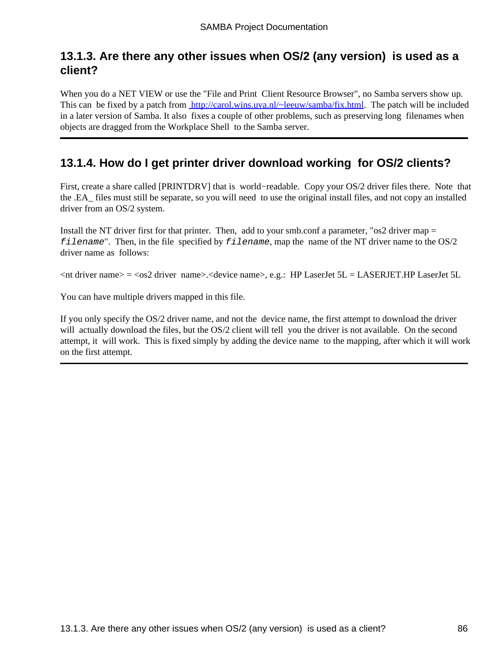### **13.1.3. Are there any other issues when OS/2 (any version) is used as a client?**

When you do a NET VIEW or use the "File and Print Client Resource Browser", no Samba servers show up. This can be fixed by a patch from [http://carol.wins.uva.nl/~leeuw/samba/fix.html.](http://carol.wins.uva.nl/~leeuw/samba/fix.html) The patch will be included in a later version of Samba. It also fixes a couple of other problems, such as preserving long filenames when objects are dragged from the Workplace Shell to the Samba server.

### **13.1.4. How do I get printer driver download working for OS/2 clients?**

First, create a share called [PRINTDRV] that is world−readable. Copy your OS/2 driver files there. Note that the .EA\_ files must still be separate, so you will need to use the original install files, and not copy an installed driver from an OS/2 system.

Install the NT driver first for that printer. Then, add to your smb.conf a parameter, " $\cos 2$  driver map = filename". Then, in the file specified by filename, map the name of the NT driver name to the  $OS/2$ driver name as follows:

 $\langle$ nt driver name> =  $\langle$ os2 driver name>. $\langle$ device name>, e.g.: HP LaserJet 5L = LASERJET.HP LaserJet 5L

You can have multiple drivers mapped in this file.

If you only specify the OS/2 driver name, and not the device name, the first attempt to download the driver will actually download the files, but the OS/2 client will tell you the driver is not available. On the second attempt, it will work. This is fixed simply by adding the device name to the mapping, after which it will work on the first attempt.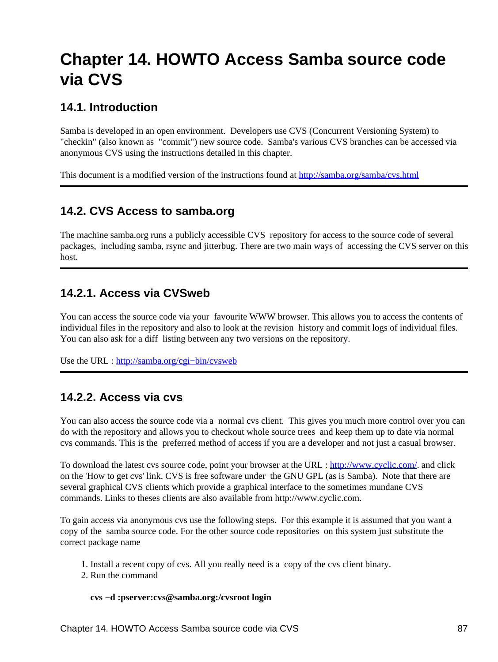# **Chapter 14. HOWTO Access Samba source code via CVS**

# **14.1. Introduction**

Samba is developed in an open environment. Developers use CVS (Concurrent Versioning System) to "checkin" (also known as "commit") new source code. Samba's various CVS branches can be accessed via anonymous CVS using the instructions detailed in this chapter.

This document is a modified version of the instructions found at<http://samba.org/samba/cvs.html>

### **14.2. CVS Access to samba.org**

The machine samba.org runs a publicly accessible CVS repository for access to the source code of several packages, including samba, rsync and jitterbug. There are two main ways of accessing the CVS server on this host.

### **14.2.1. Access via CVSweb**

You can access the source code via your favourite WWW browser. This allows you to access the contents of individual files in the repository and also to look at the revision history and commit logs of individual files. You can also ask for a diff listing between any two versions on the repository.

Use the URL : [http://samba.org/cgi−bin/cvsweb](http://samba.org/cgi-bin/cvsweb)

### **14.2.2. Access via cvs**

You can also access the source code via a normal cvs client. This gives you much more control over you can do with the repository and allows you to checkout whole source trees and keep them up to date via normal cvs commands. This is the preferred method of access if you are a developer and not just a casual browser.

To download the latest cvs source code, point your browser at the URL :<http://www.cyclic.com/>. and click on the 'How to get cvs' link. CVS is free software under the GNU GPL (as is Samba). Note that there are several graphical CVS clients which provide a graphical interface to the sometimes mundane CVS commands. Links to theses clients are also available from http://www.cyclic.com.

To gain access via anonymous cvs use the following steps. For this example it is assumed that you want a copy of the samba source code. For the other source code repositories on this system just substitute the correct package name

- 1. Install a recent copy of cvs. All you really need is a copy of the cvs client binary.
- 2. Run the command

### **cvs −d :pserver:cvs@samba.org:/cvsroot login**